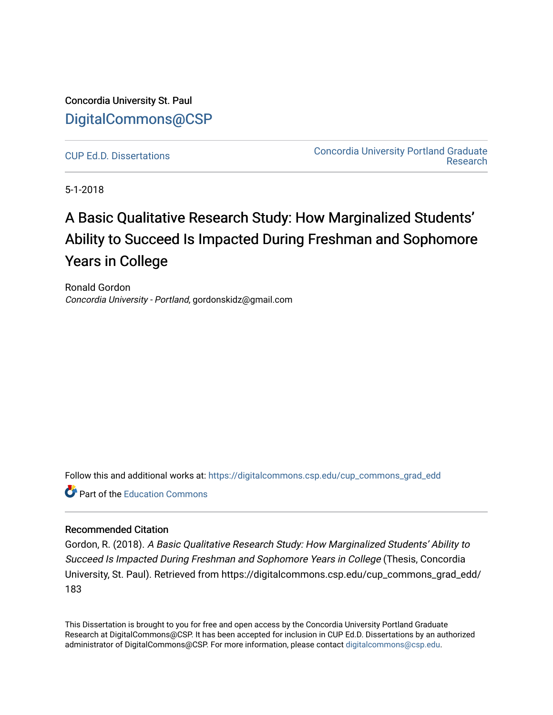Concordia University St. Paul [DigitalCommons@CSP](https://digitalcommons.csp.edu/)

[CUP Ed.D. Dissertations](https://digitalcommons.csp.edu/cup_commons_grad_edd) [Concordia University Portland Graduate](https://digitalcommons.csp.edu/cup_commons_grad)  [Research](https://digitalcommons.csp.edu/cup_commons_grad) 

5-1-2018

# A Basic Qualitative Research Study: How Marginalized Students' Ability to Succeed Is Impacted During Freshman and Sophomore Years in College

Ronald Gordon Concordia University - Portland, gordonskidz@gmail.com

Follow this and additional works at: [https://digitalcommons.csp.edu/cup\\_commons\\_grad\\_edd](https://digitalcommons.csp.edu/cup_commons_grad_edd?utm_source=digitalcommons.csp.edu%2Fcup_commons_grad_edd%2F183&utm_medium=PDF&utm_campaign=PDFCoverPages)

**C** Part of the [Education Commons](http://network.bepress.com/hgg/discipline/784?utm_source=digitalcommons.csp.edu%2Fcup_commons_grad_edd%2F183&utm_medium=PDF&utm_campaign=PDFCoverPages)

#### Recommended Citation

Gordon, R. (2018). A Basic Qualitative Research Study: How Marginalized Students' Ability to Succeed Is Impacted During Freshman and Sophomore Years in College (Thesis, Concordia University, St. Paul). Retrieved from https://digitalcommons.csp.edu/cup\_commons\_grad\_edd/ 183

This Dissertation is brought to you for free and open access by the Concordia University Portland Graduate Research at DigitalCommons@CSP. It has been accepted for inclusion in CUP Ed.D. Dissertations by an authorized administrator of DigitalCommons@CSP. For more information, please contact [digitalcommons@csp.edu.](mailto:digitalcommons@csp.edu)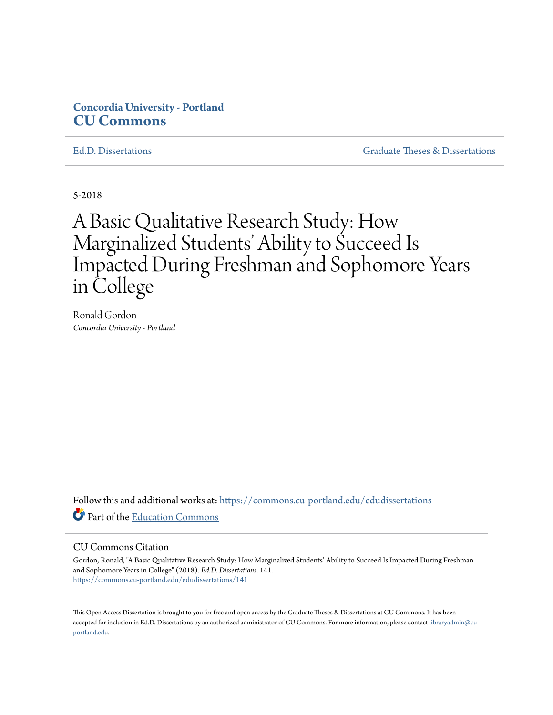## **Concordia University - Portland [CU Commons](https://commons.cu-portland.edu?utm_source=commons.cu-portland.edu%2Fedudissertations%2F141&utm_medium=PDF&utm_campaign=PDFCoverPages)**

[Ed.D. Dissertations](https://commons.cu-portland.edu/edudissertations?utm_source=commons.cu-portland.edu%2Fedudissertations%2F141&utm_medium=PDF&utm_campaign=PDFCoverPages) [Graduate Theses & Dissertations](https://commons.cu-portland.edu/gradresearch?utm_source=commons.cu-portland.edu%2Fedudissertations%2F141&utm_medium=PDF&utm_campaign=PDFCoverPages)

5-2018

# A Basic Qualitative Research Study: How Marginalized Students' Ability to Succeed Is Impacted During Freshman and Sophomore Years in College

Ronald Gordon *Concordia University - Portland*

Follow this and additional works at: [https://commons.cu-portland.edu/edudissertations](https://commons.cu-portland.edu/edudissertations?utm_source=commons.cu-portland.edu%2Fedudissertations%2F141&utm_medium=PDF&utm_campaign=PDFCoverPages) Part of the [Education Commons](http://network.bepress.com/hgg/discipline/784?utm_source=commons.cu-portland.edu%2Fedudissertations%2F141&utm_medium=PDF&utm_campaign=PDFCoverPages)

#### CU Commons Citation

Gordon, Ronald, "A Basic Qualitative Research Study: How Marginalized Students' Ability to Succeed Is Impacted During Freshman and Sophomore Years in College" (2018). *Ed.D. Dissertations*. 141. [https://commons.cu-portland.edu/edudissertations/141](https://commons.cu-portland.edu/edudissertations/141?utm_source=commons.cu-portland.edu%2Fedudissertations%2F141&utm_medium=PDF&utm_campaign=PDFCoverPages)

This Open Access Dissertation is brought to you for free and open access by the Graduate Theses & Dissertations at CU Commons. It has been accepted for inclusion in Ed.D. Dissertations by an authorized administrator of CU Commons. For more information, please contact [libraryadmin@cu](mailto:libraryadmin@cu-portland.edu)[portland.edu.](mailto:libraryadmin@cu-portland.edu)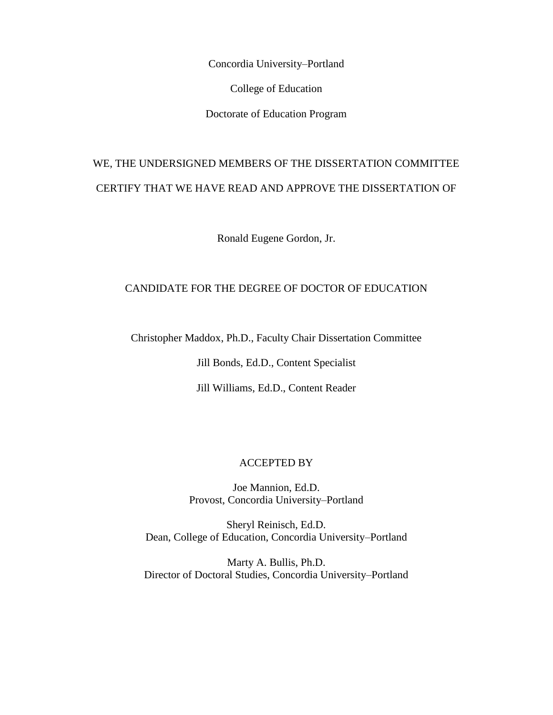Concordia University–Portland

College of Education

Doctorate of Education Program

## WE, THE UNDERSIGNED MEMBERS OF THE DISSERTATION COMMITTEE CERTIFY THAT WE HAVE READ AND APPROVE THE DISSERTATION OF

Ronald Eugene Gordon, Jr.

## CANDIDATE FOR THE DEGREE OF DOCTOR OF EDUCATION

Christopher Maddox, Ph.D., Faculty Chair Dissertation Committee

Jill Bonds, Ed.D., Content Specialist

Jill Williams, Ed.D., Content Reader

#### ACCEPTED BY

Joe Mannion, Ed.D. Provost, Concordia University–Portland

Sheryl Reinisch, Ed.D. Dean, College of Education, Concordia University–Portland

Marty A. Bullis, Ph.D. Director of Doctoral Studies, Concordia University–Portland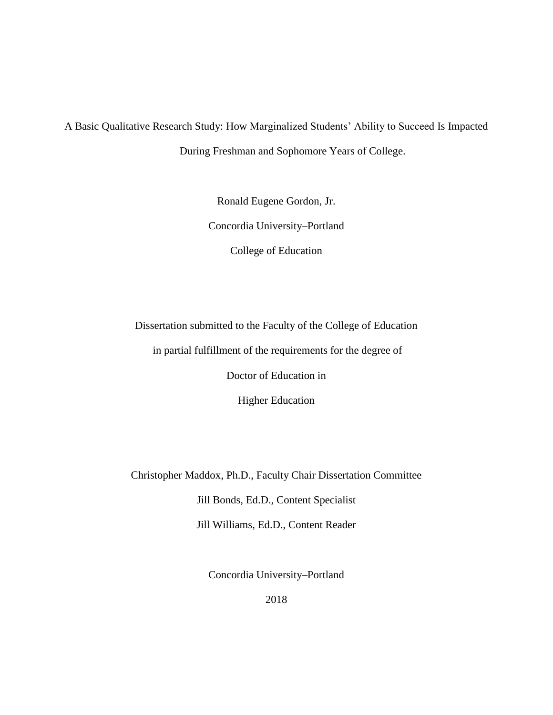A Basic Qualitative Research Study: How Marginalized Students' Ability to Succeed Is Impacted During Freshman and Sophomore Years of College.

> Ronald Eugene Gordon, Jr. Concordia University–Portland College of Education

Dissertation submitted to the Faculty of the College of Education

in partial fulfillment of the requirements for the degree of

Doctor of Education in

Higher Education

Christopher Maddox, Ph.D., Faculty Chair Dissertation Committee

Jill Bonds, Ed.D., Content Specialist

Jill Williams, Ed.D., Content Reader

Concordia University–Portland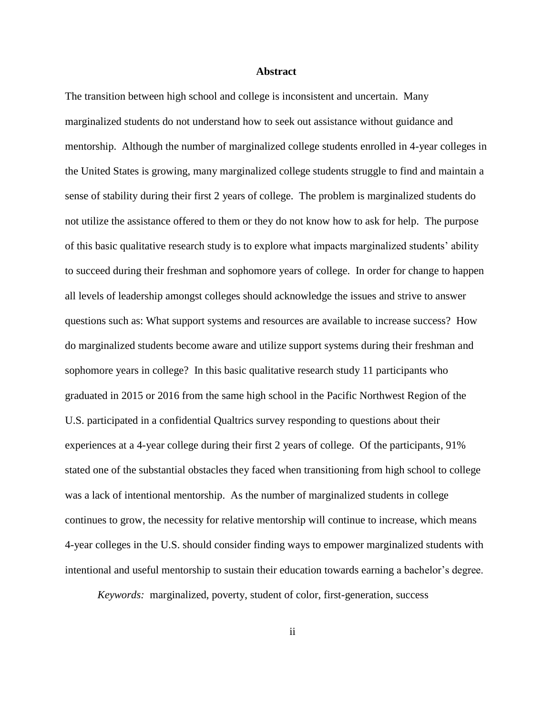#### **Abstract**

The transition between high school and college is inconsistent and uncertain. Many marginalized students do not understand how to seek out assistance without guidance and mentorship. Although the number of marginalized college students enrolled in 4-year colleges in the United States is growing, many marginalized college students struggle to find and maintain a sense of stability during their first 2 years of college. The problem is marginalized students do not utilize the assistance offered to them or they do not know how to ask for help. The purpose of this basic qualitative research study is to explore what impacts marginalized students' ability to succeed during their freshman and sophomore years of college. In order for change to happen all levels of leadership amongst colleges should acknowledge the issues and strive to answer questions such as: What support systems and resources are available to increase success? How do marginalized students become aware and utilize support systems during their freshman and sophomore years in college? In this basic qualitative research study 11 participants who graduated in 2015 or 2016 from the same high school in the Pacific Northwest Region of the U.S. participated in a confidential Qualtrics survey responding to questions about their experiences at a 4-year college during their first 2 years of college. Of the participants, 91% stated one of the substantial obstacles they faced when transitioning from high school to college was a lack of intentional mentorship. As the number of marginalized students in college continues to grow, the necessity for relative mentorship will continue to increase, which means 4-year colleges in the U.S. should consider finding ways to empower marginalized students with intentional and useful mentorship to sustain their education towards earning a bachelor's degree.

*Keywords:* marginalized, poverty, student of color, first-generation, success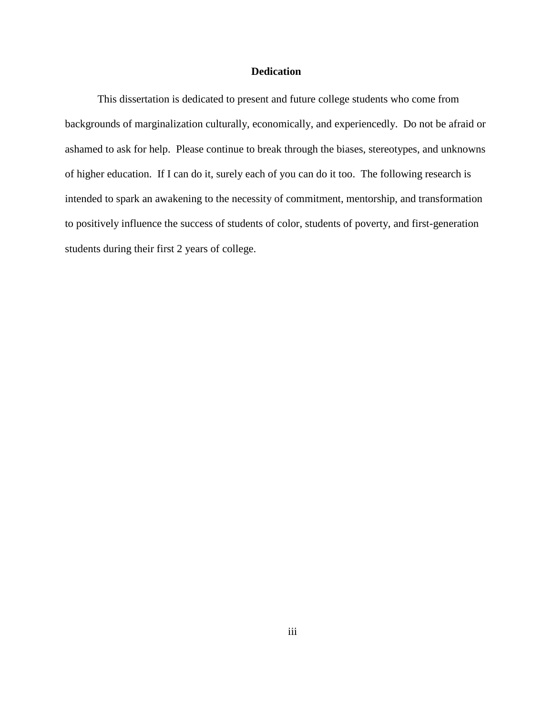## **Dedication**

This dissertation is dedicated to present and future college students who come from backgrounds of marginalization culturally, economically, and experiencedly. Do not be afraid or ashamed to ask for help. Please continue to break through the biases, stereotypes, and unknowns of higher education. If I can do it, surely each of you can do it too. The following research is intended to spark an awakening to the necessity of commitment, mentorship, and transformation to positively influence the success of students of color, students of poverty, and first-generation students during their first 2 years of college.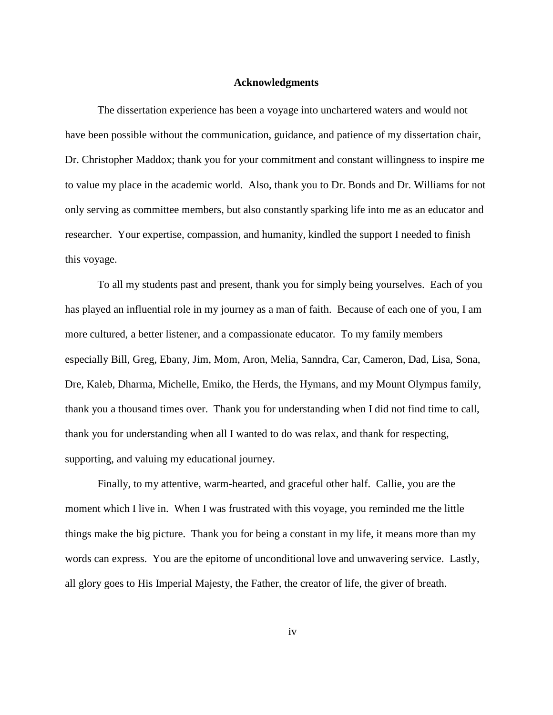#### **Acknowledgments**

The dissertation experience has been a voyage into unchartered waters and would not have been possible without the communication, guidance, and patience of my dissertation chair, Dr. Christopher Maddox; thank you for your commitment and constant willingness to inspire me to value my place in the academic world. Also, thank you to Dr. Bonds and Dr. Williams for not only serving as committee members, but also constantly sparking life into me as an educator and researcher. Your expertise, compassion, and humanity, kindled the support I needed to finish this voyage.

To all my students past and present, thank you for simply being yourselves. Each of you has played an influential role in my journey as a man of faith. Because of each one of you, I am more cultured, a better listener, and a compassionate educator. To my family members especially Bill, Greg, Ebany, Jim, Mom, Aron, Melia, Sanndra, Car, Cameron, Dad, Lisa, Sona, Dre, Kaleb, Dharma, Michelle, Emiko, the Herds, the Hymans, and my Mount Olympus family, thank you a thousand times over. Thank you for understanding when I did not find time to call, thank you for understanding when all I wanted to do was relax, and thank for respecting, supporting, and valuing my educational journey.

Finally, to my attentive, warm-hearted, and graceful other half. Callie, you are the moment which I live in. When I was frustrated with this voyage, you reminded me the little things make the big picture. Thank you for being a constant in my life, it means more than my words can express. You are the epitome of unconditional love and unwavering service. Lastly, all glory goes to His Imperial Majesty, the Father, the creator of life, the giver of breath.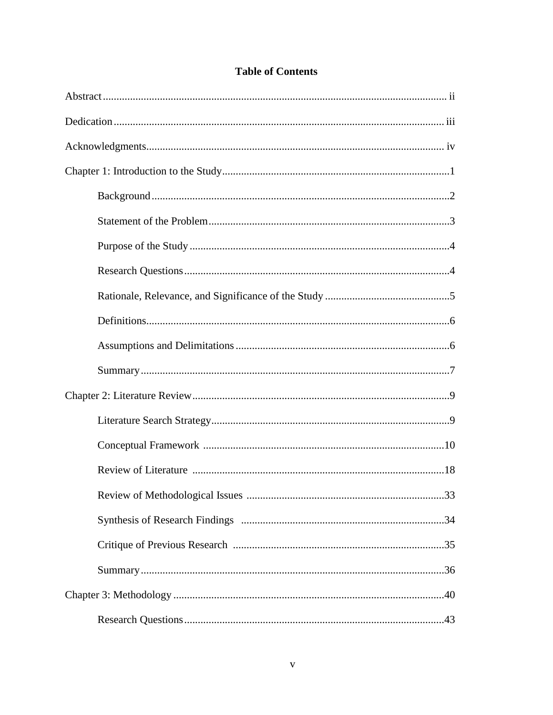## **Table of Contents**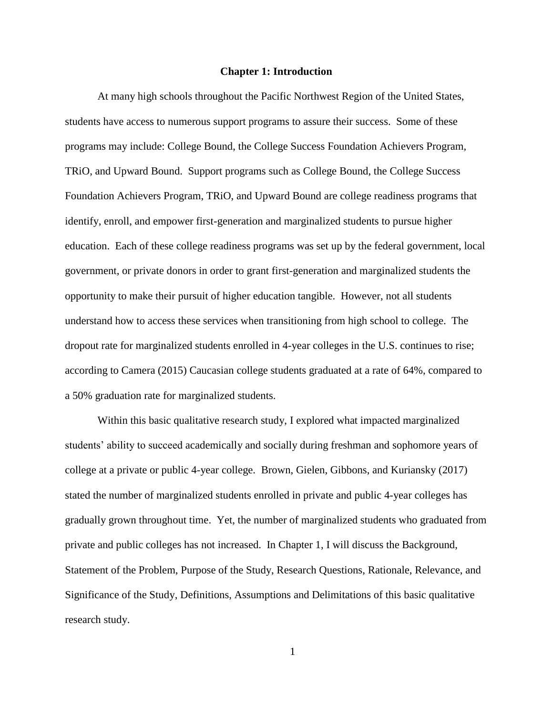#### **Chapter 1: Introduction**

At many high schools throughout the Pacific Northwest Region of the United States, students have access to numerous support programs to assure their success. Some of these programs may include: College Bound, the College Success Foundation Achievers Program, TRiO, and Upward Bound. Support programs such as College Bound, the College Success Foundation Achievers Program, TRiO, and Upward Bound are college readiness programs that identify, enroll, and empower first-generation and marginalized students to pursue higher education. Each of these college readiness programs was set up by the federal government, local government, or private donors in order to grant first-generation and marginalized students the opportunity to make their pursuit of higher education tangible. However, not all students understand how to access these services when transitioning from high school to college. The dropout rate for marginalized students enrolled in 4-year colleges in the U.S. continues to rise; according to Camera (2015) Caucasian college students graduated at a rate of 64%, compared to a 50% graduation rate for marginalized students.

Within this basic qualitative research study, I explored what impacted marginalized students' ability to succeed academically and socially during freshman and sophomore years of college at a private or public 4-year college. Brown, Gielen, Gibbons, and Kuriansky (2017) stated the number of marginalized students enrolled in private and public 4-year colleges has gradually grown throughout time. Yet, the number of marginalized students who graduated from private and public colleges has not increased. In Chapter 1, I will discuss the Background, Statement of the Problem, Purpose of the Study, Research Questions, Rationale, Relevance, and Significance of the Study, Definitions, Assumptions and Delimitations of this basic qualitative research study.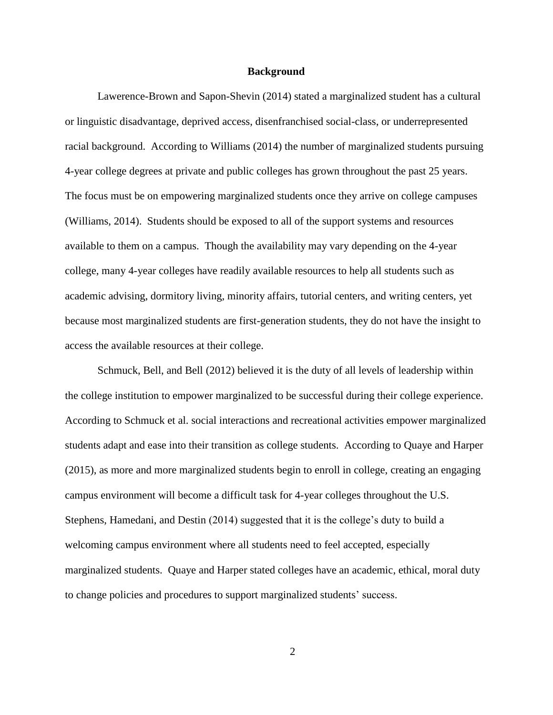#### **Background**

Lawerence-Brown and Sapon-Shevin (2014) stated a marginalized student has a cultural or linguistic disadvantage, deprived access, disenfranchised social-class, or underrepresented racial background. According to Williams (2014) the number of marginalized students pursuing 4-year college degrees at private and public colleges has grown throughout the past 25 years. The focus must be on empowering marginalized students once they arrive on college campuses (Williams, 2014). Students should be exposed to all of the support systems and resources available to them on a campus. Though the availability may vary depending on the 4-year college, many 4-year colleges have readily available resources to help all students such as academic advising, dormitory living, minority affairs, tutorial centers, and writing centers, yet because most marginalized students are first-generation students, they do not have the insight to access the available resources at their college.

Schmuck, Bell, and Bell (2012) believed it is the duty of all levels of leadership within the college institution to empower marginalized to be successful during their college experience. According to Schmuck et al. social interactions and recreational activities empower marginalized students adapt and ease into their transition as college students. According to Quaye and Harper (2015), as more and more marginalized students begin to enroll in college, creating an engaging campus environment will become a difficult task for 4-year colleges throughout the U.S. Stephens, Hamedani, and Destin (2014) suggested that it is the college's duty to build a welcoming campus environment where all students need to feel accepted, especially marginalized students. Quaye and Harper stated colleges have an academic, ethical, moral duty to change policies and procedures to support marginalized students' success.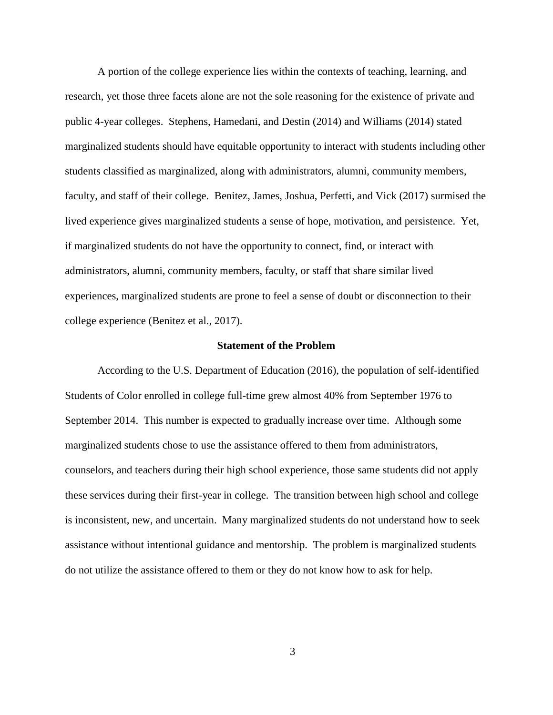A portion of the college experience lies within the contexts of teaching, learning, and research, yet those three facets alone are not the sole reasoning for the existence of private and public 4-year colleges. Stephens, Hamedani, and Destin (2014) and Williams (2014) stated marginalized students should have equitable opportunity to interact with students including other students classified as marginalized, along with administrators, alumni, community members, faculty, and staff of their college. Benitez, James, Joshua, Perfetti, and Vick (2017) surmised the lived experience gives marginalized students a sense of hope, motivation, and persistence. Yet, if marginalized students do not have the opportunity to connect, find, or interact with administrators, alumni, community members, faculty, or staff that share similar lived experiences, marginalized students are prone to feel a sense of doubt or disconnection to their college experience (Benitez et al., 2017).

#### **Statement of the Problem**

According to the U.S. Department of Education (2016), the population of self-identified Students of Color enrolled in college full-time grew almost 40% from September 1976 to September 2014. This number is expected to gradually increase over time. Although some marginalized students chose to use the assistance offered to them from administrators, counselors, and teachers during their high school experience, those same students did not apply these services during their first-year in college. The transition between high school and college is inconsistent, new, and uncertain. Many marginalized students do not understand how to seek assistance without intentional guidance and mentorship. The problem is marginalized students do not utilize the assistance offered to them or they do not know how to ask for help.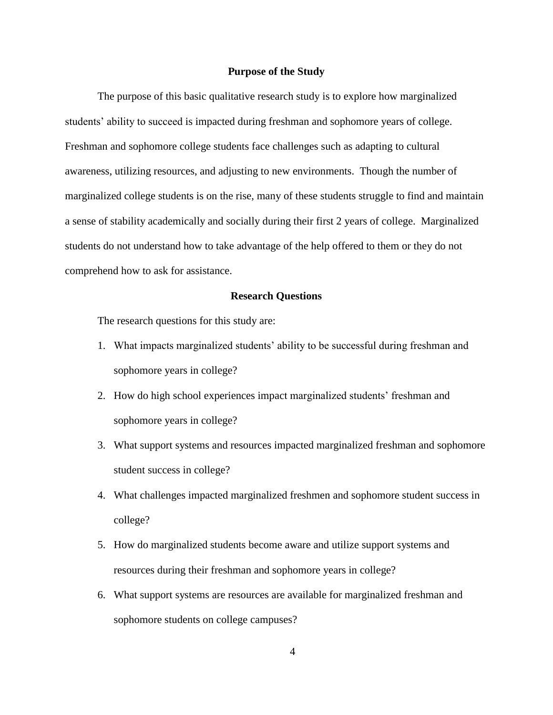#### **Purpose of the Study**

The purpose of this basic qualitative research study is to explore how marginalized students' ability to succeed is impacted during freshman and sophomore years of college. Freshman and sophomore college students face challenges such as adapting to cultural awareness, utilizing resources, and adjusting to new environments. Though the number of marginalized college students is on the rise, many of these students struggle to find and maintain a sense of stability academically and socially during their first 2 years of college. Marginalized students do not understand how to take advantage of the help offered to them or they do not comprehend how to ask for assistance.

#### **Research Questions**

The research questions for this study are:

- 1. What impacts marginalized students' ability to be successful during freshman and sophomore years in college?
- 2. How do high school experiences impact marginalized students' freshman and sophomore years in college?
- 3. What support systems and resources impacted marginalized freshman and sophomore student success in college?
- 4. What challenges impacted marginalized freshmen and sophomore student success in college?
- 5. How do marginalized students become aware and utilize support systems and resources during their freshman and sophomore years in college?
- 6. What support systems are resources are available for marginalized freshman and sophomore students on college campuses?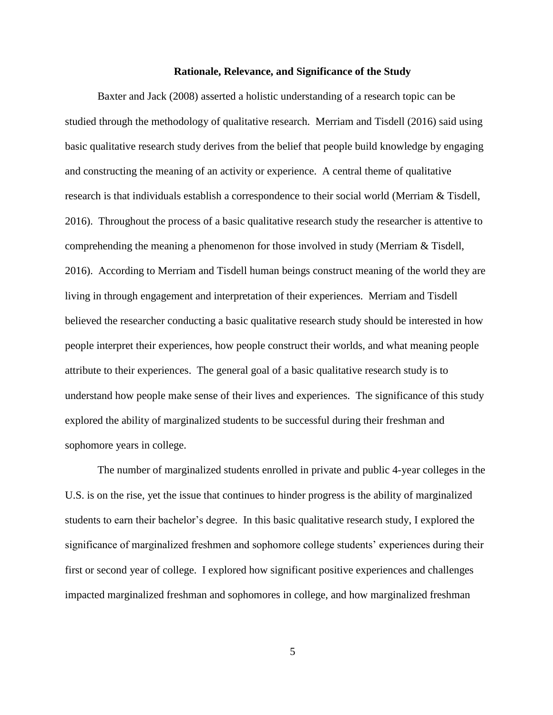#### **Rationale, Relevance, and Significance of the Study**

Baxter and Jack (2008) asserted a holistic understanding of a research topic can be studied through the methodology of qualitative research. Merriam and Tisdell (2016) said using basic qualitative research study derives from the belief that people build knowledge by engaging and constructing the meaning of an activity or experience. A central theme of qualitative research is that individuals establish a correspondence to their social world (Merriam & Tisdell, 2016). Throughout the process of a basic qualitative research study the researcher is attentive to comprehending the meaning a phenomenon for those involved in study (Merriam & Tisdell, 2016). According to Merriam and Tisdell human beings construct meaning of the world they are living in through engagement and interpretation of their experiences. Merriam and Tisdell believed the researcher conducting a basic qualitative research study should be interested in how people interpret their experiences, how people construct their worlds, and what meaning people attribute to their experiences. The general goal of a basic qualitative research study is to understand how people make sense of their lives and experiences. The significance of this study explored the ability of marginalized students to be successful during their freshman and sophomore years in college.

The number of marginalized students enrolled in private and public 4-year colleges in the U.S. is on the rise, yet the issue that continues to hinder progress is the ability of marginalized students to earn their bachelor's degree. In this basic qualitative research study, I explored the significance of marginalized freshmen and sophomore college students' experiences during their first or second year of college. I explored how significant positive experiences and challenges impacted marginalized freshman and sophomores in college, and how marginalized freshman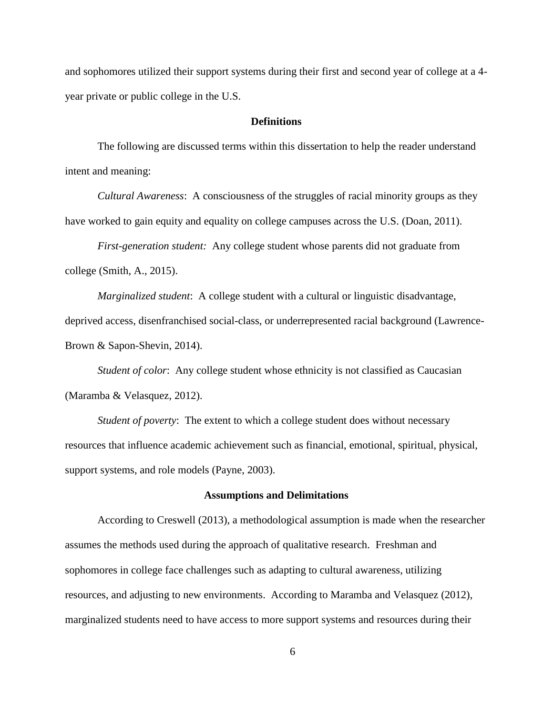and sophomores utilized their support systems during their first and second year of college at a 4 year private or public college in the U.S.

#### **Definitions**

The following are discussed terms within this dissertation to help the reader understand intent and meaning:

*Cultural Awareness*:A consciousness of the struggles of racial minority groups as they have worked to gain equity and equality on college campuses across the U.S. (Doan, 2011).

*First-generation student:* Any college student whose parents did not graduate from college (Smith, A., 2015).

*Marginalized student*: A college student with a cultural or linguistic disadvantage, deprived access, disenfranchised social-class, or underrepresented racial background (Lawrence-Brown & Sapon-Shevin, 2014).

*Student of color*: Any college student whose ethnicity is not classified as Caucasian (Maramba & Velasquez, 2012).

*Student of poverty*: The extent to which a college student does without necessary resources that influence academic achievement such as financial, emotional, spiritual, physical, support systems, and role models (Payne, 2003).

#### **Assumptions and Delimitations**

According to Creswell (2013), a methodological assumption is made when the researcher assumes the methods used during the approach of qualitative research. Freshman and sophomores in college face challenges such as adapting to cultural awareness, utilizing resources, and adjusting to new environments. According to Maramba and Velasquez (2012), marginalized students need to have access to more support systems and resources during their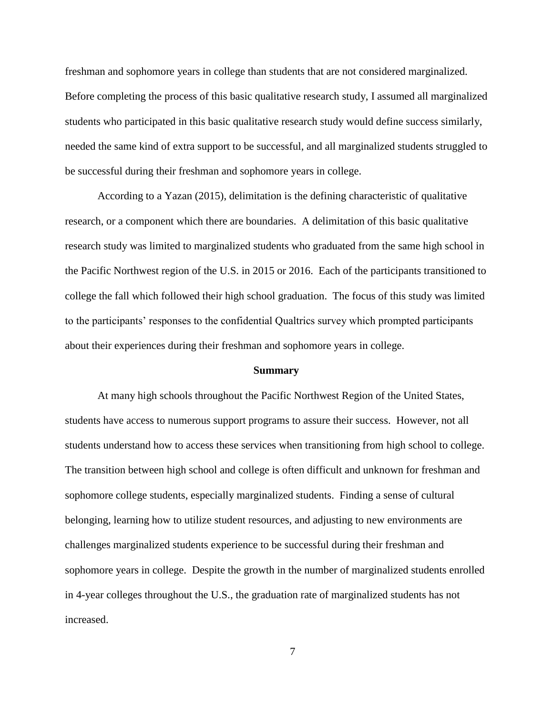freshman and sophomore years in college than students that are not considered marginalized. Before completing the process of this basic qualitative research study, I assumed all marginalized students who participated in this basic qualitative research study would define success similarly, needed the same kind of extra support to be successful, and all marginalized students struggled to be successful during their freshman and sophomore years in college.

According to a Yazan (2015), delimitation is the defining characteristic of qualitative research, or a component which there are boundaries. A delimitation of this basic qualitative research study was limited to marginalized students who graduated from the same high school in the Pacific Northwest region of the U.S. in 2015 or 2016. Each of the participants transitioned to college the fall which followed their high school graduation. The focus of this study was limited to the participants' responses to the confidential Qualtrics survey which prompted participants about their experiences during their freshman and sophomore years in college.

#### **Summary**

At many high schools throughout the Pacific Northwest Region of the United States, students have access to numerous support programs to assure their success. However, not all students understand how to access these services when transitioning from high school to college. The transition between high school and college is often difficult and unknown for freshman and sophomore college students, especially marginalized students. Finding a sense of cultural belonging, learning how to utilize student resources, and adjusting to new environments are challenges marginalized students experience to be successful during their freshman and sophomore years in college. Despite the growth in the number of marginalized students enrolled in 4-year colleges throughout the U.S., the graduation rate of marginalized students has not increased.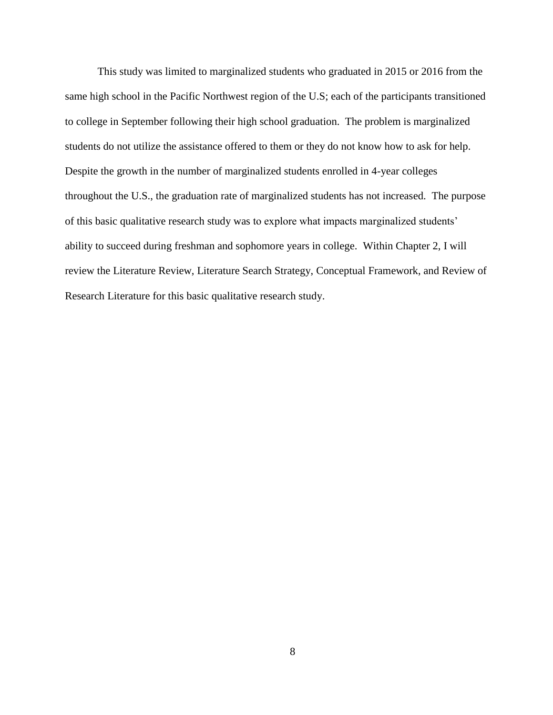This study was limited to marginalized students who graduated in 2015 or 2016 from the same high school in the Pacific Northwest region of the U.S; each of the participants transitioned to college in September following their high school graduation. The problem is marginalized students do not utilize the assistance offered to them or they do not know how to ask for help. Despite the growth in the number of marginalized students enrolled in 4-year colleges throughout the U.S., the graduation rate of marginalized students has not increased. The purpose of this basic qualitative research study was to explore what impacts marginalized students' ability to succeed during freshman and sophomore years in college. Within Chapter 2, I will review the Literature Review, Literature Search Strategy, Conceptual Framework, and Review of Research Literature for this basic qualitative research study.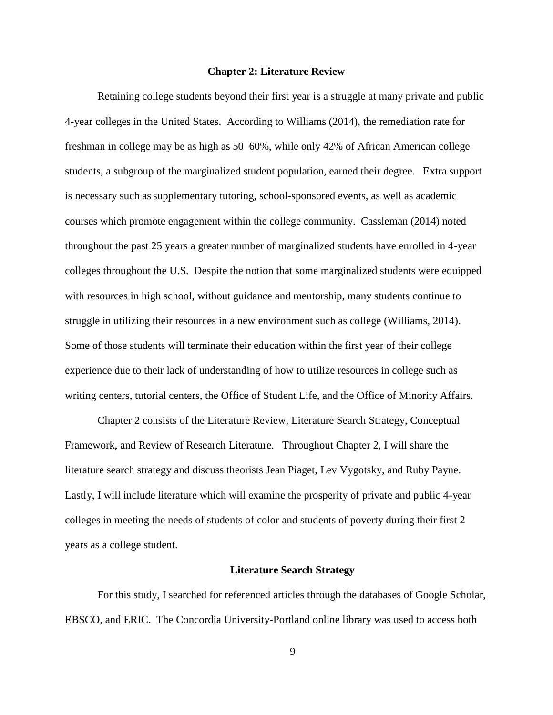#### **Chapter 2: Literature Review**

Retaining college students beyond their first year is a struggle at many private and public 4-year colleges in the United States. According to Williams (2014), the remediation rate for freshman in college may be as high as 50–60%, while only 42% of African American college students, a subgroup of the marginalized student population, earned their degree. Extra support is necessary such assupplementary tutoring, school-sponsored events, as well as academic courses which promote engagement within the college community. Cassleman (2014) noted throughout the past 25 years a greater number of marginalized students have enrolled in 4-year colleges throughout the U.S. Despite the notion that some marginalized students were equipped with resources in high school, without guidance and mentorship, many students continue to struggle in utilizing their resources in a new environment such as college (Williams, 2014). Some of those students will terminate their education within the first year of their college experience due to their lack of understanding of how to utilize resources in college such as writing centers, tutorial centers, the Office of Student Life, and the Office of Minority Affairs.

Chapter 2 consists of the Literature Review, Literature Search Strategy, Conceptual Framework, and Review of Research Literature. Throughout Chapter 2, I will share the literature search strategy and discuss theorists Jean Piaget, Lev Vygotsky, and Ruby Payne. Lastly, I will include literature which will examine the prosperity of private and public 4-year colleges in meeting the needs of students of color and students of poverty during their first 2 years as a college student.

#### **Literature Search Strategy**

For this study, I searched for referenced articles through the databases of Google Scholar, EBSCO, and ERIC. The Concordia University-Portland online library was used to access both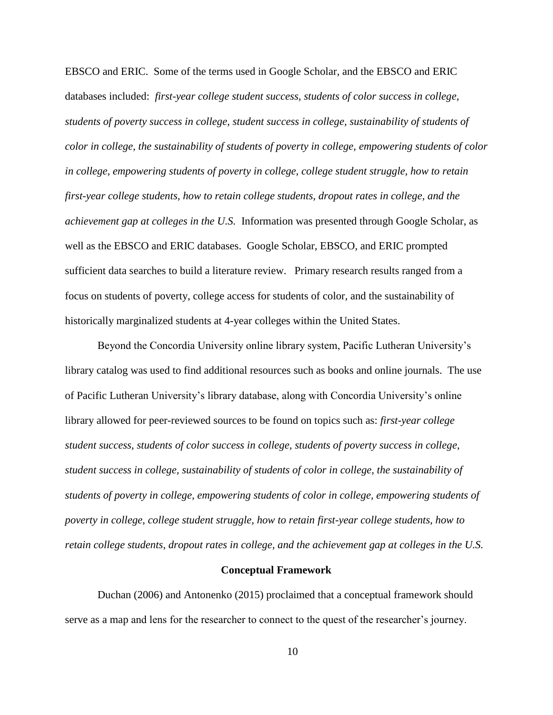EBSCO and ERIC. Some of the terms used in Google Scholar, and the EBSCO and ERIC databases included: *first-year college student success, students of color success in college, students of poverty success in college, student success in college, sustainability of students of color in college, the sustainability of students of poverty in college, empowering students of color in college, empowering students of poverty in college, college student struggle, how to retain first-year college students, how to retain college students, dropout rates in college, and the achievement gap at colleges in the U.S.* Information was presented through Google Scholar, as well as the EBSCO and ERIC databases. Google Scholar, EBSCO, and ERIC prompted sufficient data searches to build a literature review. Primary research results ranged from a focus on students of poverty, college access for students of color, and the sustainability of historically marginalized students at 4-year colleges within the United States.

Beyond the Concordia University online library system, Pacific Lutheran University's library catalog was used to find additional resources such as books and online journals. The use of Pacific Lutheran University's library database, along with Concordia University's online library allowed for peer-reviewed sources to be found on topics such as: *first-year college student success, students of color success in college, students of poverty success in college, student success in college, sustainability of students of color in college, the sustainability of students of poverty in college, empowering students of color in college, empowering students of poverty in college, college student struggle, how to retain first-year college students, how to retain college students, dropout rates in college, and the achievement gap at colleges in the U.S.* 

#### **Conceptual Framework**

Duchan (2006) and Antonenko (2015) proclaimed that a conceptual framework should serve as a map and lens for the researcher to connect to the quest of the researcher's journey.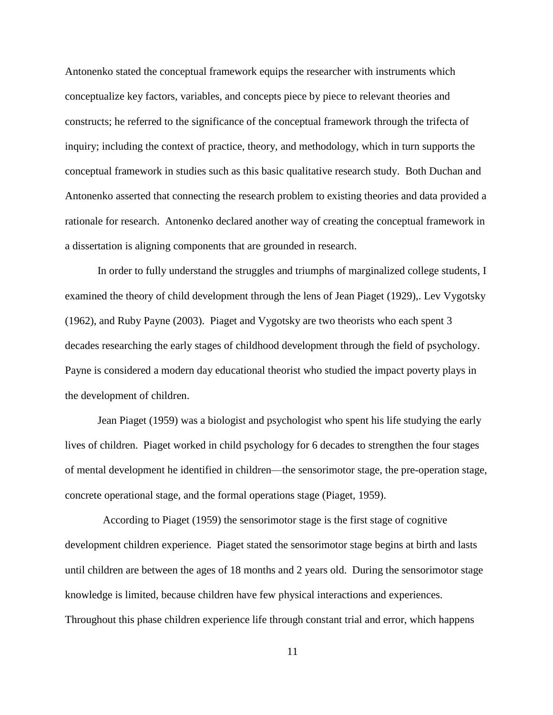Antonenko stated the conceptual framework equips the researcher with instruments which conceptualize key factors, variables, and concepts piece by piece to relevant theories and constructs; he referred to the significance of the conceptual framework through the trifecta of inquiry; including the context of practice, theory, and methodology, which in turn supports the conceptual framework in studies such as this basic qualitative research study. Both Duchan and Antonenko asserted that connecting the research problem to existing theories and data provided a rationale for research. Antonenko declared another way of creating the conceptual framework in a dissertation is aligning components that are grounded in research.

In order to fully understand the struggles and triumphs of marginalized college students, I examined the theory of child development through the lens of Jean Piaget (1929),. Lev Vygotsky (1962), and Ruby Payne (2003). Piaget and Vygotsky are two theorists who each spent 3 decades researching the early stages of childhood development through the field of psychology. Payne is considered a modern day educational theorist who studied the impact poverty plays in the development of children.

Jean Piaget (1959) was a biologist and psychologist who spent his life studying the early lives of children. Piaget worked in child psychology for 6 decades to strengthen the four stages of mental development he identified in children—the sensorimotor stage, the pre-operation stage, concrete operational stage, and the formal operations stage (Piaget, 1959).

 According to Piaget (1959) the sensorimotor stage is the first stage of cognitive development children experience. Piaget stated the sensorimotor stage begins at birth and lasts until children are between the ages of 18 months and 2 years old. During the sensorimotor stage knowledge is limited, because children have few physical interactions and experiences. Throughout this phase children experience life through constant trial and error, which happens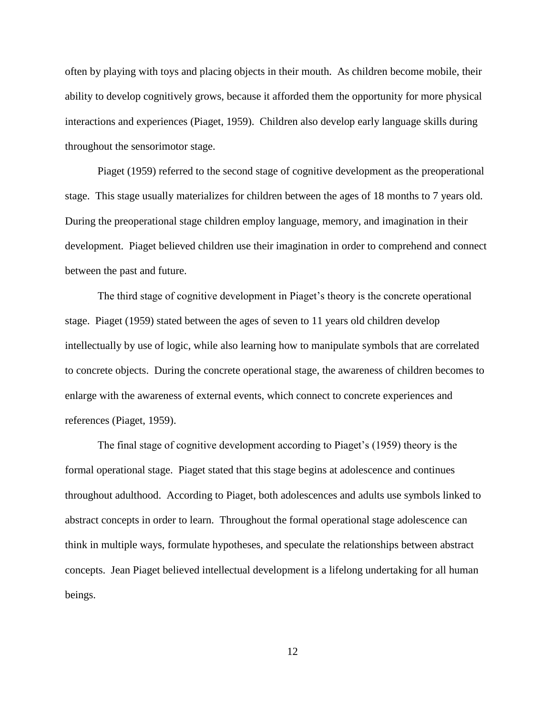often by playing with toys and placing objects in their mouth. As children become mobile, their ability to develop cognitively grows, because it afforded them the opportunity for more physical interactions and experiences (Piaget, 1959). Children also develop early language skills during throughout the sensorimotor stage.

Piaget (1959) referred to the second stage of cognitive development as the preoperational stage. This stage usually materializes for children between the ages of 18 months to 7 years old. During the preoperational stage children employ language, memory, and imagination in their development. Piaget believed children use their imagination in order to comprehend and connect between the past and future.

The third stage of cognitive development in Piaget's theory is the concrete operational stage. Piaget (1959) stated between the ages of seven to 11 years old children develop intellectually by use of logic, while also learning how to manipulate symbols that are correlated to concrete objects. During the concrete operational stage, the awareness of children becomes to enlarge with the awareness of external events, which connect to concrete experiences and references (Piaget, 1959).

The final stage of cognitive development according to Piaget's (1959) theory is the formal operational stage. Piaget stated that this stage begins at adolescence and continues throughout adulthood. According to Piaget, both adolescences and adults use symbols linked to abstract concepts in order to learn. Throughout the formal operational stage adolescence can think in multiple ways, formulate hypotheses, and speculate the relationships between abstract concepts. Jean Piaget believed intellectual development is a lifelong undertaking for all human beings.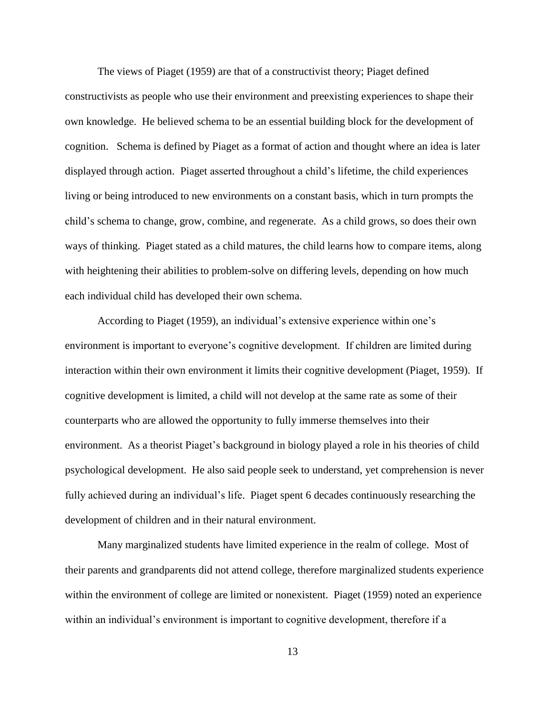The views of Piaget (1959) are that of a constructivist theory; Piaget defined constructivists as people who use their environment and preexisting experiences to shape their own knowledge. He believed schema to be an essential building block for the development of cognition. Schema is defined by Piaget as a format of action and thought where an idea is later displayed through action. Piaget asserted throughout a child's lifetime, the child experiences living or being introduced to new environments on a constant basis, which in turn prompts the child's schema to change, grow, combine, and regenerate. As a child grows, so does their own ways of thinking. Piaget stated as a child matures, the child learns how to compare items, along with heightening their abilities to problem-solve on differing levels, depending on how much each individual child has developed their own schema.

According to Piaget (1959), an individual's extensive experience within one's environment is important to everyone's cognitive development. If children are limited during interaction within their own environment it limits their cognitive development (Piaget, 1959). If cognitive development is limited, a child will not develop at the same rate as some of their counterparts who are allowed the opportunity to fully immerse themselves into their environment. As a theorist Piaget's background in biology played a role in his theories of child psychological development. He also said people seek to understand, yet comprehension is never fully achieved during an individual's life. Piaget spent 6 decades continuously researching the development of children and in their natural environment.

Many marginalized students have limited experience in the realm of college. Most of their parents and grandparents did not attend college, therefore marginalized students experience within the environment of college are limited or nonexistent. Piaget (1959) noted an experience within an individual's environment is important to cognitive development, therefore if a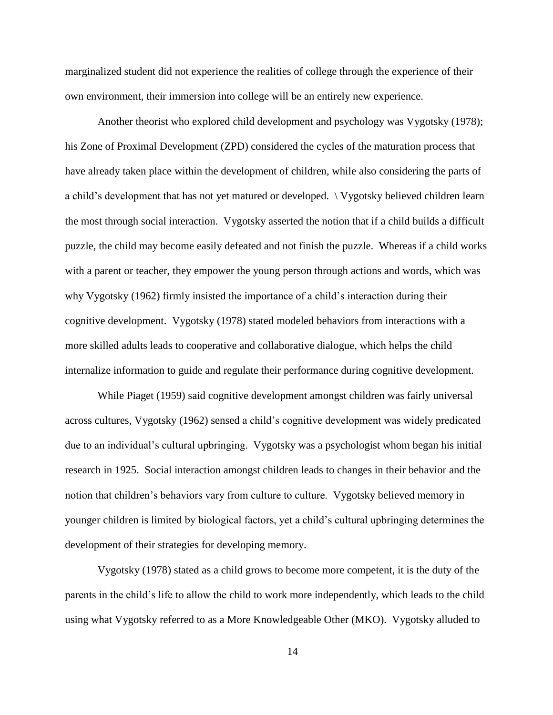marginalized student did not experience the realities of college through the experience of their own environment, their immersion into college will be an entirely new experience.

Another theorist who explored child development and psychology was Vygotsky (1978); his Zone of Proximal Development (ZPD) considered the cycles of the maturation process that have already taken place within the development of children, while also considering the parts of a child's development that has not yet matured or developed. \ Vygotsky believed children learn the most through social interaction. Vygotsky asserted the notion that if a child builds a difficult puzzle, the child may become easily defeated and not finish the puzzle. Whereas if a child works with a parent or teacher, they empower the young person through actions and words, which was why Vygotsky (1962) firmly insisted the importance of a child's interaction during their cognitive development. Vygotsky (1978) stated modeled behaviors from interactions with a more skilled adults leads to cooperative and collaborative dialogue, which helps the child internalize information to guide and regulate their performance during cognitive development.

While Piaget (1959) said cognitive development amongst children was fairly universal across cultures, Vygotsky (1962) sensed a child's cognitive development was widely predicated due to an individual's cultural upbringing. Vygotsky was a psychologist whom began his initial research in 1925. Social interaction amongst children leads to changes in their behavior and the notion that children's behaviors vary from culture to culture. Vygotsky believed memory in younger children is limited by biological factors, yet a child's cultural upbringing determines the development of their strategies for developing memory.

Vygotsky (1978) stated as a child grows to become more competent, it is the duty of the parents in the child's life to allow the child to work more independently, which leads to the child using what Vygotsky referred to as a More Knowledgeable Other (MKO). Vygotsky alluded to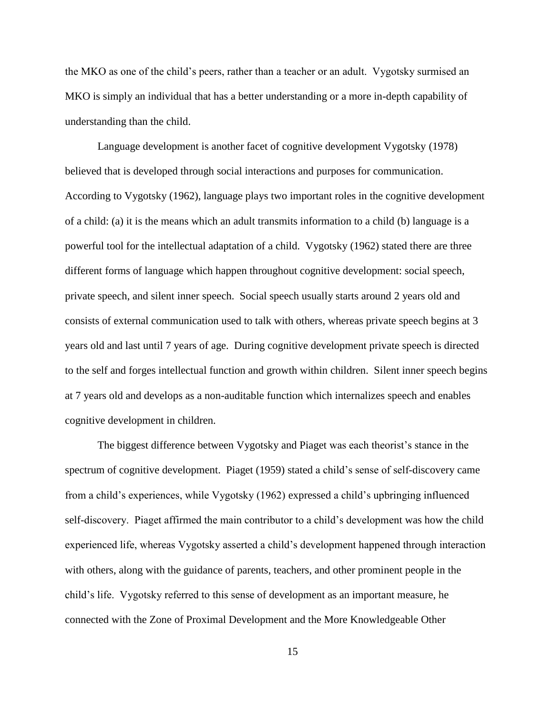the MKO as one of the child's peers, rather than a teacher or an adult. Vygotsky surmised an MKO is simply an individual that has a better understanding or a more in-depth capability of understanding than the child.

Language development is another facet of cognitive development Vygotsky (1978) believed that is developed through social interactions and purposes for communication. According to Vygotsky (1962), language plays two important roles in the cognitive development of a child: (a) it is the means which an adult transmits information to a child (b) language is a powerful tool for the intellectual adaptation of a child. Vygotsky (1962) stated there are three different forms of language which happen throughout cognitive development: social speech, private speech, and silent inner speech. Social speech usually starts around 2 years old and consists of external communication used to talk with others, whereas private speech begins at 3 years old and last until 7 years of age. During cognitive development private speech is directed to the self and forges intellectual function and growth within children. Silent inner speech begins at 7 years old and develops as a non-auditable function which internalizes speech and enables cognitive development in children.

The biggest difference between Vygotsky and Piaget was each theorist's stance in the spectrum of cognitive development. Piaget (1959) stated a child's sense of self-discovery came from a child's experiences, while Vygotsky (1962) expressed a child's upbringing influenced self-discovery. Piaget affirmed the main contributor to a child's development was how the child experienced life, whereas Vygotsky asserted a child's development happened through interaction with others, along with the guidance of parents, teachers, and other prominent people in the child's life. Vygotsky referred to this sense of development as an important measure, he connected with the Zone of Proximal Development and the More Knowledgeable Other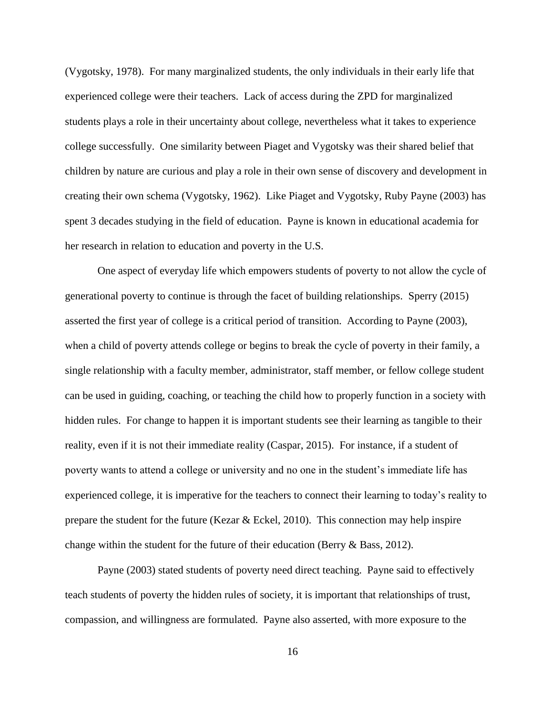(Vygotsky, 1978). For many marginalized students, the only individuals in their early life that experienced college were their teachers. Lack of access during the ZPD for marginalized students plays a role in their uncertainty about college, nevertheless what it takes to experience college successfully. One similarity between Piaget and Vygotsky was their shared belief that children by nature are curious and play a role in their own sense of discovery and development in creating their own schema (Vygotsky, 1962). Like Piaget and Vygotsky, Ruby Payne (2003) has spent 3 decades studying in the field of education. Payne is known in educational academia for her research in relation to education and poverty in the U.S.

One aspect of everyday life which empowers students of poverty to not allow the cycle of generational poverty to continue is through the facet of building relationships. Sperry (2015) asserted the first year of college is a critical period of transition. According to Payne (2003), when a child of poverty attends college or begins to break the cycle of poverty in their family, a single relationship with a faculty member, administrator, staff member, or fellow college student can be used in guiding, coaching, or teaching the child how to properly function in a society with hidden rules. For change to happen it is important students see their learning as tangible to their reality, even if it is not their immediate reality (Caspar, 2015). For instance, if a student of poverty wants to attend a college or university and no one in the student's immediate life has experienced college, it is imperative for the teachers to connect their learning to today's reality to prepare the student for the future (Kezar & Eckel, 2010). This connection may help inspire change within the student for the future of their education (Berry & Bass, 2012).

Payne (2003) stated students of poverty need direct teaching. Payne said to effectively teach students of poverty the hidden rules of society, it is important that relationships of trust, compassion, and willingness are formulated. Payne also asserted, with more exposure to the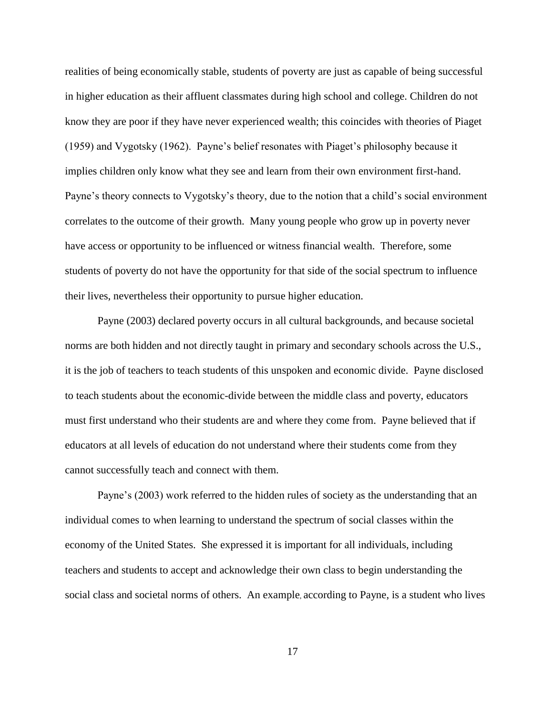realities of being economically stable, students of poverty are just as capable of being successful in higher education as their affluent classmates during high school and college. Children do not know they are poor if they have never experienced wealth; this coincides with theories of Piaget (1959) and Vygotsky (1962). Payne's belief resonates with Piaget's philosophy because it implies children only know what they see and learn from their own environment first-hand. Payne's theory connects to Vygotsky's theory, due to the notion that a child's social environment correlates to the outcome of their growth. Many young people who grow up in poverty never have access or opportunity to be influenced or witness financial wealth. Therefore, some students of poverty do not have the opportunity for that side of the social spectrum to influence their lives, nevertheless their opportunity to pursue higher education.

Payne (2003) declared poverty occurs in all cultural backgrounds, and because societal norms are both hidden and not directly taught in primary and secondary schools across the U.S., it is the job of teachers to teach students of this unspoken and economic divide. Payne disclosed to teach students about the economic-divide between the middle class and poverty, educators must first understand who their students are and where they come from. Payne believed that if educators at all levels of education do not understand where their students come from they cannot successfully teach and connect with them.

Payne's (2003) work referred to the hidden rules of society as the understanding that an individual comes to when learning to understand the spectrum of social classes within the economy of the United States. She expressed it is important for all individuals, including teachers and students to accept and acknowledge their own class to begin understanding the social class and societal norms of others. An example, according to Payne, is a student who lives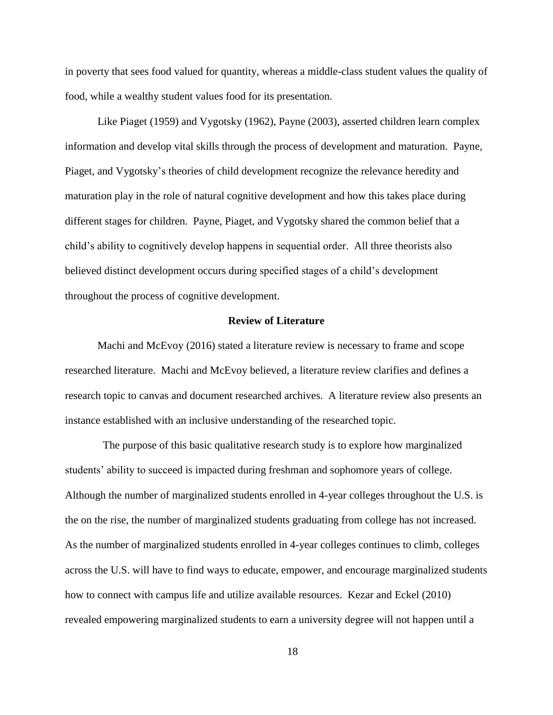in poverty that sees food valued for quantity, whereas a middle-class student values the quality of food, while a wealthy student values food for its presentation.

Like Piaget (1959) and Vygotsky (1962), Payne (2003), asserted children learn complex information and develop vital skills through the process of development and maturation. Payne, Piaget, and Vygotsky's theories of child development recognize the relevance heredity and maturation play in the role of natural cognitive development and how this takes place during different stages for children. Payne, Piaget, and Vygotsky shared the common belief that a child's ability to cognitively develop happens in sequential order. All three theorists also believed distinct development occurs during specified stages of a child's development throughout the process of cognitive development.

#### **Review of Literature**

Machi and McEvoy (2016) stated a literature review is necessary to frame and scope researched literature. Machi and McEvoy believed, a literature review clarifies and defines a research topic to canvas and document researched archives. A literature review also presents an instance established with an inclusive understanding of the researched topic.

 The purpose of this basic qualitative research study is to explore how marginalized students' ability to succeed is impacted during freshman and sophomore years of college. Although the number of marginalized students enrolled in 4-year colleges throughout the U.S. is the on the rise, the number of marginalized students graduating from college has not increased. As the number of marginalized students enrolled in 4-year colleges continues to climb, colleges across the U.S. will have to find ways to educate, empower, and encourage marginalized students how to connect with campus life and utilize available resources. Kezar and Eckel (2010) revealed empowering marginalized students to earn a university degree will not happen until a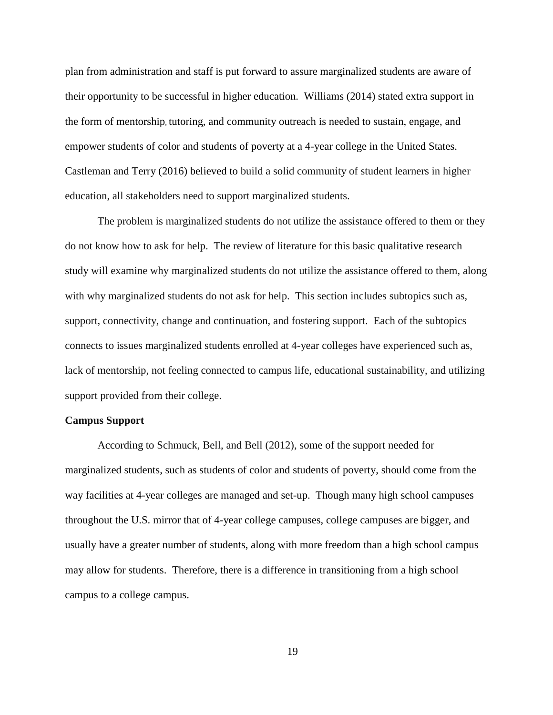plan from administration and staff is put forward to assure marginalized students are aware of their opportunity to be successful in higher education. Williams (2014) stated extra support in the form of mentorship, tutoring, and community outreach is needed to sustain, engage, and empower students of color and students of poverty at a 4-year college in the United States. Castleman and Terry (2016) believed to build a solid community of student learners in higher education, all stakeholders need to support marginalized students.

The problem is marginalized students do not utilize the assistance offered to them or they do not know how to ask for help. The review of literature for this basic qualitative research study will examine why marginalized students do not utilize the assistance offered to them, along with why marginalized students do not ask for help. This section includes subtopics such as, support, connectivity, change and continuation, and fostering support. Each of the subtopics connects to issues marginalized students enrolled at 4-year colleges have experienced such as, lack of mentorship, not feeling connected to campus life, educational sustainability, and utilizing support provided from their college.

#### **Campus Support**

According to Schmuck, Bell, and Bell (2012), some of the support needed for marginalized students, such as students of color and students of poverty, should come from the way facilities at 4-year colleges are managed and set-up. Though many high school campuses throughout the U.S. mirror that of 4-year college campuses, college campuses are bigger, and usually have a greater number of students, along with more freedom than a high school campus may allow for students. Therefore, there is a difference in transitioning from a high school campus to a college campus.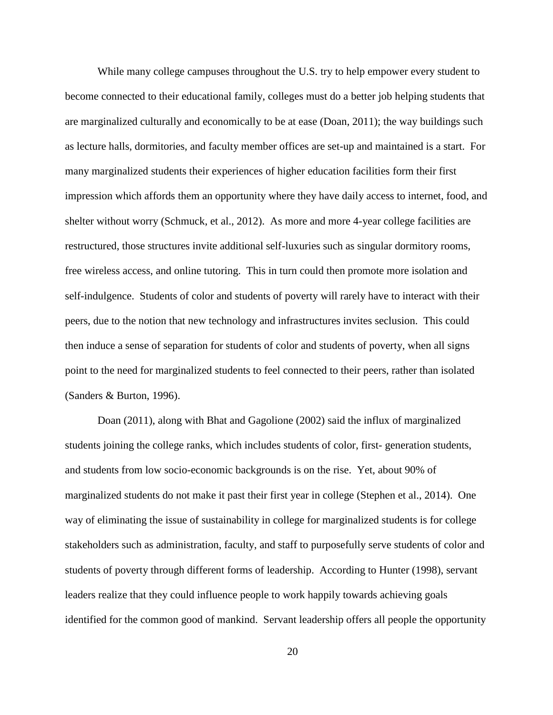While many college campuses throughout the U.S. try to help empower every student to become connected to their educational family, colleges must do a better job helping students that are marginalized culturally and economically to be at ease (Doan, 2011); the way buildings such as lecture halls, dormitories, and faculty member offices are set-up and maintained is a start. For many marginalized students their experiences of higher education facilities form their first impression which affords them an opportunity where they have daily access to internet, food, and shelter without worry (Schmuck, et al., 2012). As more and more 4-year college facilities are restructured, those structures invite additional self-luxuries such as singular dormitory rooms, free wireless access, and online tutoring. This in turn could then promote more isolation and self-indulgence. Students of color and students of poverty will rarely have to interact with their peers, due to the notion that new technology and infrastructures invites seclusion. This could then induce a sense of separation for students of color and students of poverty, when all signs point to the need for marginalized students to feel connected to their peers, rather than isolated (Sanders & Burton, 1996).

Doan (2011), along with Bhat and Gagolione (2002) said the influx of marginalized students joining the college ranks, which includes students of color, first- generation students, and students from low socio-economic backgrounds is on the rise. Yet, about 90% of marginalized students do not make it past their first year in college (Stephen et al., 2014). One way of eliminating the issue of sustainability in college for marginalized students is for college stakeholders such as administration, faculty, and staff to purposefully serve students of color and students of poverty through different forms of leadership. According to Hunter (1998), servant leaders realize that they could influence people to work happily towards achieving goals identified for the common good of mankind. Servant leadership offers all people the opportunity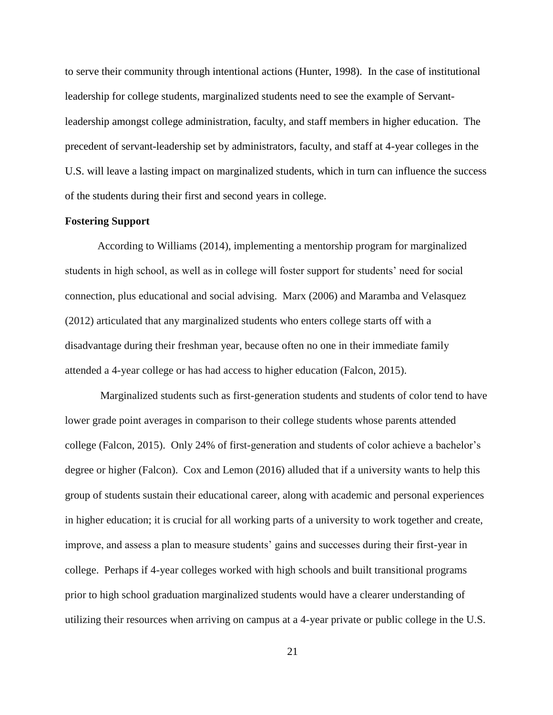to serve their community through intentional actions (Hunter, 1998). In the case of institutional leadership for college students, marginalized students need to see the example of Servantleadership amongst college administration, faculty, and staff members in higher education. The precedent of servant-leadership set by administrators, faculty, and staff at 4-year colleges in the U.S. will leave a lasting impact on marginalized students, which in turn can influence the success of the students during their first and second years in college.

#### **Fostering Support**

According to Williams (2014), implementing a mentorship program for marginalized students in high school, as well as in college will foster support for students' need for social connection, plus educational and social advising. Marx (2006) and Maramba and Velasquez (2012) articulated that any marginalized students who enters college starts off with a disadvantage during their freshman year, because often no one in their immediate family attended a 4-year college or has had access to higher education (Falcon, 2015).

Marginalized students such as first-generation students and students of color tend to have lower grade point averages in comparison to their college students whose parents attended college (Falcon, 2015). Only 24% of first-generation and students of color achieve a bachelor's degree or higher (Falcon). Cox and Lemon (2016) alluded that if a university wants to help this group of students sustain their educational career, along with academic and personal experiences in higher education; it is crucial for all working parts of a university to work together and create, improve, and assess a plan to measure students' gains and successes during their first-year in college. Perhaps if 4-year colleges worked with high schools and built transitional programs prior to high school graduation marginalized students would have a clearer understanding of utilizing their resources when arriving on campus at a 4-year private or public college in the U.S.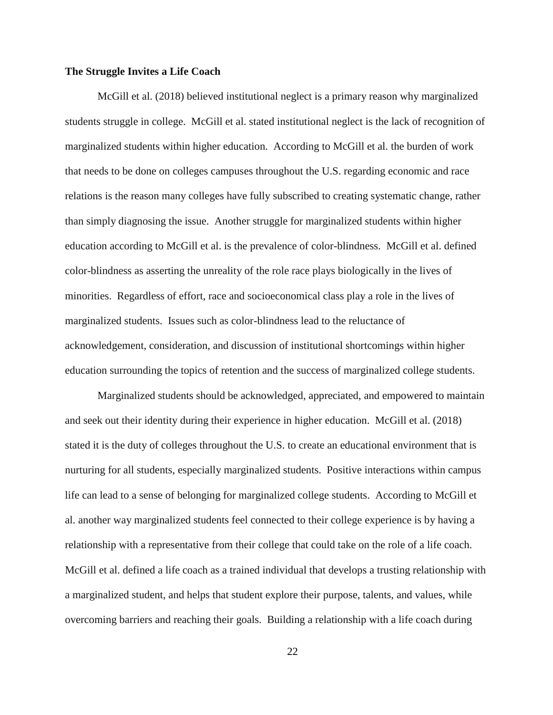#### **The Struggle Invites a Life Coach**

McGill et al. (2018) believed institutional neglect is a primary reason why marginalized students struggle in college. McGill et al. stated institutional neglect is the lack of recognition of marginalized students within higher education. According to McGill et al. the burden of work that needs to be done on colleges campuses throughout the U.S. regarding economic and race relations is the reason many colleges have fully subscribed to creating systematic change, rather than simply diagnosing the issue. Another struggle for marginalized students within higher education according to McGill et al. is the prevalence of color-blindness. McGill et al. defined color-blindness as asserting the unreality of the role race plays biologically in the lives of minorities. Regardless of effort, race and socioeconomical class play a role in the lives of marginalized students. Issues such as color-blindness lead to the reluctance of acknowledgement, consideration, and discussion of institutional shortcomings within higher education surrounding the topics of retention and the success of marginalized college students.

Marginalized students should be acknowledged, appreciated, and empowered to maintain and seek out their identity during their experience in higher education. McGill et al. (2018) stated it is the duty of colleges throughout the U.S. to create an educational environment that is nurturing for all students, especially marginalized students. Positive interactions within campus life can lead to a sense of belonging for marginalized college students. According to McGill et al. another way marginalized students feel connected to their college experience is by having a relationship with a representative from their college that could take on the role of a life coach. McGill et al. defined a life coach as a trained individual that develops a trusting relationship with a marginalized student, and helps that student explore their purpose, talents, and values, while overcoming barriers and reaching their goals. Building a relationship with a life coach during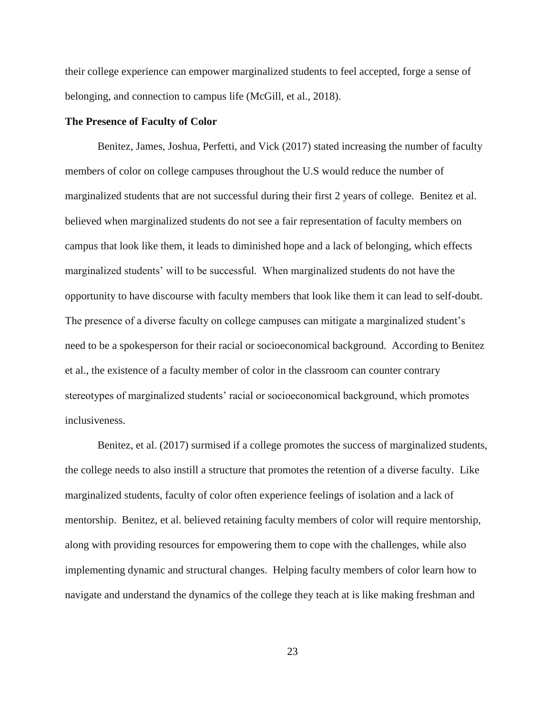their college experience can empower marginalized students to feel accepted, forge a sense of belonging, and connection to campus life (McGill, et al., 2018).

#### **The Presence of Faculty of Color**

Benitez, James, Joshua, Perfetti, and Vick (2017) stated increasing the number of faculty members of color on college campuses throughout the U.S would reduce the number of marginalized students that are not successful during their first 2 years of college. Benitez et al. believed when marginalized students do not see a fair representation of faculty members on campus that look like them, it leads to diminished hope and a lack of belonging, which effects marginalized students' will to be successful. When marginalized students do not have the opportunity to have discourse with faculty members that look like them it can lead to self-doubt. The presence of a diverse faculty on college campuses can mitigate a marginalized student's need to be a spokesperson for their racial or socioeconomical background. According to Benitez et al., the existence of a faculty member of color in the classroom can counter contrary stereotypes of marginalized students' racial or socioeconomical background, which promotes inclusiveness.

Benitez, et al. (2017) surmised if a college promotes the success of marginalized students, the college needs to also instill a structure that promotes the retention of a diverse faculty. Like marginalized students, faculty of color often experience feelings of isolation and a lack of mentorship. Benitez, et al. believed retaining faculty members of color will require mentorship, along with providing resources for empowering them to cope with the challenges, while also implementing dynamic and structural changes. Helping faculty members of color learn how to navigate and understand the dynamics of the college they teach at is like making freshman and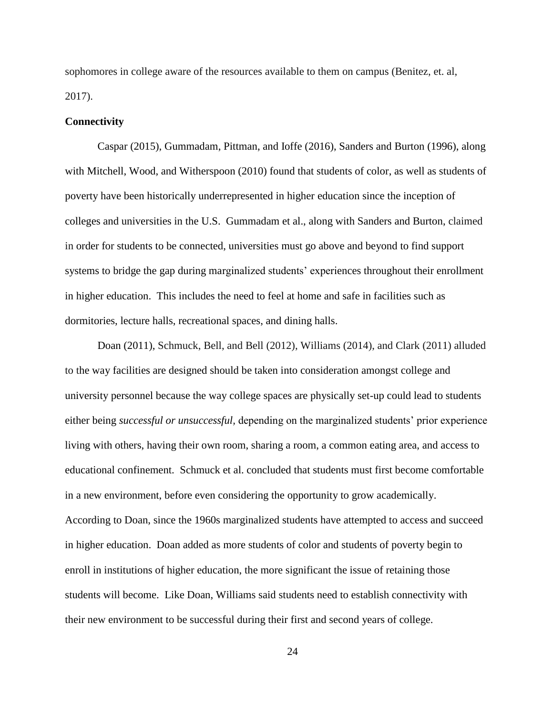sophomores in college aware of the resources available to them on campus (Benitez, et. al, 2017).

#### **Connectivity**

Caspar (2015), Gummadam, Pittman, and Ioffe (2016), Sanders and Burton (1996), along with Mitchell, Wood, and Witherspoon (2010) found that students of color, as well as students of poverty have been historically underrepresented in higher education since the inception of colleges and universities in the U.S. Gummadam et al., along with Sanders and Burton, claimed in order for students to be connected, universities must go above and beyond to find support systems to bridge the gap during marginalized students' experiences throughout their enrollment in higher education. This includes the need to feel at home and safe in facilities such as dormitories, lecture halls, recreational spaces, and dining halls.

Doan (2011), Schmuck, Bell, and Bell (2012), Williams (2014), and Clark (2011) alluded to the way facilities are designed should be taken into consideration amongst college and university personnel because the way college spaces are physically set-up could lead to students either being *successful or unsuccessful,* depending on the marginalized students' prior experience living with others, having their own room, sharing a room, a common eating area, and access to educational confinement. Schmuck et al. concluded that students must first become comfortable in a new environment, before even considering the opportunity to grow academically. According to Doan, since the 1960s marginalized students have attempted to access and succeed in higher education. Doan added as more students of color and students of poverty begin to enroll in institutions of higher education, the more significant the issue of retaining those students will become. Like Doan, Williams said students need to establish connectivity with their new environment to be successful during their first and second years of college.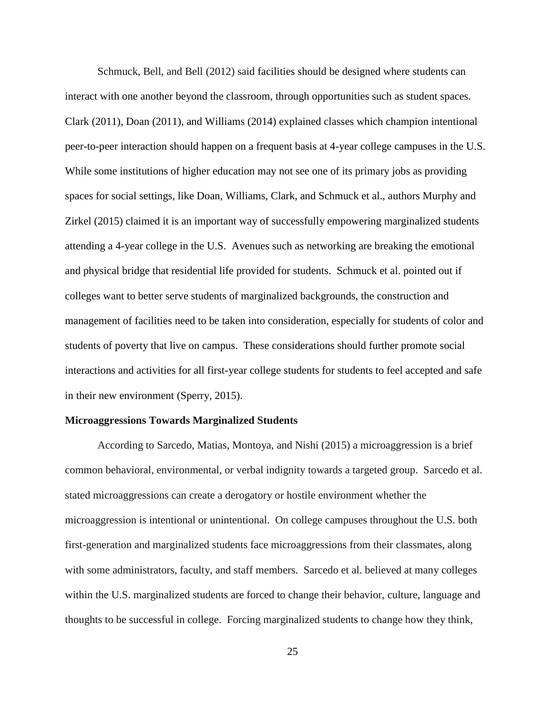Schmuck, Bell, and Bell (2012) said facilities should be designed where students can interact with one another beyond the classroom, through opportunities such as student spaces. Clark (2011), Doan (2011), and Williams (2014) explained classes which champion intentional peer-to-peer interaction should happen on a frequent basis at 4-year college campuses in the U.S. While some institutions of higher education may not see one of its primary jobs as providing spaces for social settings, like Doan, Williams, Clark, and Schmuck et al., authors Murphy and Zirkel (2015) claimed it is an important way of successfully empowering marginalized students attending a 4-year college in the U.S. Avenues such as networking are breaking the emotional and physical bridge that residential life provided for students. Schmuck et al. pointed out if colleges want to better serve students of marginalized backgrounds, the construction and management of facilities need to be taken into consideration, especially for students of color and students of poverty that live on campus. These considerations should further promote social interactions and activities for all first-year college students for students to feel accepted and safe in their new environment (Sperry, 2015).

#### **Microaggressions Towards Marginalized Students**

According to Sarcedo, Matias, Montoya, and Nishi (2015) a microaggression is a brief common behavioral, environmental, or verbal indignity towards a targeted group. Sarcedo et al. stated microaggressions can create a derogatory or hostile environment whether the microaggression is intentional or unintentional. On college campuses throughout the U.S. both first-generation and marginalized students face microaggressions from their classmates, along with some administrators, faculty, and staff members. Sarcedo et al. believed at many colleges within the U.S. marginalized students are forced to change their behavior, culture, language and thoughts to be successful in college. Forcing marginalized students to change how they think,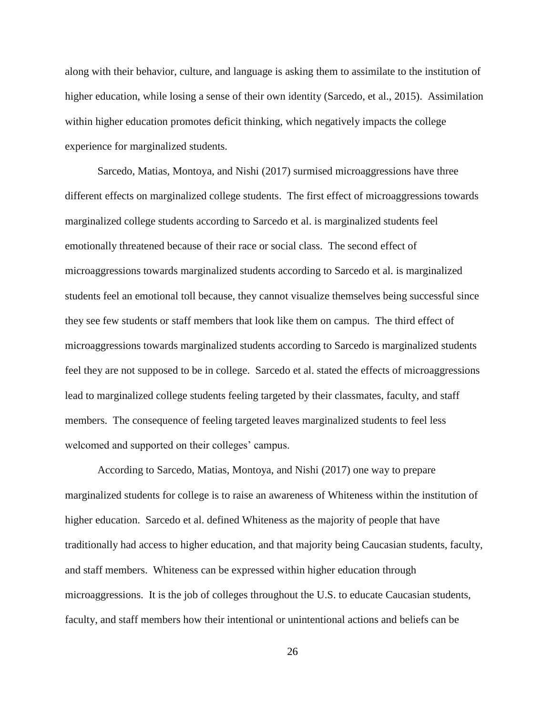along with their behavior, culture, and language is asking them to assimilate to the institution of higher education, while losing a sense of their own identity (Sarcedo, et al., 2015). Assimilation within higher education promotes deficit thinking, which negatively impacts the college experience for marginalized students.

Sarcedo, Matias, Montoya, and Nishi (2017) surmised microaggressions have three different effects on marginalized college students. The first effect of microaggressions towards marginalized college students according to Sarcedo et al. is marginalized students feel emotionally threatened because of their race or social class. The second effect of microaggressions towards marginalized students according to Sarcedo et al. is marginalized students feel an emotional toll because, they cannot visualize themselves being successful since they see few students or staff members that look like them on campus. The third effect of microaggressions towards marginalized students according to Sarcedo is marginalized students feel they are not supposed to be in college. Sarcedo et al. stated the effects of microaggressions lead to marginalized college students feeling targeted by their classmates, faculty, and staff members. The consequence of feeling targeted leaves marginalized students to feel less welcomed and supported on their colleges' campus.

According to Sarcedo, Matias, Montoya, and Nishi (2017) one way to prepare marginalized students for college is to raise an awareness of Whiteness within the institution of higher education. Sarcedo et al. defined Whiteness as the majority of people that have traditionally had access to higher education, and that majority being Caucasian students, faculty, and staff members. Whiteness can be expressed within higher education through microaggressions. It is the job of colleges throughout the U.S. to educate Caucasian students, faculty, and staff members how their intentional or unintentional actions and beliefs can be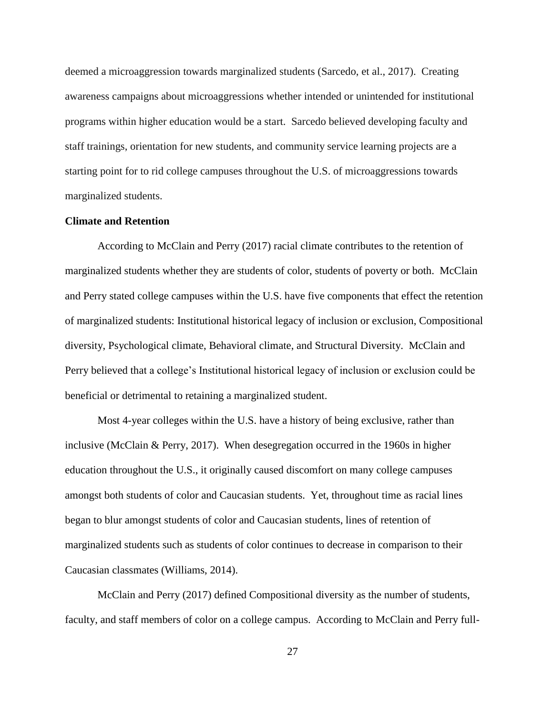deemed a microaggression towards marginalized students (Sarcedo, et al., 2017). Creating awareness campaigns about microaggressions whether intended or unintended for institutional programs within higher education would be a start. Sarcedo believed developing faculty and staff trainings, orientation for new students, and community service learning projects are a starting point for to rid college campuses throughout the U.S. of microaggressions towards marginalized students.

## **Climate and Retention**

According to McClain and Perry (2017) racial climate contributes to the retention of marginalized students whether they are students of color, students of poverty or both. McClain and Perry stated college campuses within the U.S. have five components that effect the retention of marginalized students: Institutional historical legacy of inclusion or exclusion, Compositional diversity, Psychological climate, Behavioral climate, and Structural Diversity. McClain and Perry believed that a college's Institutional historical legacy of inclusion or exclusion could be beneficial or detrimental to retaining a marginalized student.

Most 4-year colleges within the U.S. have a history of being exclusive, rather than inclusive (McClain & Perry, 2017). When desegregation occurred in the 1960s in higher education throughout the U.S., it originally caused discomfort on many college campuses amongst both students of color and Caucasian students. Yet, throughout time as racial lines began to blur amongst students of color and Caucasian students, lines of retention of marginalized students such as students of color continues to decrease in comparison to their Caucasian classmates (Williams, 2014).

McClain and Perry (2017) defined Compositional diversity as the number of students, faculty, and staff members of color on a college campus. According to McClain and Perry full-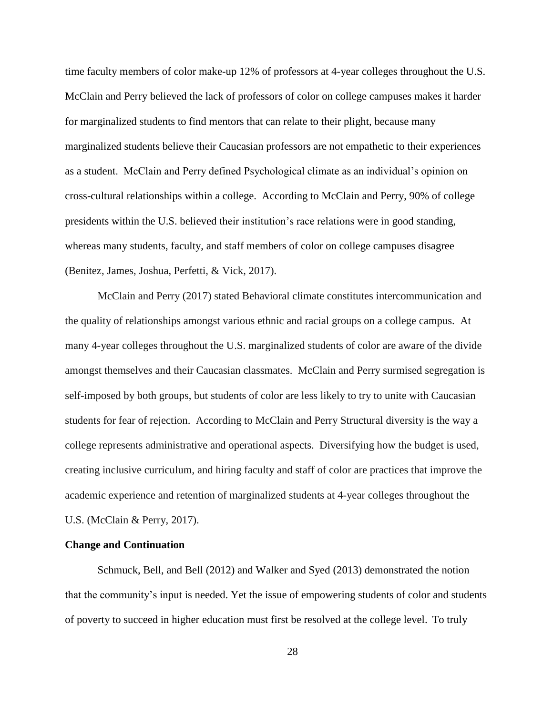time faculty members of color make-up 12% of professors at 4-year colleges throughout the U.S. McClain and Perry believed the lack of professors of color on college campuses makes it harder for marginalized students to find mentors that can relate to their plight, because many marginalized students believe their Caucasian professors are not empathetic to their experiences as a student. McClain and Perry defined Psychological climate as an individual's opinion on cross-cultural relationships within a college. According to McClain and Perry, 90% of college presidents within the U.S. believed their institution's race relations were in good standing, whereas many students, faculty, and staff members of color on college campuses disagree (Benitez, James, Joshua, Perfetti, & Vick, 2017).

McClain and Perry (2017) stated Behavioral climate constitutes intercommunication and the quality of relationships amongst various ethnic and racial groups on a college campus. At many 4-year colleges throughout the U.S. marginalized students of color are aware of the divide amongst themselves and their Caucasian classmates. McClain and Perry surmised segregation is self-imposed by both groups, but students of color are less likely to try to unite with Caucasian students for fear of rejection. According to McClain and Perry Structural diversity is the way a college represents administrative and operational aspects. Diversifying how the budget is used, creating inclusive curriculum, and hiring faculty and staff of color are practices that improve the academic experience and retention of marginalized students at 4-year colleges throughout the U.S. (McClain & Perry, 2017).

#### **Change and Continuation**

Schmuck, Bell, and Bell (2012) and Walker and Syed (2013) demonstrated the notion that the community's input is needed. Yet the issue of empowering students of color and students of poverty to succeed in higher education must first be resolved at the college level. To truly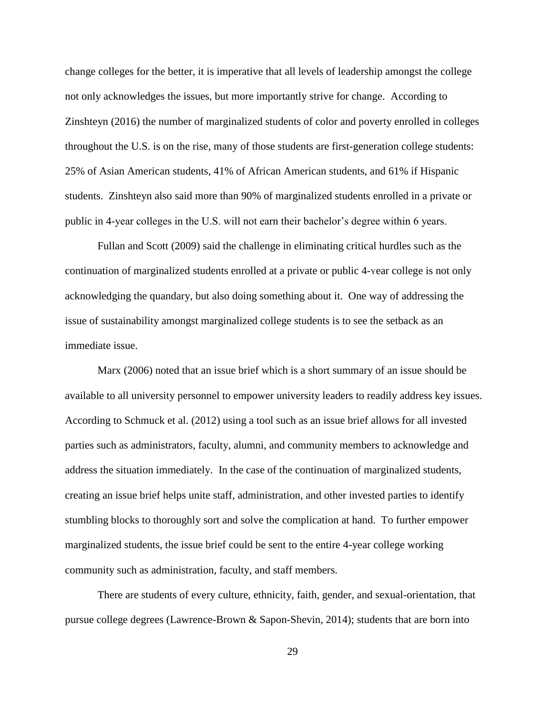change colleges for the better, it is imperative that all levels of leadership amongst the college not only acknowledges the issues, but more importantly strive for change. According to Zinshteyn (2016) the number of marginalized students of color and poverty enrolled in colleges throughout the U.S. is on the rise, many of those students are first-generation college students: 25% of Asian American students, 41% of African American students, and 61% if Hispanic students. Zinshteyn also said more than 90% of marginalized students enrolled in a private or public in 4-year colleges in the U.S. will not earn their bachelor's degree within 6 years.

Fullan and Scott (2009) said the challenge in eliminating critical hurdles such as the continuation of marginalized students enrolled at a private or public 4-year college is not only acknowledging the quandary, but also doing something about it. One way of addressing the issue of sustainability amongst marginalized college students is to see the setback as an immediate issue.

Marx (2006) noted that an issue brief which is a short summary of an issue should be available to all university personnel to empower university leaders to readily address key issues. According to Schmuck et al. (2012) using a tool such as an issue brief allows for all invested parties such as administrators, faculty, alumni, and community members to acknowledge and address the situation immediately. In the case of the continuation of marginalized students, creating an issue brief helps unite staff, administration, and other invested parties to identify stumbling blocks to thoroughly sort and solve the complication at hand. To further empower marginalized students, the issue brief could be sent to the entire 4-year college working community such as administration, faculty, and staff members.

There are students of every culture, ethnicity, faith, gender, and sexual-orientation, that pursue college degrees (Lawrence-Brown & Sapon-Shevin, 2014); students that are born into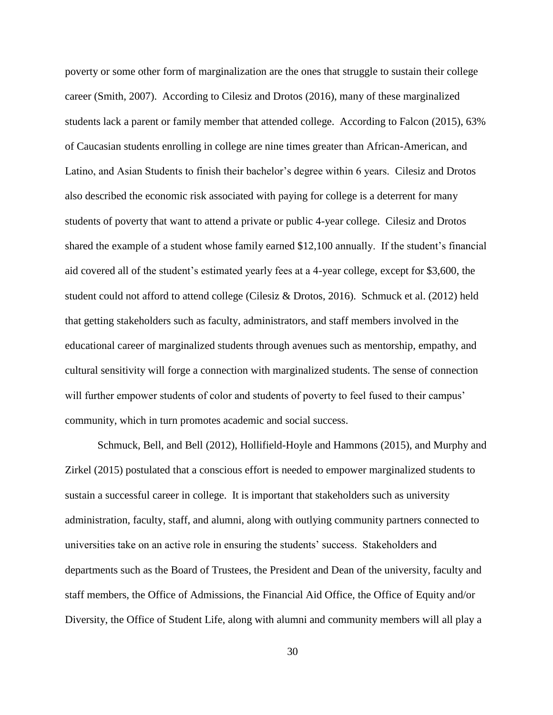poverty or some other form of marginalization are the ones that struggle to sustain their college career (Smith, 2007). According to Cilesiz and Drotos (2016), many of these marginalized students lack a parent or family member that attended college. According to Falcon (2015), 63% of Caucasian students enrolling in college are nine times greater than African-American, and Latino, and Asian Students to finish their bachelor's degree within 6 years. Cilesiz and Drotos also described the economic risk associated with paying for college is a deterrent for many students of poverty that want to attend a private or public 4-year college. Cilesiz and Drotos shared the example of a student whose family earned \$12,100 annually. If the student's financial aid covered all of the student's estimated yearly fees at a 4-year college, except for \$3,600, the student could not afford to attend college (Cilesiz & Drotos, 2016). Schmuck et al. (2012) held that getting stakeholders such as faculty, administrators, and staff members involved in the educational career of marginalized students through avenues such as mentorship, empathy, and cultural sensitivity will forge a connection with marginalized students. The sense of connection will further empower students of color and students of poverty to feel fused to their campus' community, which in turn promotes academic and social success.

Schmuck, Bell, and Bell (2012), Hollifield-Hoyle and Hammons (2015), and Murphy and Zirkel (2015) postulated that a conscious effort is needed to empower marginalized students to sustain a successful career in college. It is important that stakeholders such as university administration, faculty, staff, and alumni, along with outlying community partners connected to universities take on an active role in ensuring the students' success. Stakeholders and departments such as the Board of Trustees, the President and Dean of the university, faculty and staff members, the Office of Admissions, the Financial Aid Office, the Office of Equity and/or Diversity, the Office of Student Life, along with alumni and community members will all play a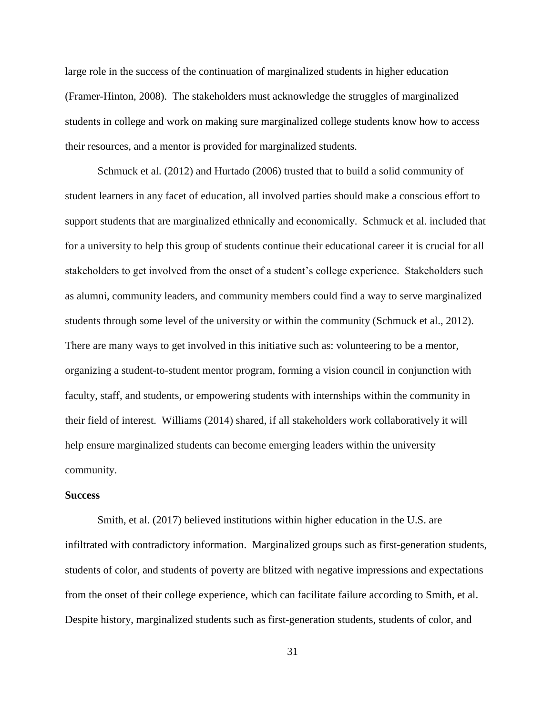large role in the success of the continuation of marginalized students in higher education (Framer-Hinton, 2008). The stakeholders must acknowledge the struggles of marginalized students in college and work on making sure marginalized college students know how to access their resources, and a mentor is provided for marginalized students.

Schmuck et al. (2012) and Hurtado (2006) trusted that to build a solid community of student learners in any facet of education, all involved parties should make a conscious effort to support students that are marginalized ethnically and economically. Schmuck et al. included that for a university to help this group of students continue their educational career it is crucial for all stakeholders to get involved from the onset of a student's college experience. Stakeholders such as alumni, community leaders, and community members could find a way to serve marginalized students through some level of the university or within the community (Schmuck et al., 2012). There are many ways to get involved in this initiative such as: volunteering to be a mentor, organizing a student-to-student mentor program, forming a vision council in conjunction with faculty, staff, and students, or empowering students with internships within the community in their field of interest. Williams (2014) shared, if all stakeholders work collaboratively it will help ensure marginalized students can become emerging leaders within the university community.

## **Success**

Smith, et al. (2017) believed institutions within higher education in the U.S. are infiltrated with contradictory information. Marginalized groups such as first-generation students, students of color, and students of poverty are blitzed with negative impressions and expectations from the onset of their college experience, which can facilitate failure according to Smith, et al. Despite history, marginalized students such as first-generation students, students of color, and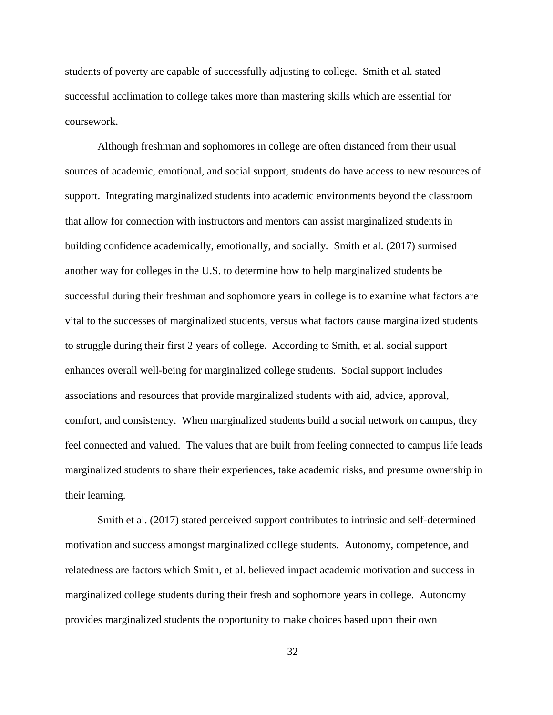students of poverty are capable of successfully adjusting to college. Smith et al. stated successful acclimation to college takes more than mastering skills which are essential for coursework.

Although freshman and sophomores in college are often distanced from their usual sources of academic, emotional, and social support, students do have access to new resources of support. Integrating marginalized students into academic environments beyond the classroom that allow for connection with instructors and mentors can assist marginalized students in building confidence academically, emotionally, and socially. Smith et al. (2017) surmised another way for colleges in the U.S. to determine how to help marginalized students be successful during their freshman and sophomore years in college is to examine what factors are vital to the successes of marginalized students, versus what factors cause marginalized students to struggle during their first 2 years of college. According to Smith, et al. social support enhances overall well-being for marginalized college students. Social support includes associations and resources that provide marginalized students with aid, advice, approval, comfort, and consistency. When marginalized students build a social network on campus, they feel connected and valued. The values that are built from feeling connected to campus life leads marginalized students to share their experiences, take academic risks, and presume ownership in their learning.

Smith et al. (2017) stated perceived support contributes to intrinsic and self-determined motivation and success amongst marginalized college students. Autonomy, competence, and relatedness are factors which Smith, et al. believed impact academic motivation and success in marginalized college students during their fresh and sophomore years in college. Autonomy provides marginalized students the opportunity to make choices based upon their own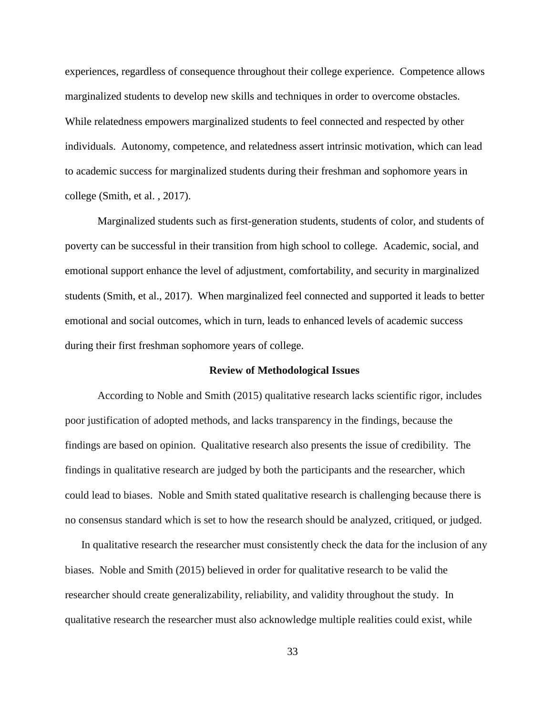experiences, regardless of consequence throughout their college experience. Competence allows marginalized students to develop new skills and techniques in order to overcome obstacles. While relatedness empowers marginalized students to feel connected and respected by other individuals. Autonomy, competence, and relatedness assert intrinsic motivation, which can lead to academic success for marginalized students during their freshman and sophomore years in college (Smith, et al. , 2017).

Marginalized students such as first-generation students, students of color, and students of poverty can be successful in their transition from high school to college. Academic, social, and emotional support enhance the level of adjustment, comfortability, and security in marginalized students (Smith, et al., 2017). When marginalized feel connected and supported it leads to better emotional and social outcomes, which in turn, leads to enhanced levels of academic success during their first freshman sophomore years of college.

## **Review of Methodological Issues**

According to Noble and Smith (2015) qualitative research lacks scientific rigor, includes poor justification of adopted methods, and lacks transparency in the findings, because the findings are based on opinion. Qualitative research also presents the issue of credibility. The findings in qualitative research are judged by both the participants and the researcher, which could lead to biases. Noble and Smith stated qualitative research is challenging because there is no consensus standard which is set to how the research should be analyzed, critiqued, or judged.

In qualitative research the researcher must consistently check the data for the inclusion of any biases. Noble and Smith (2015) believed in order for qualitative research to be valid the researcher should create generalizability, reliability, and validity throughout the study. In qualitative research the researcher must also acknowledge multiple realities could exist, while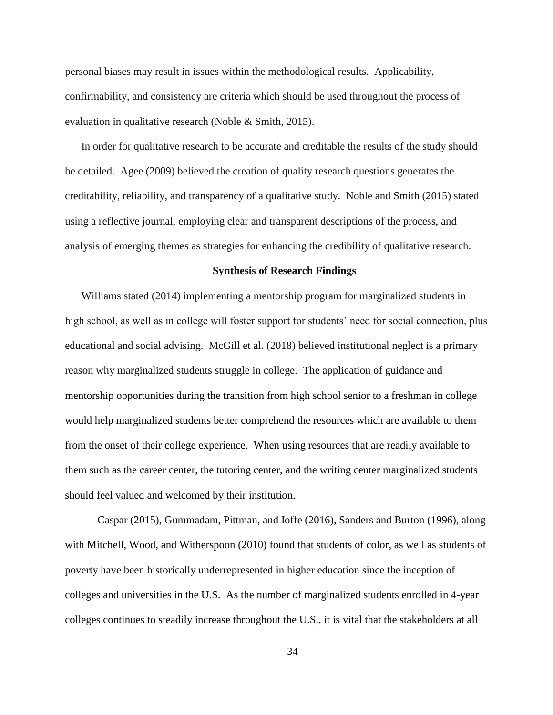personal biases may result in issues within the methodological results. Applicability, confirmability, and consistency are criteria which should be used throughout the process of evaluation in qualitative research (Noble & Smith, 2015).

In order for qualitative research to be accurate and creditable the results of the study should be detailed. Agee (2009) believed the creation of quality research questions generates the creditability, reliability, and transparency of a qualitative study. Noble and Smith (2015) stated using a reflective journal, employing clear and transparent descriptions of the process, and analysis of emerging themes as strategies for enhancing the credibility of qualitative research.

# **Synthesis of Research Findings**

Williams stated (2014) implementing a mentorship program for marginalized students in high school, as well as in college will foster support for students' need for social connection, plus educational and social advising. McGill et al. (2018) believed institutional neglect is a primary reason why marginalized students struggle in college. The application of guidance and mentorship opportunities during the transition from high school senior to a freshman in college would help marginalized students better comprehend the resources which are available to them from the onset of their college experience. When using resources that are readily available to them such as the career center, the tutoring center, and the writing center marginalized students should feel valued and welcomed by their institution.

Caspar (2015), Gummadam, Pittman, and Ioffe (2016), Sanders and Burton (1996), along with Mitchell, Wood, and Witherspoon (2010) found that students of color, as well as students of poverty have been historically underrepresented in higher education since the inception of colleges and universities in the U.S. As the number of marginalized students enrolled in 4-year colleges continues to steadily increase throughout the U.S., it is vital that the stakeholders at all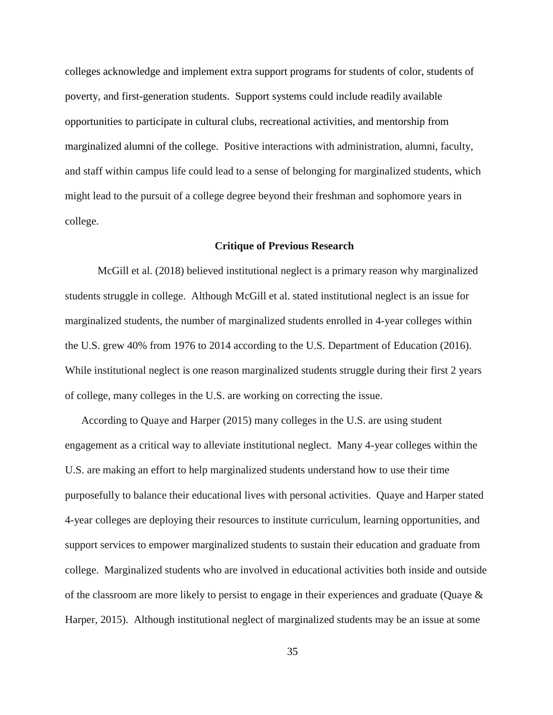colleges acknowledge and implement extra support programs for students of color, students of poverty, and first-generation students. Support systems could include readily available opportunities to participate in cultural clubs, recreational activities, and mentorship from marginalized alumni of the college. Positive interactions with administration, alumni, faculty, and staff within campus life could lead to a sense of belonging for marginalized students, which might lead to the pursuit of a college degree beyond their freshman and sophomore years in college.

## **Critique of Previous Research**

McGill et al. (2018) believed institutional neglect is a primary reason why marginalized students struggle in college. Although McGill et al. stated institutional neglect is an issue for marginalized students, the number of marginalized students enrolled in 4-year colleges within the U.S. grew 40% from 1976 to 2014 according to the U.S. Department of Education (2016). While institutional neglect is one reason marginalized students struggle during their first 2 years of college, many colleges in the U.S. are working on correcting the issue.

According to Quaye and Harper (2015) many colleges in the U.S. are using student engagement as a critical way to alleviate institutional neglect. Many 4-year colleges within the U.S. are making an effort to help marginalized students understand how to use their time purposefully to balance their educational lives with personal activities. Quaye and Harper stated 4-year colleges are deploying their resources to institute curriculum, learning opportunities, and support services to empower marginalized students to sustain their education and graduate from college. Marginalized students who are involved in educational activities both inside and outside of the classroom are more likely to persist to engage in their experiences and graduate (Quaye & Harper, 2015). Although institutional neglect of marginalized students may be an issue at some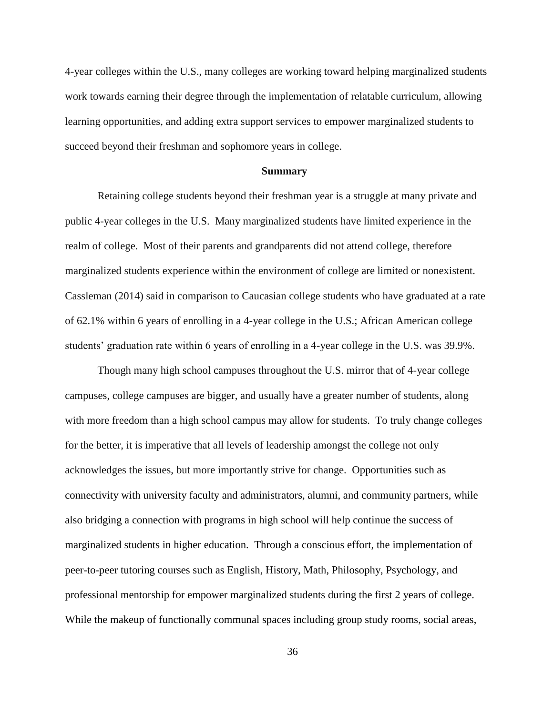4-year colleges within the U.S., many colleges are working toward helping marginalized students work towards earning their degree through the implementation of relatable curriculum, allowing learning opportunities, and adding extra support services to empower marginalized students to succeed beyond their freshman and sophomore years in college.

#### **Summary**

Retaining college students beyond their freshman year is a struggle at many private and public 4-year colleges in the U.S. Many marginalized students have limited experience in the realm of college. Most of their parents and grandparents did not attend college, therefore marginalized students experience within the environment of college are limited or nonexistent. Cassleman (2014) said in comparison to Caucasian college students who have graduated at a rate of 62.1% within 6 years of enrolling in a 4-year college in the U.S.; African American college students' graduation rate within 6 years of enrolling in a 4-year college in the U.S. was 39.9%.

Though many high school campuses throughout the U.S. mirror that of 4-year college campuses, college campuses are bigger, and usually have a greater number of students, along with more freedom than a high school campus may allow for students. To truly change colleges for the better, it is imperative that all levels of leadership amongst the college not only acknowledges the issues, but more importantly strive for change. Opportunities such as connectivity with university faculty and administrators, alumni, and community partners, while also bridging a connection with programs in high school will help continue the success of marginalized students in higher education. Through a conscious effort, the implementation of peer-to-peer tutoring courses such as English, History, Math, Philosophy, Psychology, and professional mentorship for empower marginalized students during the first 2 years of college. While the makeup of functionally communal spaces including group study rooms, social areas,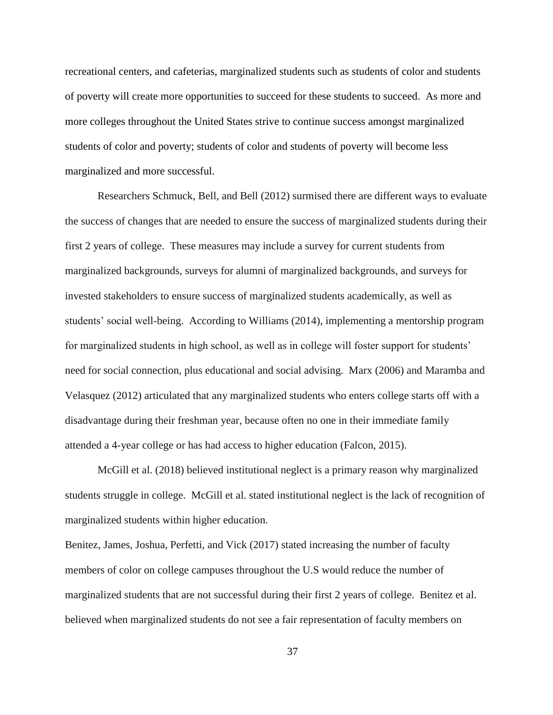recreational centers, and cafeterias, marginalized students such as students of color and students of poverty will create more opportunities to succeed for these students to succeed. As more and more colleges throughout the United States strive to continue success amongst marginalized students of color and poverty; students of color and students of poverty will become less marginalized and more successful.

Researchers Schmuck, Bell, and Bell (2012) surmised there are different ways to evaluate the success of changes that are needed to ensure the success of marginalized students during their first 2 years of college. These measures may include a survey for current students from marginalized backgrounds, surveys for alumni of marginalized backgrounds, and surveys for invested stakeholders to ensure success of marginalized students academically, as well as students' social well-being. According to Williams (2014), implementing a mentorship program for marginalized students in high school, as well as in college will foster support for students' need for social connection, plus educational and social advising. Marx (2006) and Maramba and Velasquez (2012) articulated that any marginalized students who enters college starts off with a disadvantage during their freshman year, because often no one in their immediate family attended a 4-year college or has had access to higher education (Falcon, 2015).

McGill et al. (2018) believed institutional neglect is a primary reason why marginalized students struggle in college. McGill et al. stated institutional neglect is the lack of recognition of marginalized students within higher education.

Benitez, James, Joshua, Perfetti, and Vick (2017) stated increasing the number of faculty members of color on college campuses throughout the U.S would reduce the number of marginalized students that are not successful during their first 2 years of college. Benitez et al. believed when marginalized students do not see a fair representation of faculty members on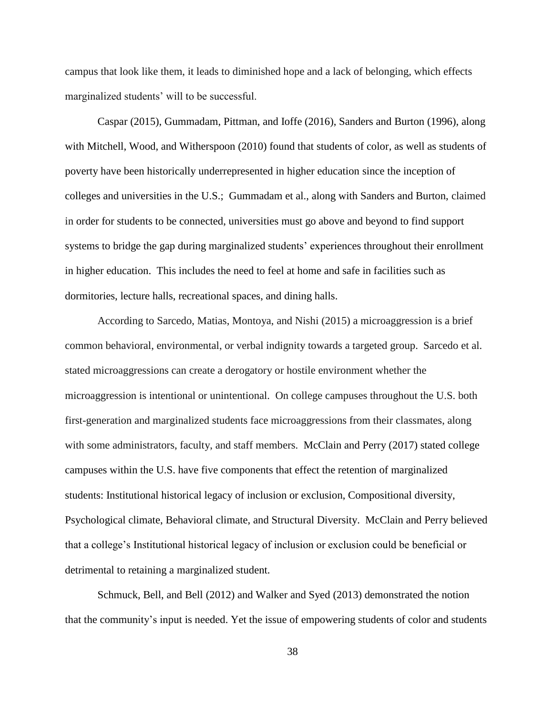campus that look like them, it leads to diminished hope and a lack of belonging, which effects marginalized students' will to be successful.

Caspar (2015), Gummadam, Pittman, and Ioffe (2016), Sanders and Burton (1996), along with Mitchell, Wood, and Witherspoon (2010) found that students of color, as well as students of poverty have been historically underrepresented in higher education since the inception of colleges and universities in the U.S.; Gummadam et al., along with Sanders and Burton, claimed in order for students to be connected, universities must go above and beyond to find support systems to bridge the gap during marginalized students' experiences throughout their enrollment in higher education. This includes the need to feel at home and safe in facilities such as dormitories, lecture halls, recreational spaces, and dining halls.

According to Sarcedo, Matias, Montoya, and Nishi (2015) a microaggression is a brief common behavioral, environmental, or verbal indignity towards a targeted group. Sarcedo et al. stated microaggressions can create a derogatory or hostile environment whether the microaggression is intentional or unintentional. On college campuses throughout the U.S. both first-generation and marginalized students face microaggressions from their classmates, along with some administrators, faculty, and staff members. McClain and Perry (2017) stated college campuses within the U.S. have five components that effect the retention of marginalized students: Institutional historical legacy of inclusion or exclusion, Compositional diversity, Psychological climate, Behavioral climate, and Structural Diversity. McClain and Perry believed that a college's Institutional historical legacy of inclusion or exclusion could be beneficial or detrimental to retaining a marginalized student.

Schmuck, Bell, and Bell (2012) and Walker and Syed (2013) demonstrated the notion that the community's input is needed. Yet the issue of empowering students of color and students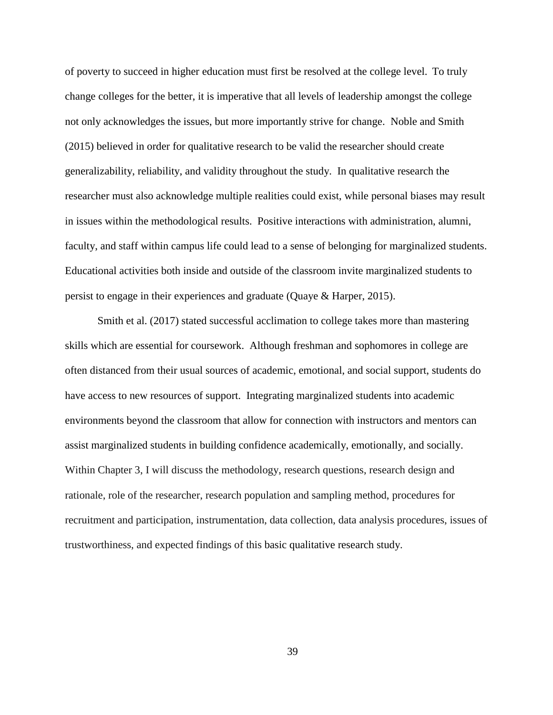of poverty to succeed in higher education must first be resolved at the college level. To truly change colleges for the better, it is imperative that all levels of leadership amongst the college not only acknowledges the issues, but more importantly strive for change. Noble and Smith (2015) believed in order for qualitative research to be valid the researcher should create generalizability, reliability, and validity throughout the study. In qualitative research the researcher must also acknowledge multiple realities could exist, while personal biases may result in issues within the methodological results. Positive interactions with administration, alumni, faculty, and staff within campus life could lead to a sense of belonging for marginalized students. Educational activities both inside and outside of the classroom invite marginalized students to persist to engage in their experiences and graduate (Quaye & Harper, 2015).

Smith et al. (2017) stated successful acclimation to college takes more than mastering skills which are essential for coursework. Although freshman and sophomores in college are often distanced from their usual sources of academic, emotional, and social support, students do have access to new resources of support. Integrating marginalized students into academic environments beyond the classroom that allow for connection with instructors and mentors can assist marginalized students in building confidence academically, emotionally, and socially. Within Chapter 3, I will discuss the methodology, research questions, research design and rationale, role of the researcher, research population and sampling method, procedures for recruitment and participation, instrumentation, data collection, data analysis procedures, issues of trustworthiness, and expected findings of this basic qualitative research study.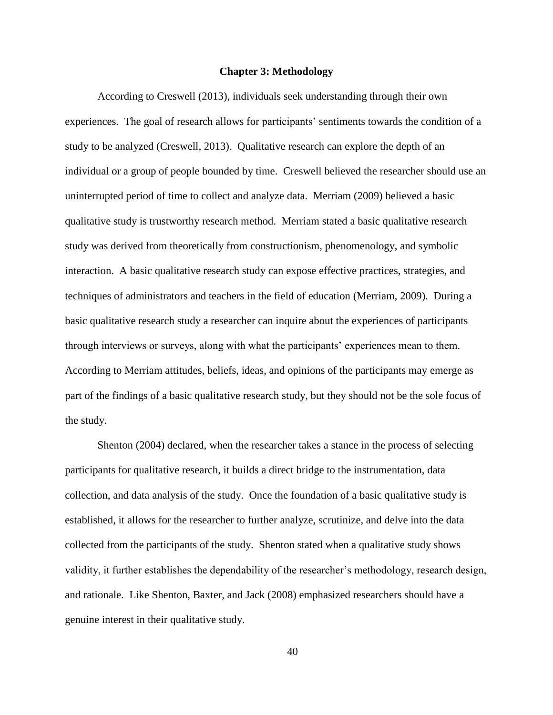#### **Chapter 3: Methodology**

According to Creswell (2013), individuals seek understanding through their own experiences. The goal of research allows for participants' sentiments towards the condition of a study to be analyzed (Creswell, 2013). Qualitative research can explore the depth of an individual or a group of people bounded by time. Creswell believed the researcher should use an uninterrupted period of time to collect and analyze data. Merriam (2009) believed a basic qualitative study is trustworthy research method. Merriam stated a basic qualitative research study was derived from theoretically from constructionism, phenomenology, and symbolic interaction. A basic qualitative research study can expose effective practices, strategies, and techniques of administrators and teachers in the field of education (Merriam, 2009). During a basic qualitative research study a researcher can inquire about the experiences of participants through interviews or surveys, along with what the participants' experiences mean to them. According to Merriam attitudes, beliefs, ideas, and opinions of the participants may emerge as part of the findings of a basic qualitative research study, but they should not be the sole focus of the study.

Shenton (2004) declared, when the researcher takes a stance in the process of selecting participants for qualitative research, it builds a direct bridge to the instrumentation, data collection, and data analysis of the study. Once the foundation of a basic qualitative study is established, it allows for the researcher to further analyze, scrutinize, and delve into the data collected from the participants of the study. Shenton stated when a qualitative study shows validity, it further establishes the dependability of the researcher's methodology, research design, and rationale. Like Shenton, Baxter, and Jack (2008) emphasized researchers should have a genuine interest in their qualitative study.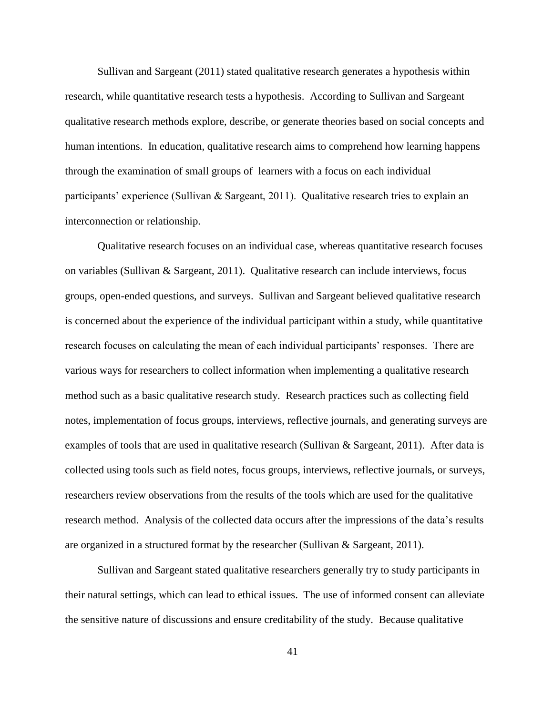Sullivan and Sargeant (2011) stated qualitative research generates a hypothesis within research, while quantitative research tests a hypothesis. According to Sullivan and Sargeant qualitative research methods explore, describe, or generate theories based on social concepts and human intentions. In education, qualitative research aims to comprehend how learning happens through the examination of small groups of learners with a focus on each individual participants' experience (Sullivan & Sargeant, 2011). Qualitative research tries to explain an interconnection or relationship.

Qualitative research focuses on an individual case, whereas quantitative research focuses on variables (Sullivan & Sargeant, 2011). Qualitative research can include interviews, focus groups, open-ended questions, and surveys. Sullivan and Sargeant believed qualitative research is concerned about the experience of the individual participant within a study, while quantitative research focuses on calculating the mean of each individual participants' responses. There are various ways for researchers to collect information when implementing a qualitative research method such as a basic qualitative research study. Research practices such as collecting field notes, implementation of focus groups, interviews, reflective journals, and generating surveys are examples of tools that are used in qualitative research (Sullivan & Sargeant, 2011). After data is collected using tools such as field notes, focus groups, interviews, reflective journals, or surveys, researchers review observations from the results of the tools which are used for the qualitative research method. Analysis of the collected data occurs after the impressions of the data's results are organized in a structured format by the researcher (Sullivan & Sargeant, 2011).

Sullivan and Sargeant stated qualitative researchers generally try to study participants in their natural settings, which can lead to ethical issues. The use of informed consent can alleviate the sensitive nature of discussions and ensure creditability of the study. Because qualitative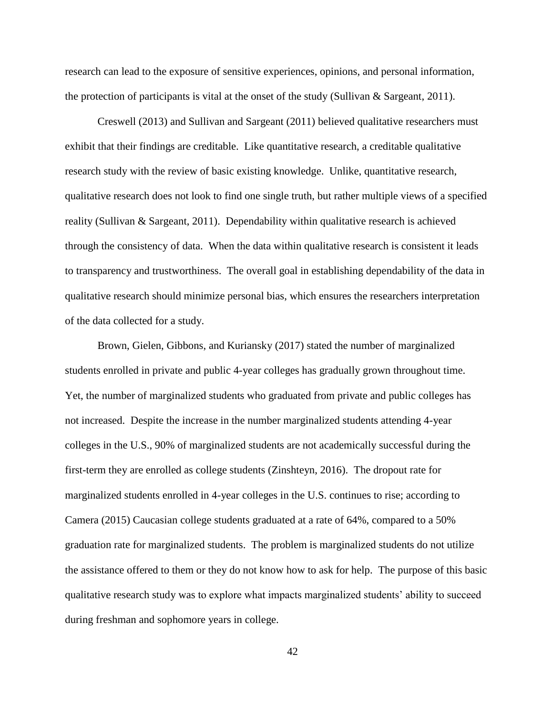research can lead to the exposure of sensitive experiences, opinions, and personal information, the protection of participants is vital at the onset of the study (Sullivan & Sargeant, 2011).

Creswell (2013) and Sullivan and Sargeant (2011) believed qualitative researchers must exhibit that their findings are creditable. Like quantitative research, a creditable qualitative research study with the review of basic existing knowledge. Unlike, quantitative research, qualitative research does not look to find one single truth, but rather multiple views of a specified reality (Sullivan & Sargeant, 2011). Dependability within qualitative research is achieved through the consistency of data. When the data within qualitative research is consistent it leads to transparency and trustworthiness. The overall goal in establishing dependability of the data in qualitative research should minimize personal bias, which ensures the researchers interpretation of the data collected for a study.

Brown, Gielen, Gibbons, and Kuriansky (2017) stated the number of marginalized students enrolled in private and public 4-year colleges has gradually grown throughout time. Yet, the number of marginalized students who graduated from private and public colleges has not increased. Despite the increase in the number marginalized students attending 4-year colleges in the U.S., 90% of marginalized students are not academically successful during the first-term they are enrolled as college students (Zinshteyn, 2016). The dropout rate for marginalized students enrolled in 4-year colleges in the U.S. continues to rise; according to Camera (2015) Caucasian college students graduated at a rate of 64%, compared to a 50% graduation rate for marginalized students. The problem is marginalized students do not utilize the assistance offered to them or they do not know how to ask for help. The purpose of this basic qualitative research study was to explore what impacts marginalized students' ability to succeed during freshman and sophomore years in college.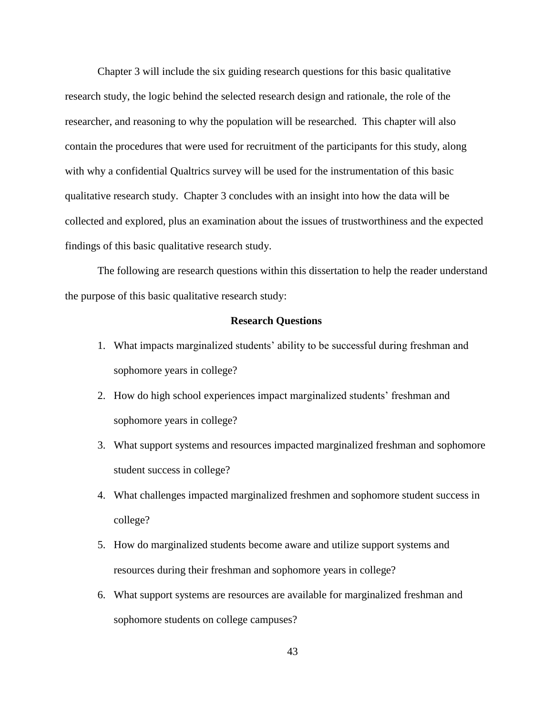Chapter 3 will include the six guiding research questions for this basic qualitative research study, the logic behind the selected research design and rationale, the role of the researcher, and reasoning to why the population will be researched. This chapter will also contain the procedures that were used for recruitment of the participants for this study, along with why a confidential Qualtrics survey will be used for the instrumentation of this basic qualitative research study. Chapter 3 concludes with an insight into how the data will be collected and explored, plus an examination about the issues of trustworthiness and the expected findings of this basic qualitative research study.

The following are research questions within this dissertation to help the reader understand the purpose of this basic qualitative research study:

#### **Research Questions**

- 1. What impacts marginalized students' ability to be successful during freshman and sophomore years in college?
- 2. How do high school experiences impact marginalized students' freshman and sophomore years in college?
- 3. What support systems and resources impacted marginalized freshman and sophomore student success in college?
- 4. What challenges impacted marginalized freshmen and sophomore student success in college?
- 5. How do marginalized students become aware and utilize support systems and resources during their freshman and sophomore years in college?
- 6. What support systems are resources are available for marginalized freshman and sophomore students on college campuses?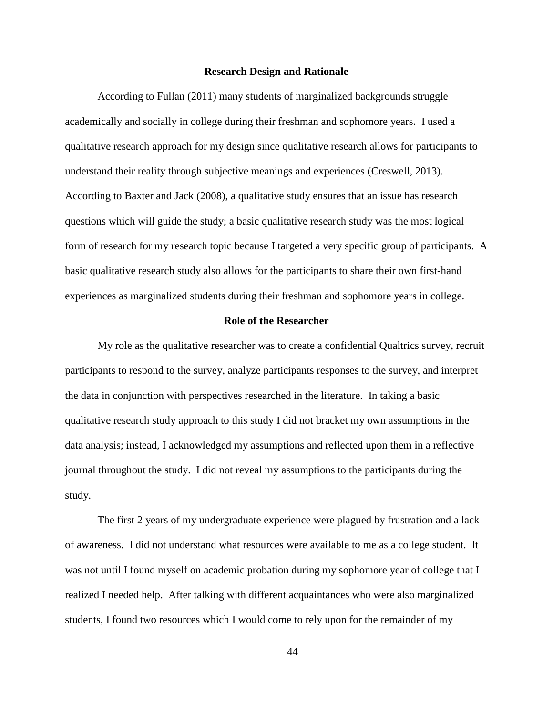#### **Research Design and Rationale**

According to Fullan (2011) many students of marginalized backgrounds struggle academically and socially in college during their freshman and sophomore years. I used a qualitative research approach for my design since qualitative research allows for participants to understand their reality through subjective meanings and experiences (Creswell, 2013). According to Baxter and Jack (2008), a qualitative study ensures that an issue has research questions which will guide the study; a basic qualitative research study was the most logical form of research for my research topic because I targeted a very specific group of participants. A basic qualitative research study also allows for the participants to share their own first-hand experiences as marginalized students during their freshman and sophomore years in college.

#### **Role of the Researcher**

My role as the qualitative researcher was to create a confidential Qualtrics survey, recruit participants to respond to the survey, analyze participants responses to the survey, and interpret the data in conjunction with perspectives researched in the literature. In taking a basic qualitative research study approach to this study I did not bracket my own assumptions in the data analysis; instead, I acknowledged my assumptions and reflected upon them in a reflective journal throughout the study. I did not reveal my assumptions to the participants during the study.

The first 2 years of my undergraduate experience were plagued by frustration and a lack of awareness. I did not understand what resources were available to me as a college student. It was not until I found myself on academic probation during my sophomore year of college that I realized I needed help. After talking with different acquaintances who were also marginalized students, I found two resources which I would come to rely upon for the remainder of my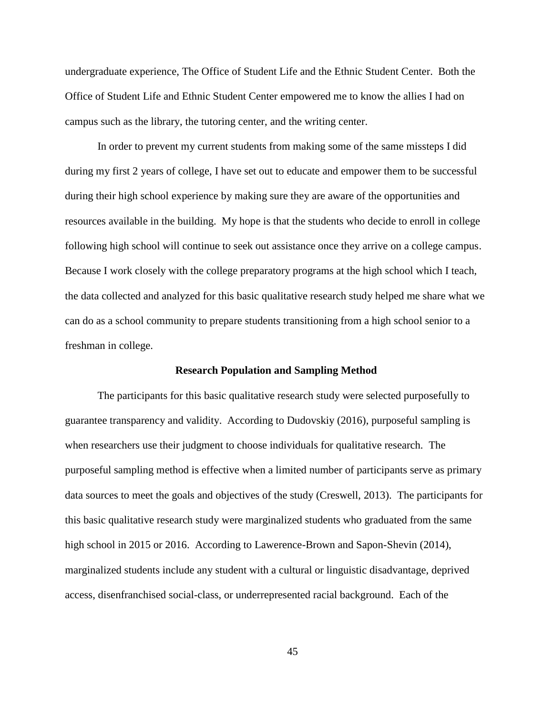undergraduate experience, The Office of Student Life and the Ethnic Student Center. Both the Office of Student Life and Ethnic Student Center empowered me to know the allies I had on campus such as the library, the tutoring center, and the writing center.

In order to prevent my current students from making some of the same missteps I did during my first 2 years of college, I have set out to educate and empower them to be successful during their high school experience by making sure they are aware of the opportunities and resources available in the building. My hope is that the students who decide to enroll in college following high school will continue to seek out assistance once they arrive on a college campus. Because I work closely with the college preparatory programs at the high school which I teach, the data collected and analyzed for this basic qualitative research study helped me share what we can do as a school community to prepare students transitioning from a high school senior to a freshman in college.

## **Research Population and Sampling Method**

The participants for this basic qualitative research study were selected purposefully to guarantee transparency and validity. According to Dudovskiy (2016), purposeful sampling is when researchers use their judgment to choose individuals for qualitative research. The purposeful sampling method is effective when a limited number of participants serve as primary data sources to meet the goals and objectives of the study (Creswell, 2013). The participants for this basic qualitative research study were marginalized students who graduated from the same high school in 2015 or 2016. According to Lawerence-Brown and Sapon-Shevin (2014), marginalized students include any student with a cultural or linguistic disadvantage, deprived access, disenfranchised social-class, or underrepresented racial background. Each of the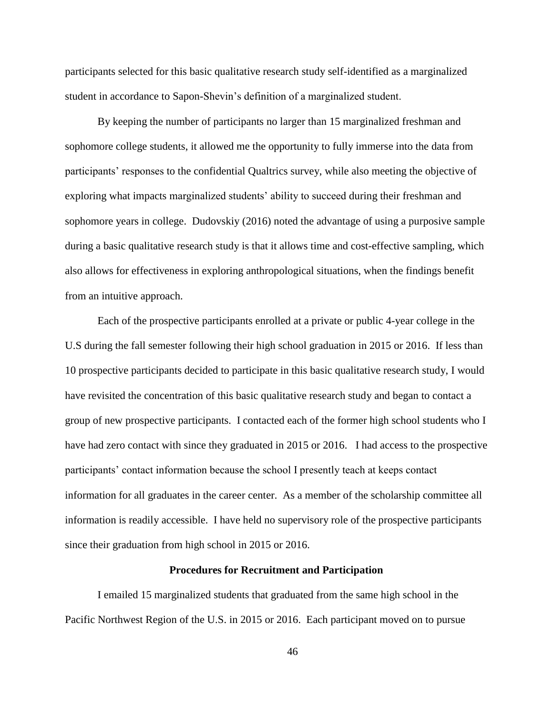participants selected for this basic qualitative research study self-identified as a marginalized student in accordance to Sapon-Shevin's definition of a marginalized student.

By keeping the number of participants no larger than 15 marginalized freshman and sophomore college students, it allowed me the opportunity to fully immerse into the data from participants' responses to the confidential Qualtrics survey, while also meeting the objective of exploring what impacts marginalized students' ability to succeed during their freshman and sophomore years in college. Dudovskiy (2016) noted the advantage of using a purposive sample during a basic qualitative research study is that it allows time and cost-effective sampling, which also allows for effectiveness in exploring anthropological situations, when the findings benefit from an intuitive approach.

Each of the prospective participants enrolled at a private or public 4-year college in the U.S during the fall semester following their high school graduation in 2015 or 2016. If less than 10 prospective participants decided to participate in this basic qualitative research study, I would have revisited the concentration of this basic qualitative research study and began to contact a group of new prospective participants. I contacted each of the former high school students who I have had zero contact with since they graduated in 2015 or 2016. I had access to the prospective participants' contact information because the school I presently teach at keeps contact information for all graduates in the career center. As a member of the scholarship committee all information is readily accessible. I have held no supervisory role of the prospective participants since their graduation from high school in 2015 or 2016.

#### **Procedures for Recruitment and Participation**

I emailed 15 marginalized students that graduated from the same high school in the Pacific Northwest Region of the U.S. in 2015 or 2016. Each participant moved on to pursue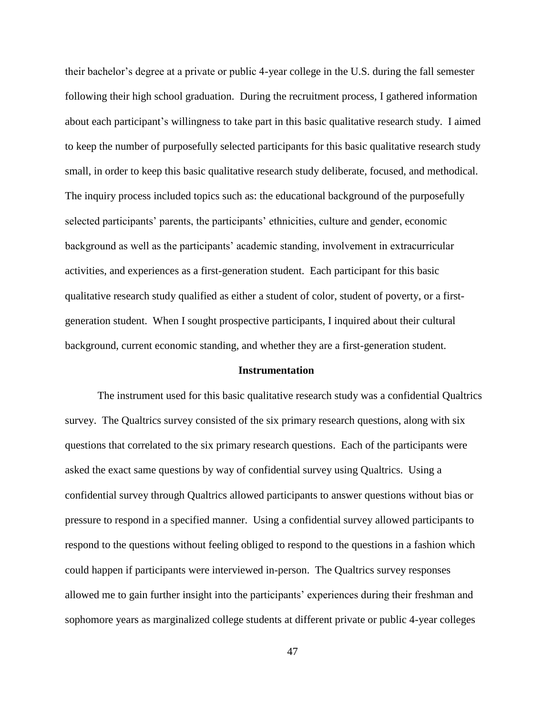their bachelor's degree at a private or public 4-year college in the U.S. during the fall semester following their high school graduation. During the recruitment process, I gathered information about each participant's willingness to take part in this basic qualitative research study. I aimed to keep the number of purposefully selected participants for this basic qualitative research study small, in order to keep this basic qualitative research study deliberate, focused, and methodical. The inquiry process included topics such as: the educational background of the purposefully selected participants' parents, the participants' ethnicities, culture and gender, economic background as well as the participants' academic standing, involvement in extracurricular activities, and experiences as a first-generation student. Each participant for this basic qualitative research study qualified as either a student of color, student of poverty, or a firstgeneration student. When I sought prospective participants, I inquired about their cultural background, current economic standing, and whether they are a first-generation student.

## **Instrumentation**

The instrument used for this basic qualitative research study was a confidential Qualtrics survey. The Qualtrics survey consisted of the six primary research questions, along with six questions that correlated to the six primary research questions. Each of the participants were asked the exact same questions by way of confidential survey using Qualtrics. Using a confidential survey through Qualtrics allowed participants to answer questions without bias or pressure to respond in a specified manner. Using a confidential survey allowed participants to respond to the questions without feeling obliged to respond to the questions in a fashion which could happen if participants were interviewed in-person. The Qualtrics survey responses allowed me to gain further insight into the participants' experiences during their freshman and sophomore years as marginalized college students at different private or public 4-year colleges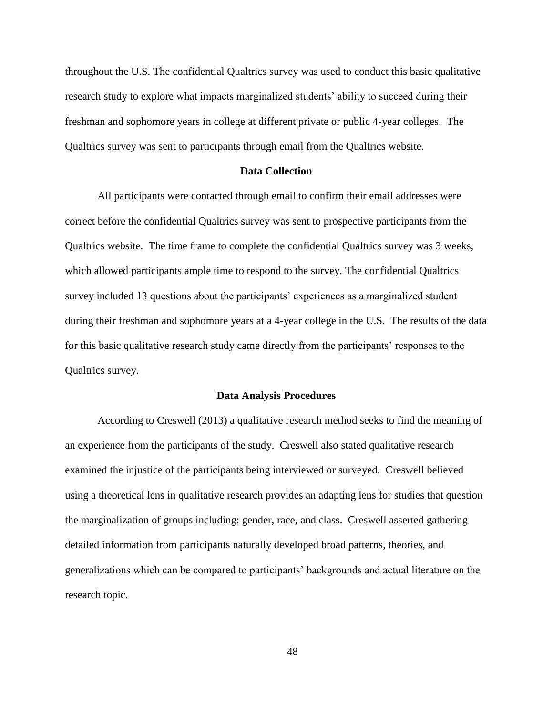throughout the U.S. The confidential Qualtrics survey was used to conduct this basic qualitative research study to explore what impacts marginalized students' ability to succeed during their freshman and sophomore years in college at different private or public 4-year colleges. The Qualtrics survey was sent to participants through email from the Qualtrics website.

## **Data Collection**

All participants were contacted through email to confirm their email addresses were correct before the confidential Qualtrics survey was sent to prospective participants from the Qualtrics website. The time frame to complete the confidential Qualtrics survey was 3 weeks, which allowed participants ample time to respond to the survey. The confidential Qualtrics survey included 13 questions about the participants' experiences as a marginalized student during their freshman and sophomore years at a 4-year college in the U.S. The results of the data for this basic qualitative research study came directly from the participants' responses to the Qualtrics survey.

#### **Data Analysis Procedures**

According to Creswell (2013) a qualitative research method seeks to find the meaning of an experience from the participants of the study. Creswell also stated qualitative research examined the injustice of the participants being interviewed or surveyed. Creswell believed using a theoretical lens in qualitative research provides an adapting lens for studies that question the marginalization of groups including: gender, race, and class. Creswell asserted gathering detailed information from participants naturally developed broad patterns, theories, and generalizations which can be compared to participants' backgrounds and actual literature on the research topic.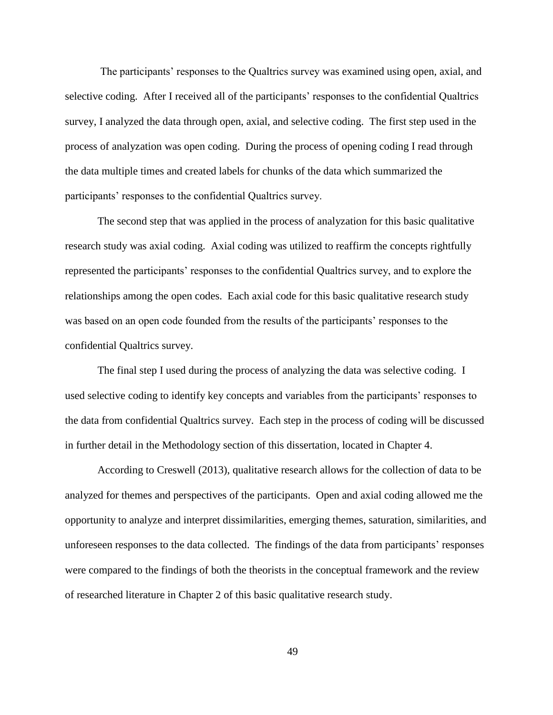The participants' responses to the Qualtrics survey was examined using open, axial, and selective coding. After I received all of the participants' responses to the confidential Qualtrics survey, I analyzed the data through open, axial, and selective coding. The first step used in the process of analyzation was open coding. During the process of opening coding I read through the data multiple times and created labels for chunks of the data which summarized the participants' responses to the confidential Qualtrics survey.

The second step that was applied in the process of analyzation for this basic qualitative research study was axial coding. Axial coding was utilized to reaffirm the concepts rightfully represented the participants' responses to the confidential Qualtrics survey, and to explore the relationships among the open codes. Each axial code for this basic qualitative research study was based on an open code founded from the results of the participants' responses to the confidential Qualtrics survey.

The final step I used during the process of analyzing the data was selective coding. I used selective coding to identify key concepts and variables from the participants' responses to the data from confidential Qualtrics survey. Each step in the process of coding will be discussed in further detail in the Methodology section of this dissertation, located in Chapter 4.

According to Creswell (2013), qualitative research allows for the collection of data to be analyzed for themes and perspectives of the participants. Open and axial coding allowed me the opportunity to analyze and interpret dissimilarities, emerging themes, saturation, similarities, and unforeseen responses to the data collected. The findings of the data from participants' responses were compared to the findings of both the theorists in the conceptual framework and the review of researched literature in Chapter 2 of this basic qualitative research study.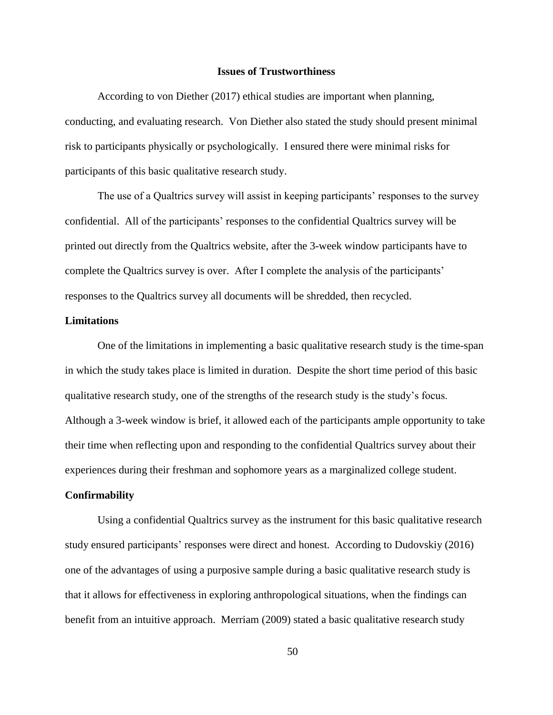## **Issues of Trustworthiness**

According to von Diether (2017) ethical studies are important when planning, conducting, and evaluating research. Von Diether also stated the study should present minimal risk to participants physically or psychologically. I ensured there were minimal risks for participants of this basic qualitative research study.

The use of a Qualtrics survey will assist in keeping participants' responses to the survey confidential. All of the participants' responses to the confidential Qualtrics survey will be printed out directly from the Qualtrics website, after the 3-week window participants have to complete the Qualtrics survey is over. After I complete the analysis of the participants' responses to the Qualtrics survey all documents will be shredded, then recycled.

# **Limitations**

One of the limitations in implementing a basic qualitative research study is the time-span in which the study takes place is limited in duration. Despite the short time period of this basic qualitative research study, one of the strengths of the research study is the study's focus. Although a 3-week window is brief, it allowed each of the participants ample opportunity to take their time when reflecting upon and responding to the confidential Qualtrics survey about their experiences during their freshman and sophomore years as a marginalized college student.

# **Confirmability**

Using a confidential Qualtrics survey as the instrument for this basic qualitative research study ensured participants' responses were direct and honest. According to Dudovskiy (2016) one of the advantages of using a purposive sample during a basic qualitative research study is that it allows for effectiveness in exploring anthropological situations, when the findings can benefit from an intuitive approach. Merriam (2009) stated a basic qualitative research study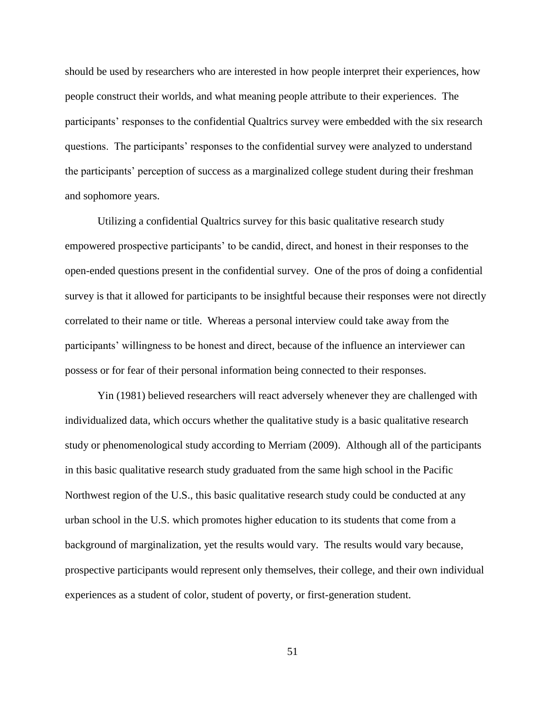should be used by researchers who are interested in how people interpret their experiences, how people construct their worlds, and what meaning people attribute to their experiences. The participants' responses to the confidential Qualtrics survey were embedded with the six research questions. The participants' responses to the confidential survey were analyzed to understand the participants' perception of success as a marginalized college student during their freshman and sophomore years.

Utilizing a confidential Qualtrics survey for this basic qualitative research study empowered prospective participants' to be candid, direct, and honest in their responses to the open-ended questions present in the confidential survey. One of the pros of doing a confidential survey is that it allowed for participants to be insightful because their responses were not directly correlated to their name or title. Whereas a personal interview could take away from the participants' willingness to be honest and direct, because of the influence an interviewer can possess or for fear of their personal information being connected to their responses.

Yin (1981) believed researchers will react adversely whenever they are challenged with individualized data, which occurs whether the qualitative study is a basic qualitative research study or phenomenological study according to Merriam (2009). Although all of the participants in this basic qualitative research study graduated from the same high school in the Pacific Northwest region of the U.S., this basic qualitative research study could be conducted at any urban school in the U.S. which promotes higher education to its students that come from a background of marginalization, yet the results would vary. The results would vary because, prospective participants would represent only themselves, their college, and their own individual experiences as a student of color, student of poverty, or first-generation student.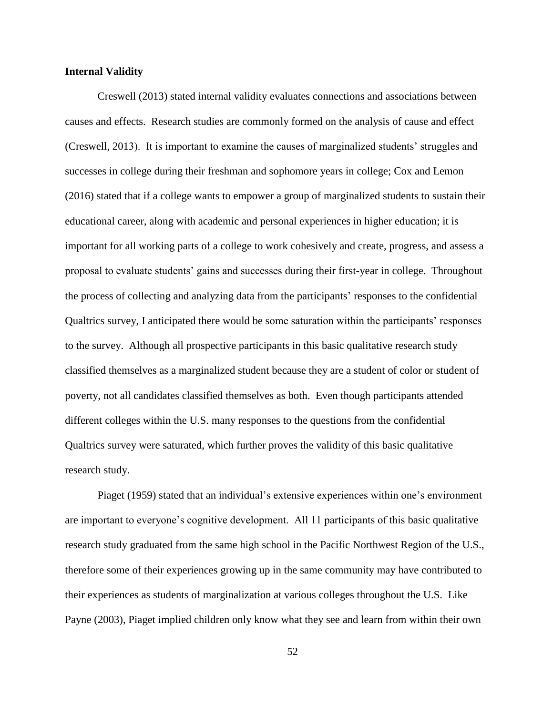## **Internal Validity**

Creswell (2013) stated internal validity evaluates connections and associations between causes and effects. Research studies are commonly formed on the analysis of cause and effect (Creswell, 2013). It is important to examine the causes of marginalized students' struggles and successes in college during their freshman and sophomore years in college; Cox and Lemon (2016) stated that if a college wants to empower a group of marginalized students to sustain their educational career, along with academic and personal experiences in higher education; it is important for all working parts of a college to work cohesively and create, progress, and assess a proposal to evaluate students' gains and successes during their first-year in college. Throughout the process of collecting and analyzing data from the participants' responses to the confidential Qualtrics survey, I anticipated there would be some saturation within the participants' responses to the survey. Although all prospective participants in this basic qualitative research study classified themselves as a marginalized student because they are a student of color or student of poverty, not all candidates classified themselves as both. Even though participants attended different colleges within the U.S. many responses to the questions from the confidential Qualtrics survey were saturated, which further proves the validity of this basic qualitative research study.

Piaget (1959) stated that an individual's extensive experiences within one's environment are important to everyone's cognitive development. All 11 participants of this basic qualitative research study graduated from the same high school in the Pacific Northwest Region of the U.S., therefore some of their experiences growing up in the same community may have contributed to their experiences as students of marginalization at various colleges throughout the U.S. Like Payne (2003), Piaget implied children only know what they see and learn from within their own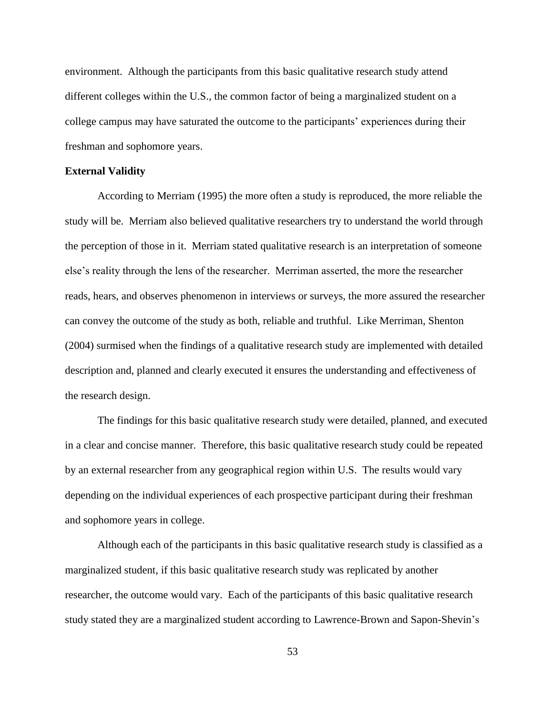environment. Although the participants from this basic qualitative research study attend different colleges within the U.S., the common factor of being a marginalized student on a college campus may have saturated the outcome to the participants' experiences during their freshman and sophomore years.

## **External Validity**

According to Merriam (1995) the more often a study is reproduced, the more reliable the study will be. Merriam also believed qualitative researchers try to understand the world through the perception of those in it. Merriam stated qualitative research is an interpretation of someone else's reality through the lens of the researcher. Merriman asserted, the more the researcher reads, hears, and observes phenomenon in interviews or surveys, the more assured the researcher can convey the outcome of the study as both, reliable and truthful. Like Merriman, Shenton (2004) surmised when the findings of a qualitative research study are implemented with detailed description and, planned and clearly executed it ensures the understanding and effectiveness of the research design.

The findings for this basic qualitative research study were detailed, planned, and executed in a clear and concise manner. Therefore, this basic qualitative research study could be repeated by an external researcher from any geographical region within U.S. The results would vary depending on the individual experiences of each prospective participant during their freshman and sophomore years in college.

Although each of the participants in this basic qualitative research study is classified as a marginalized student, if this basic qualitative research study was replicated by another researcher, the outcome would vary. Each of the participants of this basic qualitative research study stated they are a marginalized student according to Lawrence-Brown and Sapon-Shevin's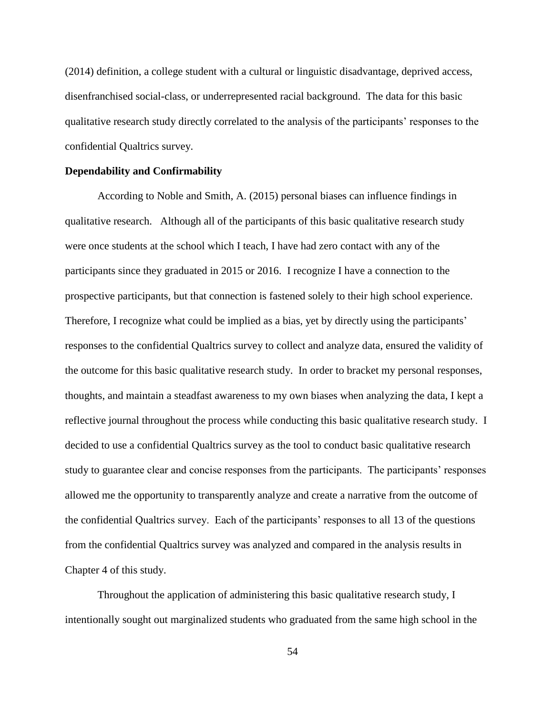(2014) definition, a college student with a cultural or linguistic disadvantage, deprived access, disenfranchised social-class, or underrepresented racial background. The data for this basic qualitative research study directly correlated to the analysis of the participants' responses to the confidential Qualtrics survey.

#### **Dependability and Confirmability**

According to Noble and Smith, A. (2015) personal biases can influence findings in qualitative research. Although all of the participants of this basic qualitative research study were once students at the school which I teach, I have had zero contact with any of the participants since they graduated in 2015 or 2016. I recognize I have a connection to the prospective participants, but that connection is fastened solely to their high school experience. Therefore, I recognize what could be implied as a bias, yet by directly using the participants' responses to the confidential Qualtrics survey to collect and analyze data, ensured the validity of the outcome for this basic qualitative research study. In order to bracket my personal responses, thoughts, and maintain a steadfast awareness to my own biases when analyzing the data, I kept a reflective journal throughout the process while conducting this basic qualitative research study. I decided to use a confidential Qualtrics survey as the tool to conduct basic qualitative research study to guarantee clear and concise responses from the participants. The participants' responses allowed me the opportunity to transparently analyze and create a narrative from the outcome of the confidential Qualtrics survey. Each of the participants' responses to all 13 of the questions from the confidential Qualtrics survey was analyzed and compared in the analysis results in Chapter 4 of this study.

Throughout the application of administering this basic qualitative research study, I intentionally sought out marginalized students who graduated from the same high school in the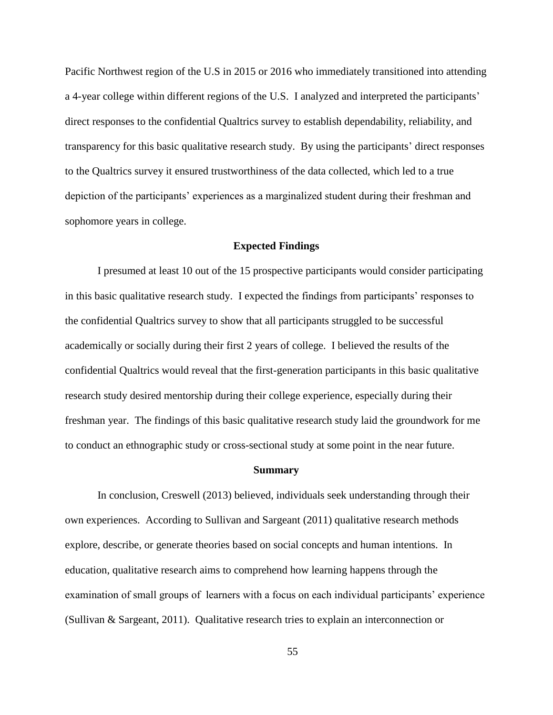Pacific Northwest region of the U.S in 2015 or 2016 who immediately transitioned into attending a 4-year college within different regions of the U.S. I analyzed and interpreted the participants' direct responses to the confidential Qualtrics survey to establish dependability, reliability, and transparency for this basic qualitative research study. By using the participants' direct responses to the Qualtrics survey it ensured trustworthiness of the data collected, which led to a true depiction of the participants' experiences as a marginalized student during their freshman and sophomore years in college.

## **Expected Findings**

I presumed at least 10 out of the 15 prospective participants would consider participating in this basic qualitative research study. I expected the findings from participants' responses to the confidential Qualtrics survey to show that all participants struggled to be successful academically or socially during their first 2 years of college. I believed the results of the confidential Qualtrics would reveal that the first-generation participants in this basic qualitative research study desired mentorship during their college experience, especially during their freshman year. The findings of this basic qualitative research study laid the groundwork for me to conduct an ethnographic study or cross-sectional study at some point in the near future.

#### **Summary**

In conclusion, Creswell (2013) believed, individuals seek understanding through their own experiences. According to Sullivan and Sargeant (2011) qualitative research methods explore, describe, or generate theories based on social concepts and human intentions. In education, qualitative research aims to comprehend how learning happens through the examination of small groups of learners with a focus on each individual participants' experience (Sullivan & Sargeant, 2011). Qualitative research tries to explain an interconnection or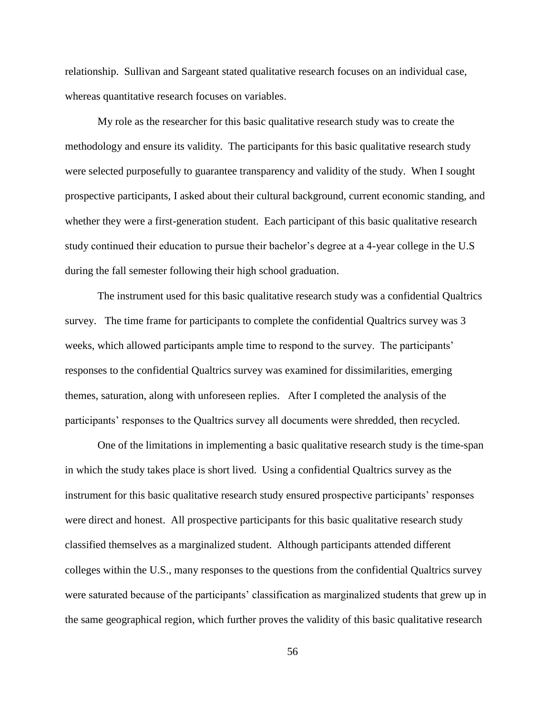relationship. Sullivan and Sargeant stated qualitative research focuses on an individual case, whereas quantitative research focuses on variables.

My role as the researcher for this basic qualitative research study was to create the methodology and ensure its validity. The participants for this basic qualitative research study were selected purposefully to guarantee transparency and validity of the study. When I sought prospective participants, I asked about their cultural background, current economic standing, and whether they were a first-generation student. Each participant of this basic qualitative research study continued their education to pursue their bachelor's degree at a 4-year college in the U.S during the fall semester following their high school graduation.

The instrument used for this basic qualitative research study was a confidential Qualtrics survey. The time frame for participants to complete the confidential Qualtrics survey was 3 weeks, which allowed participants ample time to respond to the survey. The participants' responses to the confidential Qualtrics survey was examined for dissimilarities, emerging themes, saturation, along with unforeseen replies. After I completed the analysis of the participants' responses to the Qualtrics survey all documents were shredded, then recycled.

One of the limitations in implementing a basic qualitative research study is the time-span in which the study takes place is short lived. Using a confidential Qualtrics survey as the instrument for this basic qualitative research study ensured prospective participants' responses were direct and honest. All prospective participants for this basic qualitative research study classified themselves as a marginalized student. Although participants attended different colleges within the U.S., many responses to the questions from the confidential Qualtrics survey were saturated because of the participants' classification as marginalized students that grew up in the same geographical region, which further proves the validity of this basic qualitative research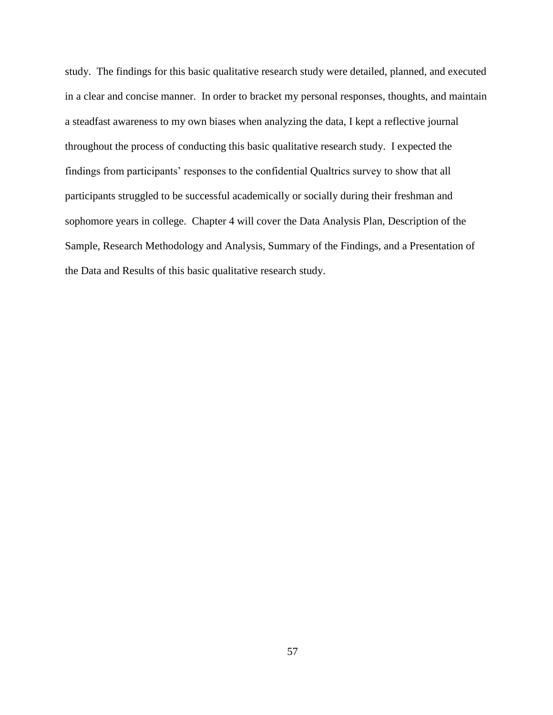study. The findings for this basic qualitative research study were detailed, planned, and executed in a clear and concise manner. In order to bracket my personal responses, thoughts, and maintain a steadfast awareness to my own biases when analyzing the data, I kept a reflective journal throughout the process of conducting this basic qualitative research study. I expected the findings from participants' responses to the confidential Qualtrics survey to show that all participants struggled to be successful academically or socially during their freshman and sophomore years in college. Chapter 4 will cover the Data Analysis Plan, Description of the Sample, Research Methodology and Analysis, Summary of the Findings, and a Presentation of the Data and Results of this basic qualitative research study.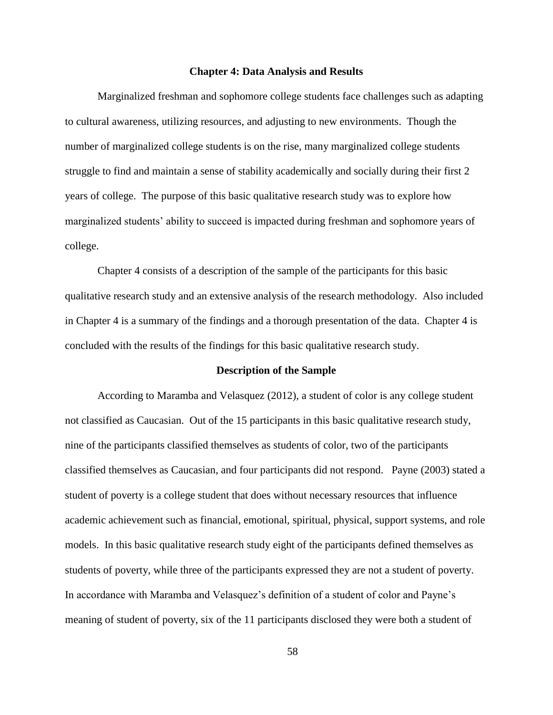#### **Chapter 4: Data Analysis and Results**

Marginalized freshman and sophomore college students face challenges such as adapting to cultural awareness, utilizing resources, and adjusting to new environments. Though the number of marginalized college students is on the rise, many marginalized college students struggle to find and maintain a sense of stability academically and socially during their first 2 years of college. The purpose of this basic qualitative research study was to explore how marginalized students' ability to succeed is impacted during freshman and sophomore years of college.

Chapter 4 consists of a description of the sample of the participants for this basic qualitative research study and an extensive analysis of the research methodology. Also included in Chapter 4 is a summary of the findings and a thorough presentation of the data. Chapter 4 is concluded with the results of the findings for this basic qualitative research study.

# **Description of the Sample**

According to Maramba and Velasquez (2012), a student of color is any college student not classified as Caucasian. Out of the 15 participants in this basic qualitative research study, nine of the participants classified themselves as students of color, two of the participants classified themselves as Caucasian, and four participants did not respond. Payne (2003) stated a student of poverty is a college student that does without necessary resources that influence academic achievement such as financial, emotional, spiritual, physical, support systems, and role models. In this basic qualitative research study eight of the participants defined themselves as students of poverty, while three of the participants expressed they are not a student of poverty. In accordance with Maramba and Velasquez's definition of a student of color and Payne's meaning of student of poverty, six of the 11 participants disclosed they were both a student of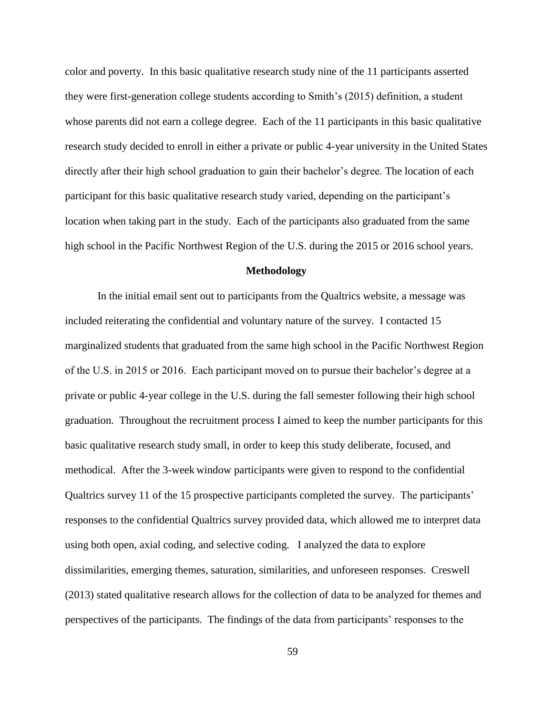color and poverty. In this basic qualitative research study nine of the 11 participants asserted they were first-generation college students according to Smith's (2015) definition, a student whose parents did not earn a college degree. Each of the 11 participants in this basic qualitative research study decided to enroll in either a private or public 4-year university in the United States directly after their high school graduation to gain their bachelor's degree. The location of each participant for this basic qualitative research study varied, depending on the participant's location when taking part in the study. Each of the participants also graduated from the same high school in the Pacific Northwest Region of the U.S. during the 2015 or 2016 school years.

#### **Methodology**

In the initial email sent out to participants from the Qualtrics website, a message was included reiterating the confidential and voluntary nature of the survey. I contacted 15 marginalized students that graduated from the same high school in the Pacific Northwest Region of the U.S. in 2015 or 2016. Each participant moved on to pursue their bachelor's degree at a private or public 4-year college in the U.S. during the fall semester following their high school graduation. Throughout the recruitment process I aimed to keep the number participants for this basic qualitative research study small, in order to keep this study deliberate, focused, and methodical. After the 3-week window participants were given to respond to the confidential Qualtrics survey 11 of the 15 prospective participants completed the survey. The participants' responses to the confidential Qualtrics survey provided data, which allowed me to interpret data using both open, axial coding, and selective coding. I analyzed the data to explore dissimilarities, emerging themes, saturation, similarities, and unforeseen responses. Creswell (2013) stated qualitative research allows for the collection of data to be analyzed for themes and perspectives of the participants. The findings of the data from participants' responses to the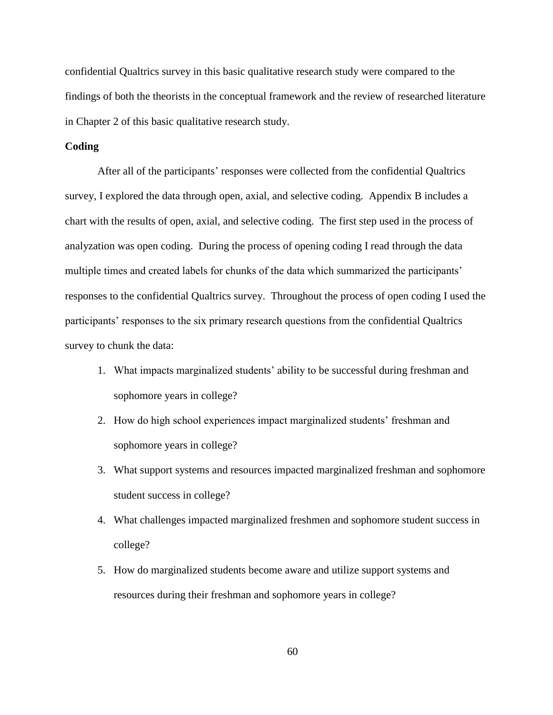confidential Qualtrics survey in this basic qualitative research study were compared to the findings of both the theorists in the conceptual framework and the review of researched literature in Chapter 2 of this basic qualitative research study.

# **Coding**

After all of the participants' responses were collected from the confidential Qualtrics survey, I explored the data through open, axial, and selective coding. Appendix B includes a chart with the results of open, axial, and selective coding. The first step used in the process of analyzation was open coding. During the process of opening coding I read through the data multiple times and created labels for chunks of the data which summarized the participants' responses to the confidential Qualtrics survey. Throughout the process of open coding I used the participants' responses to the six primary research questions from the confidential Qualtrics survey to chunk the data:

- 1. What impacts marginalized students' ability to be successful during freshman and sophomore years in college?
- 2. How do high school experiences impact marginalized students' freshman and sophomore years in college?
- 3. What support systems and resources impacted marginalized freshman and sophomore student success in college?
- 4. What challenges impacted marginalized freshmen and sophomore student success in college?
- 5. How do marginalized students become aware and utilize support systems and resources during their freshman and sophomore years in college?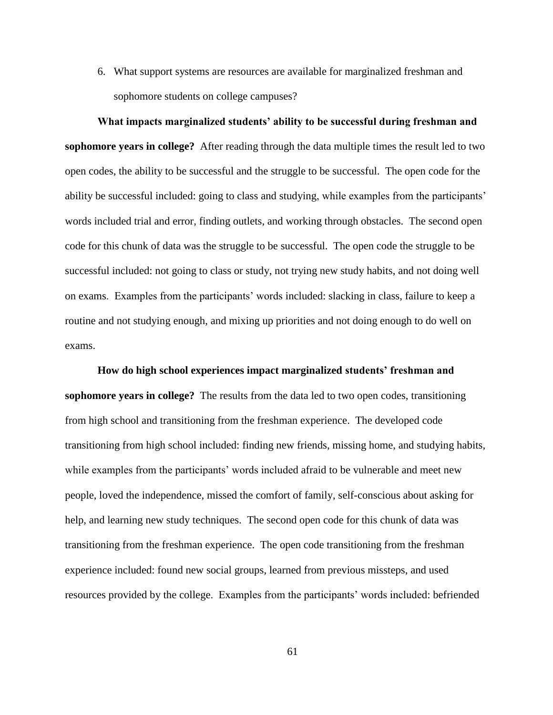6. What support systems are resources are available for marginalized freshman and sophomore students on college campuses?

**What impacts marginalized students' ability to be successful during freshman and sophomore years in college?** After reading through the data multiple times the result led to two open codes, the ability to be successful and the struggle to be successful. The open code for the ability be successful included: going to class and studying, while examples from the participants' words included trial and error, finding outlets, and working through obstacles. The second open code for this chunk of data was the struggle to be successful. The open code the struggle to be successful included: not going to class or study, not trying new study habits, and not doing well on exams. Examples from the participants' words included: slacking in class, failure to keep a routine and not studying enough, and mixing up priorities and not doing enough to do well on exams.

**How do high school experiences impact marginalized students' freshman and sophomore years in college?** The results from the data led to two open codes, transitioning from high school and transitioning from the freshman experience. The developed code transitioning from high school included: finding new friends, missing home, and studying habits, while examples from the participants' words included afraid to be vulnerable and meet new people, loved the independence, missed the comfort of family, self-conscious about asking for help, and learning new study techniques. The second open code for this chunk of data was transitioning from the freshman experience. The open code transitioning from the freshman experience included: found new social groups, learned from previous missteps, and used resources provided by the college. Examples from the participants' words included: befriended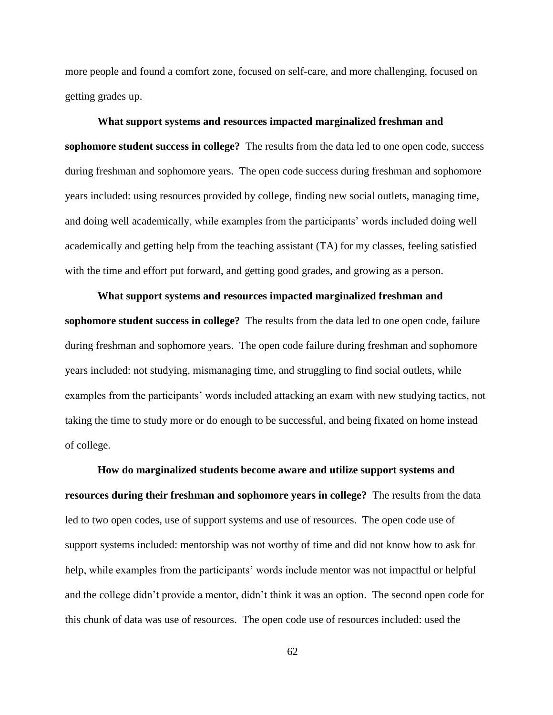more people and found a comfort zone, focused on self-care, and more challenging, focused on getting grades up.

#### **What support systems and resources impacted marginalized freshman and**

**sophomore student success in college?** The results from the data led to one open code, success during freshman and sophomore years. The open code success during freshman and sophomore years included: using resources provided by college, finding new social outlets, managing time, and doing well academically, while examples from the participants' words included doing well academically and getting help from the teaching assistant (TA) for my classes, feeling satisfied with the time and effort put forward, and getting good grades, and growing as a person.

# **What support systems and resources impacted marginalized freshman and sophomore student success in college?** The results from the data led to one open code, failure during freshman and sophomore years. The open code failure during freshman and sophomore years included: not studying, mismanaging time, and struggling to find social outlets, while examples from the participants' words included attacking an exam with new studying tactics, not taking the time to study more or do enough to be successful, and being fixated on home instead of college.

**How do marginalized students become aware and utilize support systems and resources during their freshman and sophomore years in college?** The results from the data led to two open codes, use of support systems and use of resources. The open code use of support systems included: mentorship was not worthy of time and did not know how to ask for help, while examples from the participants' words include mentor was not impactful or helpful and the college didn't provide a mentor, didn't think it was an option. The second open code for this chunk of data was use of resources. The open code use of resources included: used the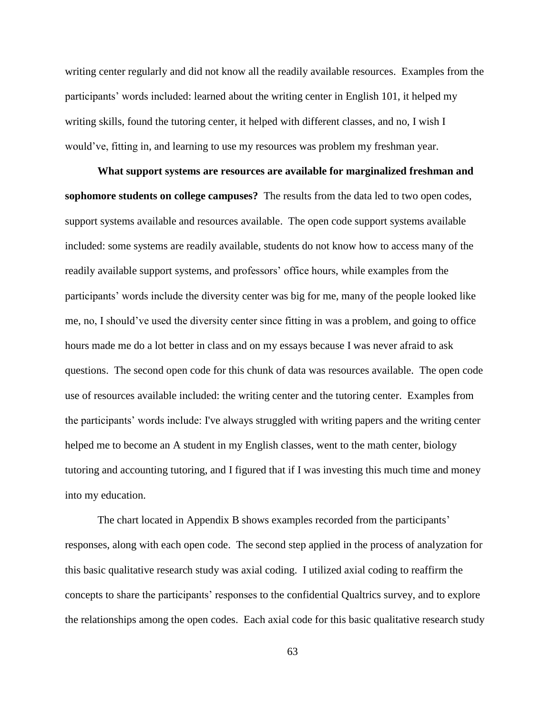writing center regularly and did not know all the readily available resources. Examples from the participants' words included: learned about the writing center in English 101, it helped my writing skills, found the tutoring center, it helped with different classes, and no, I wish I would've, fitting in, and learning to use my resources was problem my freshman year.

**What support systems are resources are available for marginalized freshman and sophomore students on college campuses?** The results from the data led to two open codes, support systems available and resources available. The open code support systems available included: some systems are readily available, students do not know how to access many of the readily available support systems, and professors' office hours, while examples from the participants' words include the diversity center was big for me, many of the people looked like me, no, I should've used the diversity center since fitting in was a problem, and going to office hours made me do a lot better in class and on my essays because I was never afraid to ask questions. The second open code for this chunk of data was resources available. The open code use of resources available included: the writing center and the tutoring center. Examples from the participants' words include: I've always struggled with writing papers and the writing center helped me to become an A student in my English classes, went to the math center, biology tutoring and accounting tutoring, and I figured that if I was investing this much time and money into my education.

The chart located in Appendix B shows examples recorded from the participants' responses, along with each open code. The second step applied in the process of analyzation for this basic qualitative research study was axial coding. I utilized axial coding to reaffirm the concepts to share the participants' responses to the confidential Qualtrics survey, and to explore the relationships among the open codes. Each axial code for this basic qualitative research study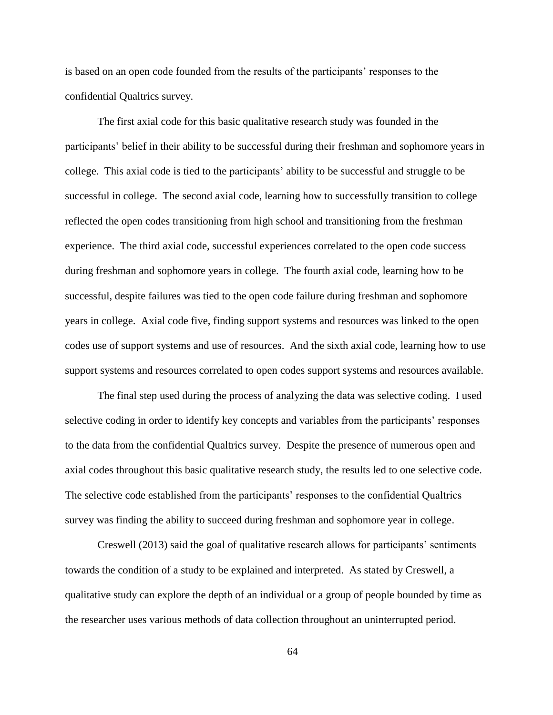is based on an open code founded from the results of the participants' responses to the confidential Qualtrics survey.

The first axial code for this basic qualitative research study was founded in the participants' belief in their ability to be successful during their freshman and sophomore years in college. This axial code is tied to the participants' ability to be successful and struggle to be successful in college. The second axial code, learning how to successfully transition to college reflected the open codes transitioning from high school and transitioning from the freshman experience. The third axial code, successful experiences correlated to the open code success during freshman and sophomore years in college. The fourth axial code, learning how to be successful, despite failures was tied to the open code failure during freshman and sophomore years in college. Axial code five, finding support systems and resources was linked to the open codes use of support systems and use of resources. And the sixth axial code, learning how to use support systems and resources correlated to open codes support systems and resources available.

The final step used during the process of analyzing the data was selective coding. I used selective coding in order to identify key concepts and variables from the participants' responses to the data from the confidential Qualtrics survey. Despite the presence of numerous open and axial codes throughout this basic qualitative research study, the results led to one selective code. The selective code established from the participants' responses to the confidential Qualtrics survey was finding the ability to succeed during freshman and sophomore year in college.

Creswell (2013) said the goal of qualitative research allows for participants' sentiments towards the condition of a study to be explained and interpreted. As stated by Creswell, a qualitative study can explore the depth of an individual or a group of people bounded by time as the researcher uses various methods of data collection throughout an uninterrupted period.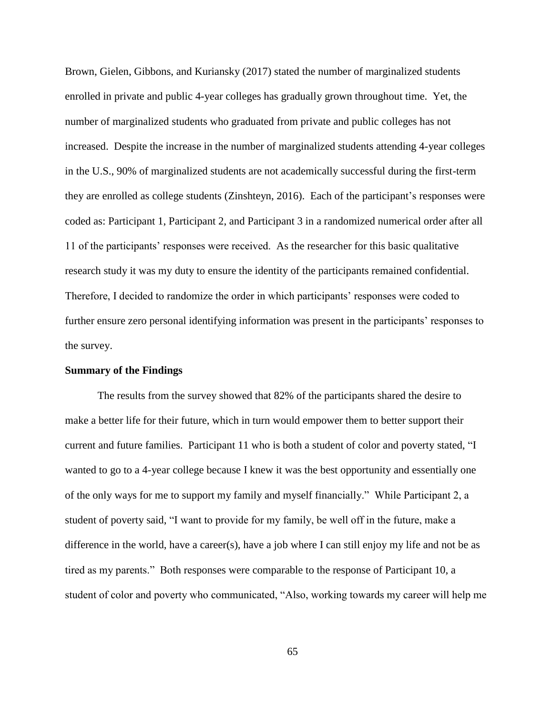Brown, Gielen, Gibbons, and Kuriansky (2017) stated the number of marginalized students enrolled in private and public 4-year colleges has gradually grown throughout time. Yet, the number of marginalized students who graduated from private and public colleges has not increased. Despite the increase in the number of marginalized students attending 4-year colleges in the U.S., 90% of marginalized students are not academically successful during the first-term they are enrolled as college students (Zinshteyn, 2016). Each of the participant's responses were coded as: Participant 1, Participant 2, and Participant 3 in a randomized numerical order after all 11 of the participants' responses were received. As the researcher for this basic qualitative research study it was my duty to ensure the identity of the participants remained confidential. Therefore, I decided to randomize the order in which participants' responses were coded to further ensure zero personal identifying information was present in the participants' responses to the survey.

### **Summary of the Findings**

The results from the survey showed that 82% of the participants shared the desire to make a better life for their future, which in turn would empower them to better support their current and future families. Participant 11 who is both a student of color and poverty stated, "I wanted to go to a 4-year college because I knew it was the best opportunity and essentially one of the only ways for me to support my family and myself financially." While Participant 2, a student of poverty said, "I want to provide for my family, be well off in the future, make a difference in the world, have a career(s), have a job where I can still enjoy my life and not be as tired as my parents." Both responses were comparable to the response of Participant 10, a student of color and poverty who communicated, "Also, working towards my career will help me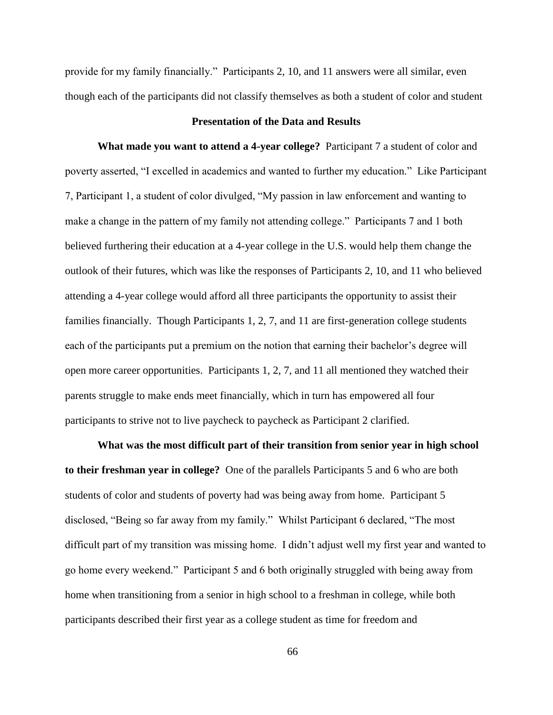provide for my family financially." Participants 2, 10, and 11 answers were all similar, even though each of the participants did not classify themselves as both a student of color and student

### **Presentation of the Data and Results**

**What made you want to attend a 4-year college?** Participant 7 a student of color and poverty asserted, "I excelled in academics and wanted to further my education." Like Participant 7, Participant 1, a student of color divulged, "My passion in law enforcement and wanting to make a change in the pattern of my family not attending college." Participants 7 and 1 both believed furthering their education at a 4-year college in the U.S. would help them change the outlook of their futures, which was like the responses of Participants 2, 10, and 11 who believed attending a 4-year college would afford all three participants the opportunity to assist their families financially. Though Participants 1, 2, 7, and 11 are first-generation college students each of the participants put a premium on the notion that earning their bachelor's degree will open more career opportunities. Participants 1, 2, 7, and 11 all mentioned they watched their parents struggle to make ends meet financially, which in turn has empowered all four participants to strive not to live paycheck to paycheck as Participant 2 clarified.

**What was the most difficult part of their transition from senior year in high school to their freshman year in college?** One of the parallels Participants 5 and 6 who are both students of color and students of poverty had was being away from home. Participant 5 disclosed, "Being so far away from my family." Whilst Participant 6 declared, "The most difficult part of my transition was missing home. I didn't adjust well my first year and wanted to go home every weekend." Participant 5 and 6 both originally struggled with being away from home when transitioning from a senior in high school to a freshman in college, while both participants described their first year as a college student as time for freedom and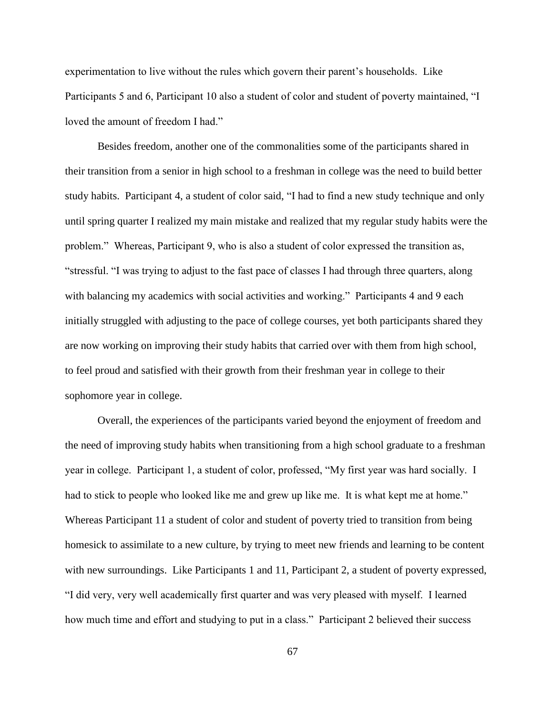experimentation to live without the rules which govern their parent's households. Like Participants 5 and 6, Participant 10 also a student of color and student of poverty maintained, "I loved the amount of freedom I had."

Besides freedom, another one of the commonalities some of the participants shared in their transition from a senior in high school to a freshman in college was the need to build better study habits. Participant 4, a student of color said, "I had to find a new study technique and only until spring quarter I realized my main mistake and realized that my regular study habits were the problem." Whereas, Participant 9, who is also a student of color expressed the transition as, "stressful. "I was trying to adjust to the fast pace of classes I had through three quarters, along with balancing my academics with social activities and working." Participants 4 and 9 each initially struggled with adjusting to the pace of college courses, yet both participants shared they are now working on improving their study habits that carried over with them from high school, to feel proud and satisfied with their growth from their freshman year in college to their sophomore year in college.

Overall, the experiences of the participants varied beyond the enjoyment of freedom and the need of improving study habits when transitioning from a high school graduate to a freshman year in college. Participant 1, a student of color, professed, "My first year was hard socially. I had to stick to people who looked like me and grew up like me. It is what kept me at home." Whereas Participant 11 a student of color and student of poverty tried to transition from being homesick to assimilate to a new culture, by trying to meet new friends and learning to be content with new surroundings. Like Participants 1 and 11, Participant 2, a student of poverty expressed, "I did very, very well academically first quarter and was very pleased with myself. I learned how much time and effort and studying to put in a class." Participant 2 believed their success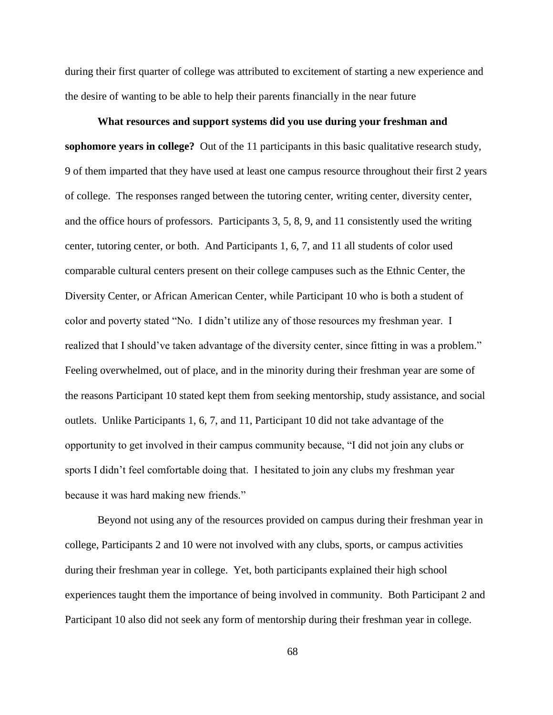during their first quarter of college was attributed to excitement of starting a new experience and the desire of wanting to be able to help their parents financially in the near future

**What resources and support systems did you use during your freshman and sophomore years in college?** Out of the 11 participants in this basic qualitative research study, 9 of them imparted that they have used at least one campus resource throughout their first 2 years of college. The responses ranged between the tutoring center, writing center, diversity center, and the office hours of professors. Participants 3, 5, 8, 9, and 11 consistently used the writing center, tutoring center, or both. And Participants 1, 6, 7, and 11 all students of color used comparable cultural centers present on their college campuses such as the Ethnic Center, the Diversity Center, or African American Center, while Participant 10 who is both a student of color and poverty stated "No. I didn't utilize any of those resources my freshman year. I realized that I should've taken advantage of the diversity center, since fitting in was a problem." Feeling overwhelmed, out of place, and in the minority during their freshman year are some of the reasons Participant 10 stated kept them from seeking mentorship, study assistance, and social outlets. Unlike Participants 1, 6, 7, and 11, Participant 10 did not take advantage of the opportunity to get involved in their campus community because, "I did not join any clubs or sports I didn't feel comfortable doing that. I hesitated to join any clubs my freshman year because it was hard making new friends."

Beyond not using any of the resources provided on campus during their freshman year in college, Participants 2 and 10 were not involved with any clubs, sports, or campus activities during their freshman year in college. Yet, both participants explained their high school experiences taught them the importance of being involved in community. Both Participant 2 and Participant 10 also did not seek any form of mentorship during their freshman year in college.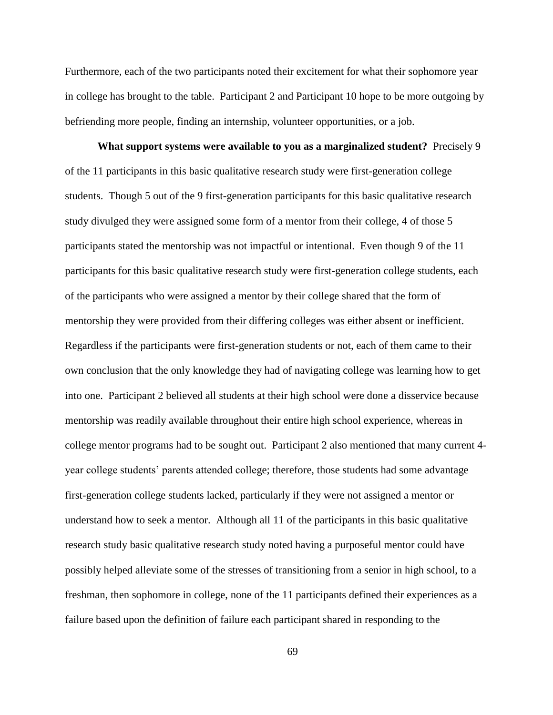Furthermore, each of the two participants noted their excitement for what their sophomore year in college has brought to the table. Participant 2 and Participant 10 hope to be more outgoing by befriending more people, finding an internship, volunteer opportunities, or a job.

**What support systems were available to you as a marginalized student?** Precisely 9 of the 11 participants in this basic qualitative research study were first-generation college students. Though 5 out of the 9 first-generation participants for this basic qualitative research study divulged they were assigned some form of a mentor from their college, 4 of those 5 participants stated the mentorship was not impactful or intentional. Even though 9 of the 11 participants for this basic qualitative research study were first-generation college students, each of the participants who were assigned a mentor by their college shared that the form of mentorship they were provided from their differing colleges was either absent or inefficient. Regardless if the participants were first-generation students or not, each of them came to their own conclusion that the only knowledge they had of navigating college was learning how to get into one. Participant 2 believed all students at their high school were done a disservice because mentorship was readily available throughout their entire high school experience, whereas in college mentor programs had to be sought out. Participant 2 also mentioned that many current 4 year college students' parents attended college; therefore, those students had some advantage first-generation college students lacked, particularly if they were not assigned a mentor or understand how to seek a mentor. Although all 11 of the participants in this basic qualitative research study basic qualitative research study noted having a purposeful mentor could have possibly helped alleviate some of the stresses of transitioning from a senior in high school, to a freshman, then sophomore in college, none of the 11 participants defined their experiences as a failure based upon the definition of failure each participant shared in responding to the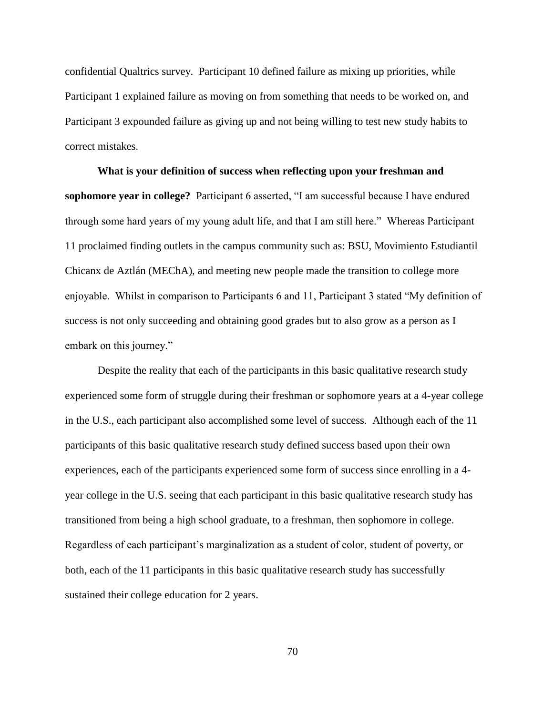confidential Qualtrics survey. Participant 10 defined failure as mixing up priorities, while Participant 1 explained failure as moving on from something that needs to be worked on, and Participant 3 expounded failure as giving up and not being willing to test new study habits to correct mistakes.

**What is your definition of success when reflecting upon your freshman and sophomore year in college?** Participant 6 asserted, "I am successful because I have endured through some hard years of my young adult life, and that I am still here." Whereas Participant 11 proclaimed finding outlets in the campus community such as: BSU, Movimiento Estudiantil Chicanx de Aztlán (MEChA), and meeting new people made the transition to college more enjoyable. Whilst in comparison to Participants 6 and 11, Participant 3 stated "My definition of success is not only succeeding and obtaining good grades but to also grow as a person as I embark on this journey."

Despite the reality that each of the participants in this basic qualitative research study experienced some form of struggle during their freshman or sophomore years at a 4-year college in the U.S., each participant also accomplished some level of success. Although each of the 11 participants of this basic qualitative research study defined success based upon their own experiences, each of the participants experienced some form of success since enrolling in a 4 year college in the U.S. seeing that each participant in this basic qualitative research study has transitioned from being a high school graduate, to a freshman, then sophomore in college. Regardless of each participant's marginalization as a student of color, student of poverty, or both, each of the 11 participants in this basic qualitative research study has successfully sustained their college education for 2 years.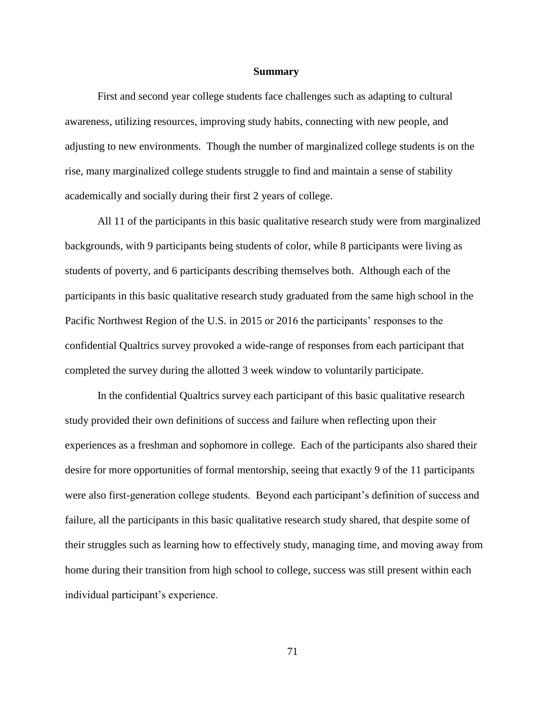#### **Summary**

First and second year college students face challenges such as adapting to cultural awareness, utilizing resources, improving study habits, connecting with new people, and adjusting to new environments. Though the number of marginalized college students is on the rise, many marginalized college students struggle to find and maintain a sense of stability academically and socially during their first 2 years of college.

All 11 of the participants in this basic qualitative research study were from marginalized backgrounds, with 9 participants being students of color, while 8 participants were living as students of poverty, and 6 participants describing themselves both. Although each of the participants in this basic qualitative research study graduated from the same high school in the Pacific Northwest Region of the U.S. in 2015 or 2016 the participants' responses to the confidential Qualtrics survey provoked a wide-range of responses from each participant that completed the survey during the allotted 3 week window to voluntarily participate.

In the confidential Qualtrics survey each participant of this basic qualitative research study provided their own definitions of success and failure when reflecting upon their experiences as a freshman and sophomore in college. Each of the participants also shared their desire for more opportunities of formal mentorship, seeing that exactly 9 of the 11 participants were also first-generation college students. Beyond each participant's definition of success and failure, all the participants in this basic qualitative research study shared, that despite some of their struggles such as learning how to effectively study, managing time, and moving away from home during their transition from high school to college, success was still present within each individual participant's experience.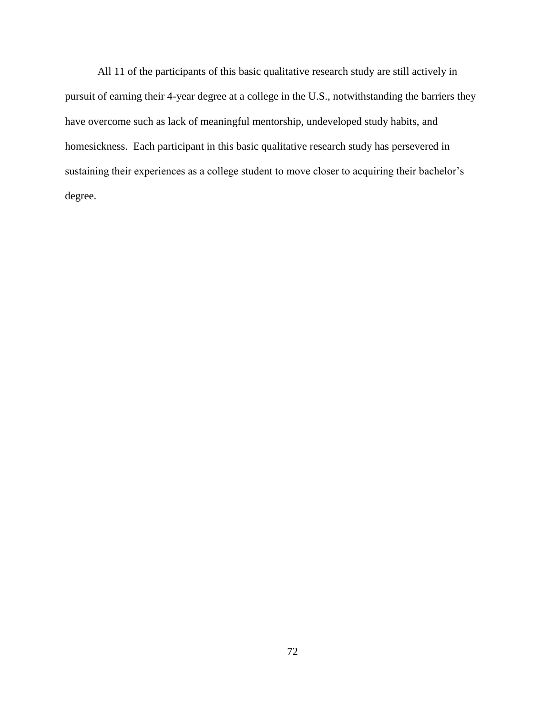All 11 of the participants of this basic qualitative research study are still actively in pursuit of earning their 4-year degree at a college in the U.S., notwithstanding the barriers they have overcome such as lack of meaningful mentorship, undeveloped study habits, and homesickness. Each participant in this basic qualitative research study has persevered in sustaining their experiences as a college student to move closer to acquiring their bachelor's degree.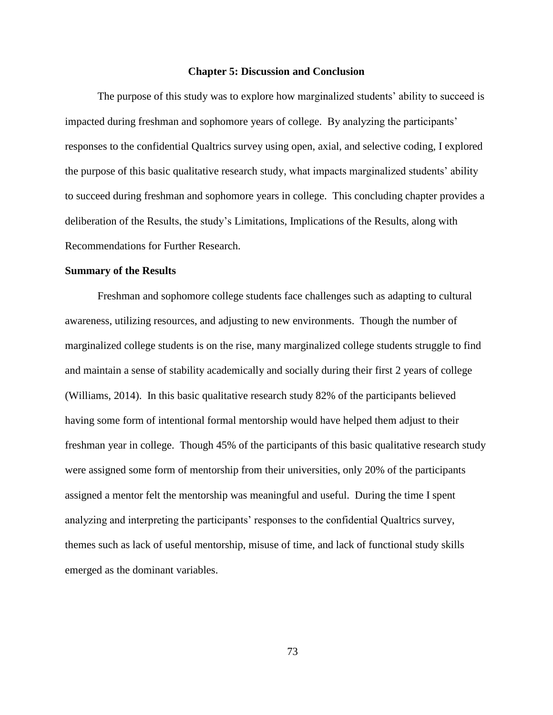#### **Chapter 5: Discussion and Conclusion**

The purpose of this study was to explore how marginalized students' ability to succeed is impacted during freshman and sophomore years of college. By analyzing the participants' responses to the confidential Qualtrics survey using open, axial, and selective coding, I explored the purpose of this basic qualitative research study, what impacts marginalized students' ability to succeed during freshman and sophomore years in college. This concluding chapter provides a deliberation of the Results, the study's Limitations, Implications of the Results, along with Recommendations for Further Research.

#### **Summary of the Results**

Freshman and sophomore college students face challenges such as adapting to cultural awareness, utilizing resources, and adjusting to new environments. Though the number of marginalized college students is on the rise, many marginalized college students struggle to find and maintain a sense of stability academically and socially during their first 2 years of college (Williams, 2014). In this basic qualitative research study 82% of the participants believed having some form of intentional formal mentorship would have helped them adjust to their freshman year in college. Though 45% of the participants of this basic qualitative research study were assigned some form of mentorship from their universities, only 20% of the participants assigned a mentor felt the mentorship was meaningful and useful. During the time I spent analyzing and interpreting the participants' responses to the confidential Qualtrics survey, themes such as lack of useful mentorship, misuse of time, and lack of functional study skills emerged as the dominant variables.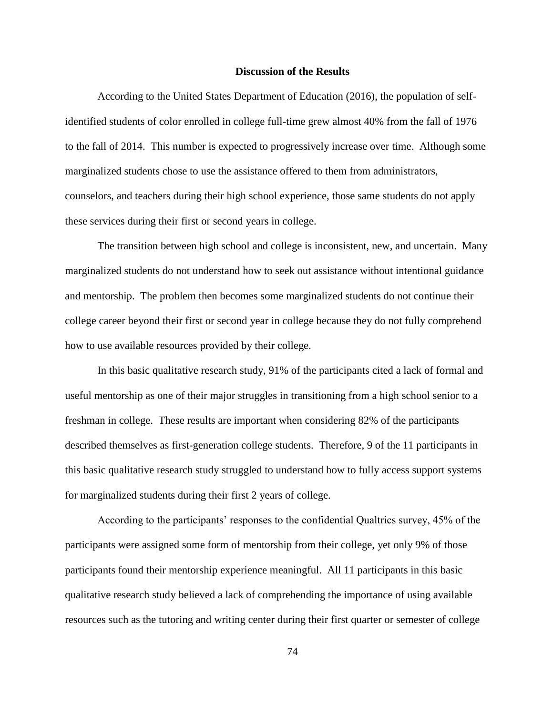### **Discussion of the Results**

According to the United States Department of Education (2016), the population of selfidentified students of color enrolled in college full-time grew almost 40% from the fall of 1976 to the fall of 2014. This number is expected to progressively increase over time. Although some marginalized students chose to use the assistance offered to them from administrators, counselors, and teachers during their high school experience, those same students do not apply these services during their first or second years in college.

The transition between high school and college is inconsistent, new, and uncertain. Many marginalized students do not understand how to seek out assistance without intentional guidance and mentorship. The problem then becomes some marginalized students do not continue their college career beyond their first or second year in college because they do not fully comprehend how to use available resources provided by their college.

In this basic qualitative research study, 91% of the participants cited a lack of formal and useful mentorship as one of their major struggles in transitioning from a high school senior to a freshman in college. These results are important when considering 82% of the participants described themselves as first-generation college students. Therefore, 9 of the 11 participants in this basic qualitative research study struggled to understand how to fully access support systems for marginalized students during their first 2 years of college.

According to the participants' responses to the confidential Qualtrics survey, 45% of the participants were assigned some form of mentorship from their college, yet only 9% of those participants found their mentorship experience meaningful. All 11 participants in this basic qualitative research study believed a lack of comprehending the importance of using available resources such as the tutoring and writing center during their first quarter or semester of college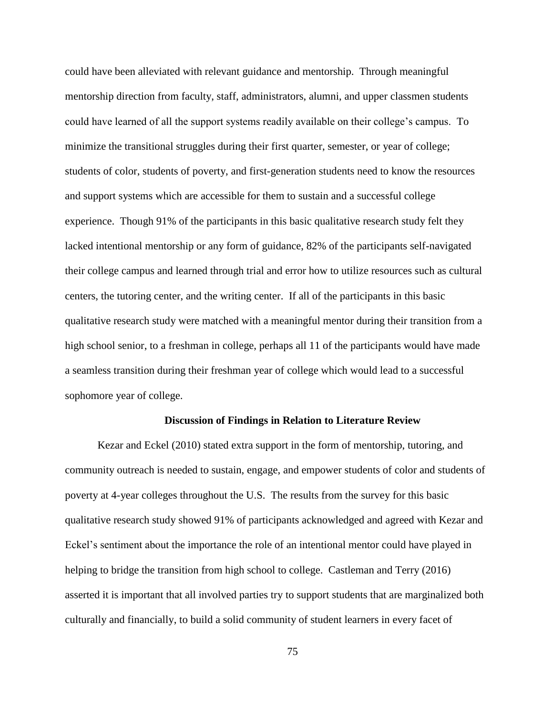could have been alleviated with relevant guidance and mentorship. Through meaningful mentorship direction from faculty, staff, administrators, alumni, and upper classmen students could have learned of all the support systems readily available on their college's campus. To minimize the transitional struggles during their first quarter, semester, or year of college; students of color, students of poverty, and first-generation students need to know the resources and support systems which are accessible for them to sustain and a successful college experience. Though 91% of the participants in this basic qualitative research study felt they lacked intentional mentorship or any form of guidance, 82% of the participants self-navigated their college campus and learned through trial and error how to utilize resources such as cultural centers, the tutoring center, and the writing center. If all of the participants in this basic qualitative research study were matched with a meaningful mentor during their transition from a high school senior, to a freshman in college, perhaps all 11 of the participants would have made a seamless transition during their freshman year of college which would lead to a successful sophomore year of college.

### **Discussion of Findings in Relation to Literature Review**

Kezar and Eckel (2010) stated extra support in the form of mentorship, tutoring, and community outreach is needed to sustain, engage, and empower students of color and students of poverty at 4-year colleges throughout the U.S. The results from the survey for this basic qualitative research study showed 91% of participants acknowledged and agreed with Kezar and Eckel's sentiment about the importance the role of an intentional mentor could have played in helping to bridge the transition from high school to college. Castleman and Terry (2016) asserted it is important that all involved parties try to support students that are marginalized both culturally and financially, to build a solid community of student learners in every facet of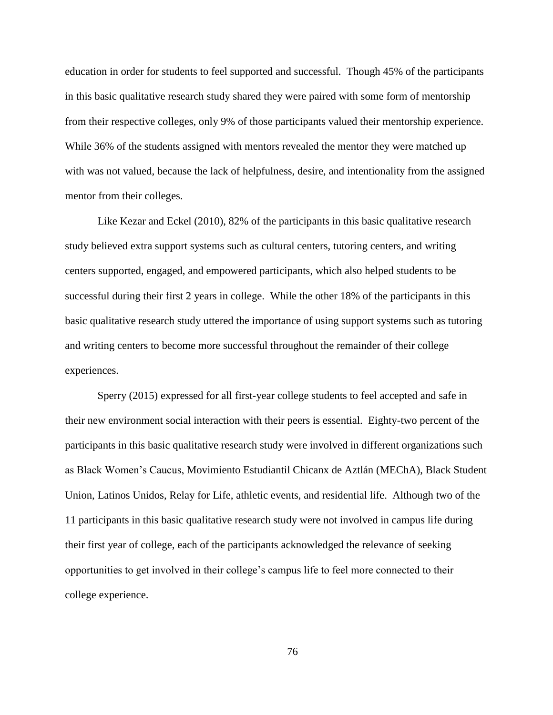education in order for students to feel supported and successful. Though 45% of the participants in this basic qualitative research study shared they were paired with some form of mentorship from their respective colleges, only 9% of those participants valued their mentorship experience. While 36% of the students assigned with mentors revealed the mentor they were matched up with was not valued, because the lack of helpfulness, desire, and intentionality from the assigned mentor from their colleges.

Like Kezar and Eckel (2010), 82% of the participants in this basic qualitative research study believed extra support systems such as cultural centers, tutoring centers, and writing centers supported, engaged, and empowered participants, which also helped students to be successful during their first 2 years in college. While the other 18% of the participants in this basic qualitative research study uttered the importance of using support systems such as tutoring and writing centers to become more successful throughout the remainder of their college experiences.

Sperry (2015) expressed for all first-year college students to feel accepted and safe in their new environment social interaction with their peers is essential. Eighty-two percent of the participants in this basic qualitative research study were involved in different organizations such as Black Women's Caucus, Movimiento Estudiantil Chicanx de Aztlán (MEChA), Black Student Union, Latinos Unidos, Relay for Life, athletic events, and residential life. Although two of the 11 participants in this basic qualitative research study were not involved in campus life during their first year of college, each of the participants acknowledged the relevance of seeking opportunities to get involved in their college's campus life to feel more connected to their college experience.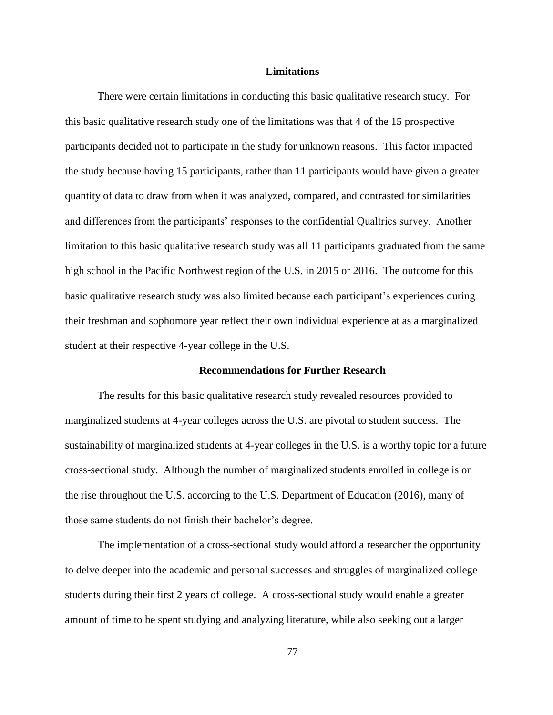### **Limitations**

There were certain limitations in conducting this basic qualitative research study. For this basic qualitative research study one of the limitations was that 4 of the 15 prospective participants decided not to participate in the study for unknown reasons. This factor impacted the study because having 15 participants, rather than 11 participants would have given a greater quantity of data to draw from when it was analyzed, compared, and contrasted for similarities and differences from the participants' responses to the confidential Qualtrics survey. Another limitation to this basic qualitative research study was all 11 participants graduated from the same high school in the Pacific Northwest region of the U.S. in 2015 or 2016. The outcome for this basic qualitative research study was also limited because each participant's experiences during their freshman and sophomore year reflect their own individual experience at as a marginalized student at their respective 4-year college in the U.S.

### **Recommendations for Further Research**

The results for this basic qualitative research study revealed resources provided to marginalized students at 4-year colleges across the U.S. are pivotal to student success. The sustainability of marginalized students at 4-year colleges in the U.S. is a worthy topic for a future cross-sectional study. Although the number of marginalized students enrolled in college is on the rise throughout the U.S. according to the U.S. Department of Education (2016), many of those same students do not finish their bachelor's degree.

The implementation of a cross-sectional study would afford a researcher the opportunity to delve deeper into the academic and personal successes and struggles of marginalized college students during their first 2 years of college. A cross-sectional study would enable a greater amount of time to be spent studying and analyzing literature, while also seeking out a larger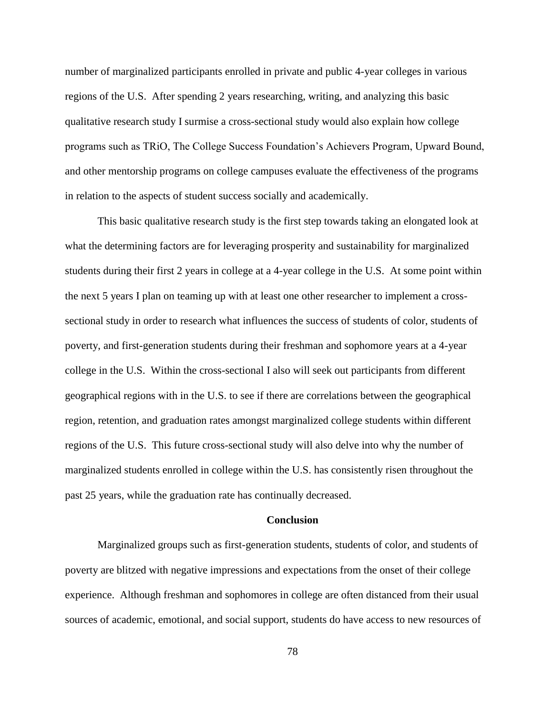number of marginalized participants enrolled in private and public 4-year colleges in various regions of the U.S. After spending 2 years researching, writing, and analyzing this basic qualitative research study I surmise a cross-sectional study would also explain how college programs such as TRiO, The College Success Foundation's Achievers Program, Upward Bound, and other mentorship programs on college campuses evaluate the effectiveness of the programs in relation to the aspects of student success socially and academically.

This basic qualitative research study is the first step towards taking an elongated look at what the determining factors are for leveraging prosperity and sustainability for marginalized students during their first 2 years in college at a 4-year college in the U.S. At some point within the next 5 years I plan on teaming up with at least one other researcher to implement a crosssectional study in order to research what influences the success of students of color, students of poverty, and first-generation students during their freshman and sophomore years at a 4-year college in the U.S. Within the cross-sectional I also will seek out participants from different geographical regions with in the U.S. to see if there are correlations between the geographical region, retention, and graduation rates amongst marginalized college students within different regions of the U.S. This future cross-sectional study will also delve into why the number of marginalized students enrolled in college within the U.S. has consistently risen throughout the past 25 years, while the graduation rate has continually decreased.

### **Conclusion**

Marginalized groups such as first-generation students, students of color, and students of poverty are blitzed with negative impressions and expectations from the onset of their college experience. Although freshman and sophomores in college are often distanced from their usual sources of academic, emotional, and social support, students do have access to new resources of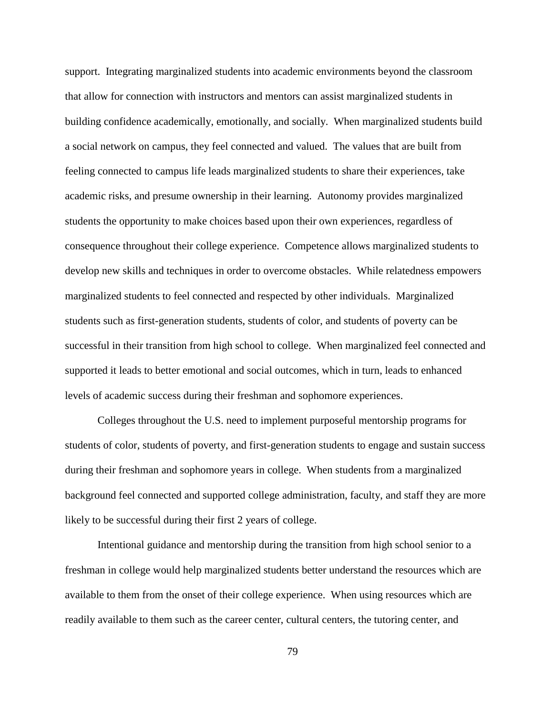support. Integrating marginalized students into academic environments beyond the classroom that allow for connection with instructors and mentors can assist marginalized students in building confidence academically, emotionally, and socially. When marginalized students build a social network on campus, they feel connected and valued. The values that are built from feeling connected to campus life leads marginalized students to share their experiences, take academic risks, and presume ownership in their learning. Autonomy provides marginalized students the opportunity to make choices based upon their own experiences, regardless of consequence throughout their college experience. Competence allows marginalized students to develop new skills and techniques in order to overcome obstacles. While relatedness empowers marginalized students to feel connected and respected by other individuals. Marginalized students such as first-generation students, students of color, and students of poverty can be successful in their transition from high school to college. When marginalized feel connected and supported it leads to better emotional and social outcomes, which in turn, leads to enhanced levels of academic success during their freshman and sophomore experiences.

Colleges throughout the U.S. need to implement purposeful mentorship programs for students of color, students of poverty, and first-generation students to engage and sustain success during their freshman and sophomore years in college. When students from a marginalized background feel connected and supported college administration, faculty, and staff they are more likely to be successful during their first 2 years of college.

Intentional guidance and mentorship during the transition from high school senior to a freshman in college would help marginalized students better understand the resources which are available to them from the onset of their college experience. When using resources which are readily available to them such as the career center, cultural centers, the tutoring center, and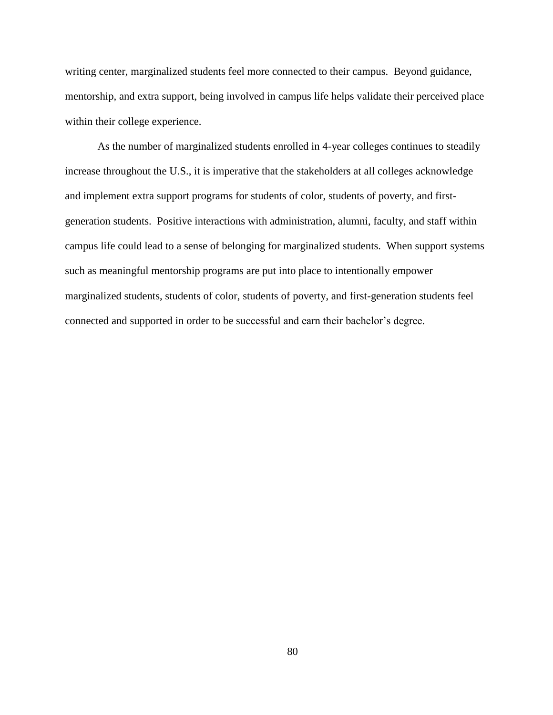writing center, marginalized students feel more connected to their campus. Beyond guidance, mentorship, and extra support, being involved in campus life helps validate their perceived place within their college experience.

As the number of marginalized students enrolled in 4-year colleges continues to steadily increase throughout the U.S., it is imperative that the stakeholders at all colleges acknowledge and implement extra support programs for students of color, students of poverty, and firstgeneration students. Positive interactions with administration, alumni, faculty, and staff within campus life could lead to a sense of belonging for marginalized students. When support systems such as meaningful mentorship programs are put into place to intentionally empower marginalized students, students of color, students of poverty, and first-generation students feel connected and supported in order to be successful and earn their bachelor's degree.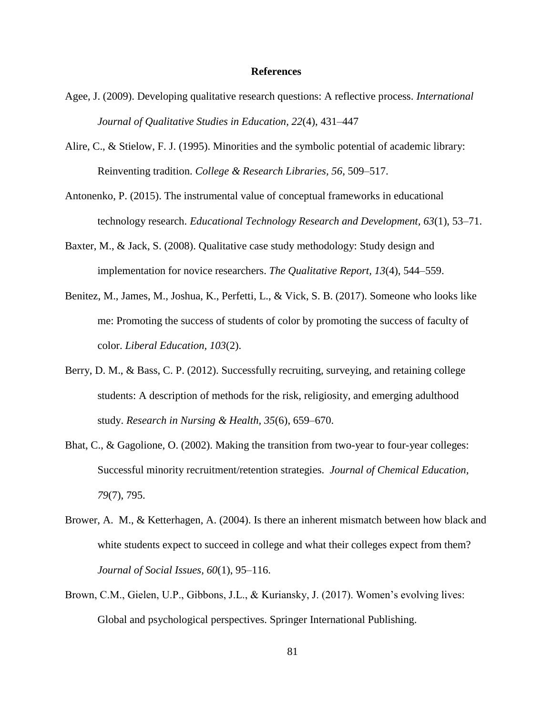### **References**

- Agee, J. (2009). Developing qualitative research questions: A reflective process. *International Journal of Qualitative Studies in Education, 22*(4), 431–447
- Alire, C., & Stielow, F. J. (1995). Minorities and the symbolic potential of academic library: Reinventing tradition. *College & Research Libraries, 56*, 509–517.
- Antonenko, P. (2015). The instrumental value of conceptual frameworks in educational technology research. *Educational Technology Research and Development, 63*(1), 53–71.
- Baxter, M., & Jack, S. (2008). Qualitative case study methodology: Study design and implementation for novice researchers. *The Qualitative Report, 13*(4), 544–559.
- Benitez, M., James, M., Joshua, K., Perfetti, L., & Vick, S. B. (2017). Someone who looks like me: Promoting the success of students of color by promoting the success of faculty of color. *Liberal Education, 103*(2).
- Berry, D. M., & Bass, C. P. (2012). Successfully recruiting, surveying, and retaining college students: A description of methods for the risk, religiosity, and emerging adulthood study. *Research in Nursing & Health, 35*(6), 659–670.
- Bhat, C., & Gagolione, O. (2002). Making the transition from two-year to four-year colleges: Successful minority recruitment/retention strategies. *Journal of Chemical Education, 79*(7), 795.
- Brower, A. M., & Ketterhagen, A. (2004). Is there an inherent mismatch between how black and white students expect to succeed in college and what their colleges expect from them? *Journal of Social Issues, 60*(1), 95–116.
- Brown, C.M., Gielen, U.P., Gibbons, J.L., & Kuriansky, J. (2017). Women's evolving lives: Global and psychological perspectives. Springer International Publishing.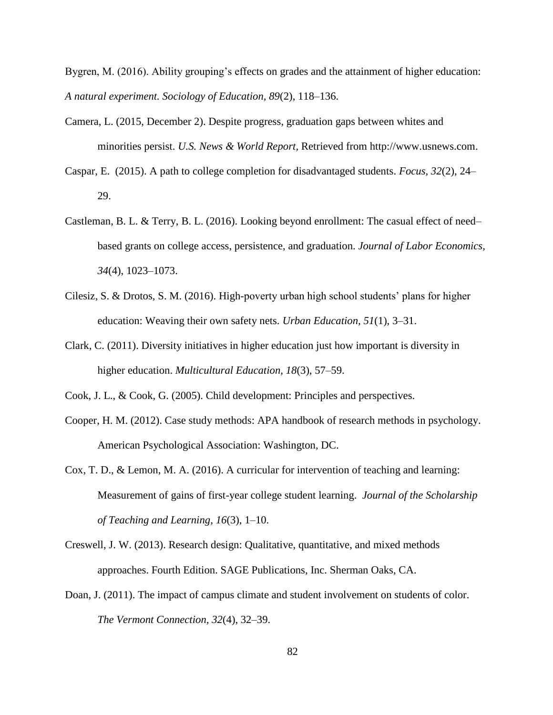Bygren, M. (2016). Ability grouping's effects on grades and the attainment of higher education: *A natural experiment. Sociology of Education, 89*(2), 118–136.

- Camera, L. (2015, December 2). Despite progress, graduation gaps between whites and minorities persist. *U.S. News & World Report,* Retrieved from http://www.usnews.com.
- Caspar, E. (2015). A path to college completion for disadvantaged students. *Focus, 32*(2), 24– 29.
- Castleman, B. L. & Terry, B. L. (2016). Looking beyond enrollment: The casual effect of need– based grants on college access, persistence, and graduation. *Journal of Labor Economics, 34*(4), 1023–1073.
- Cilesiz, S. & Drotos, S. M. (2016). High-poverty urban high school students' plans for higher education: Weaving their own safety nets. *Urban Education, 51*(1), 3–31.
- Clark, C. (2011). Diversity initiatives in higher education just how important is diversity in higher education. *Multicultural Education, 18*(3), 57–59.
- Cook, J. L., & Cook, G. (2005). Child development: Principles and perspectives.
- Cooper, H. M. (2012). Case study methods: APA handbook of research methods in psychology. American Psychological Association: Washington, DC.
- Cox, T. D., & Lemon, M. A. (2016). A curricular for intervention of teaching and learning: Measurement of gains of first-year college student learning. *Journal of the Scholarship of Teaching and Learning*, *16*(3), 1–10.
- Creswell, J. W. (2013). Research design: Qualitative, quantitative, and mixed methods approaches. Fourth Edition. SAGE Publications, Inc. Sherman Oaks, CA.
- Doan, J. (2011). The impact of campus climate and student involvement on students of color. *The Vermont Connection, 32*(4), 32–39.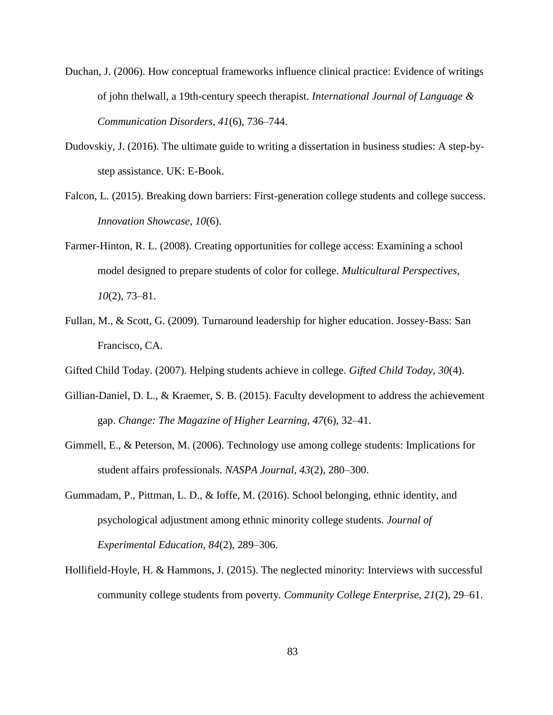- Duchan, J. (2006). How conceptual frameworks influence clinical practice: Evidence of writings of john thelwall, a 19th-century speech therapist. *International Journal of Language & Communication Disorders, 41*(6), 736–744.
- Dudovskiy, J. (2016). The ultimate guide to writing a dissertation in business studies: A step-bystep assistance. UK: E-Book.
- Falcon, L. (2015). Breaking down barriers: First-generation college students and college success. *Innovation Showcase, 10*(6).
- Farmer-Hinton, R. L. (2008). Creating opportunities for college access: Examining a school model designed to prepare students of color for college. *Multicultural Perspectives, 10*(2), 73–81.
- Fullan, M., & Scott, G. (2009). Turnaround leadership for higher education. Jossey-Bass: San Francisco, CA.
- Gifted Child Today. (2007). Helping students achieve in college. *Gifted Child Today, 30*(4).
- Gillian-Daniel, D. L., & Kraemer, S. B. (2015). Faculty development to address the achievement gap. *Change: The Magazine of Higher Learning, 47*(6), 32–41.
- Gimmell, E., & Peterson, M. (2006). Technology use among college students: Implications for student affairs professionals. *NASPA Journal, 43*(2), 280–300.
- Gummadam, P., Pittman, L. D., & Ioffe, M. (2016). School belonging, ethnic identity, and psychological adjustment among ethnic minority college students. *Journal of Experimental Education, 84*(2), 289–306.
- Hollifield-Hoyle, H. & Hammons, J. (2015). The neglected minority: Interviews with successful community college students from poverty. *Community College Enterprise, 21*(2), 29–61.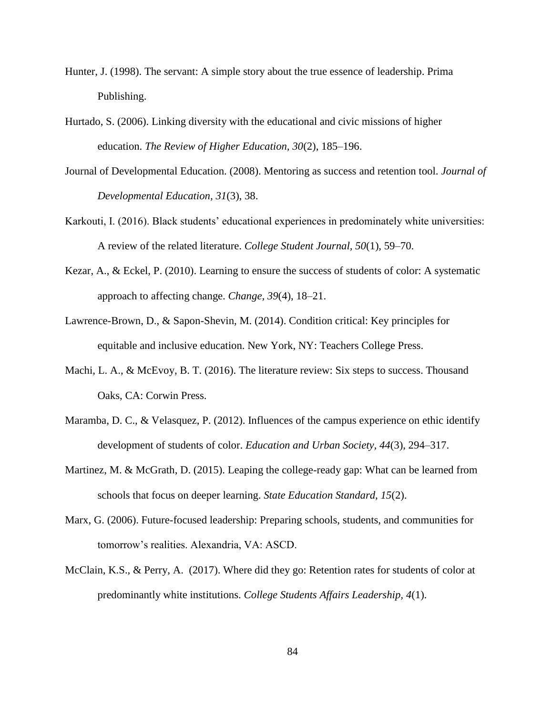- Hunter, J. (1998). The servant: A simple story about the true essence of leadership. Prima Publishing.
- Hurtado, S. (2006). Linking diversity with the educational and civic missions of higher education. *The Review of Higher Education, 30*(2), 185–196.
- Journal of Developmental Education. (2008). Mentoring as success and retention tool. *Journal of Developmental Education, 31*(3), 38.
- Karkouti, I. (2016). Black students' educational experiences in predominately white universities: A review of the related literature. *College Student Journal, 50*(1), 59–70.
- Kezar, A., & Eckel, P. (2010). Learning to ensure the success of students of color: A systematic approach to affecting change. *Change, 39*(4), 18–21.
- Lawrence-Brown, D., & Sapon-Shevin, M. (2014). Condition critical: Key principles for equitable and inclusive education. New York, NY: Teachers College Press.
- Machi, L. A., & McEvoy, B. T. (2016). The literature review: Six steps to success. Thousand Oaks, CA: Corwin Press.
- Maramba, D. C., & Velasquez, P. (2012). Influences of the campus experience on ethic identify development of students of color. *Education and Urban Society, 44*(3), 294–317.
- Martinez, M. & McGrath, D. (2015). Leaping the college-ready gap: What can be learned from schools that focus on deeper learning. *State Education Standard, 15*(2).
- Marx, G. (2006). Future-focused leadership: Preparing schools, students, and communities for tomorrow's realities. Alexandria, VA: ASCD.
- McClain, K.S., & Perry, A. (2017). Where did they go: Retention rates for students of color at predominantly white institutions. *College Students Affairs Leadership, 4*(1).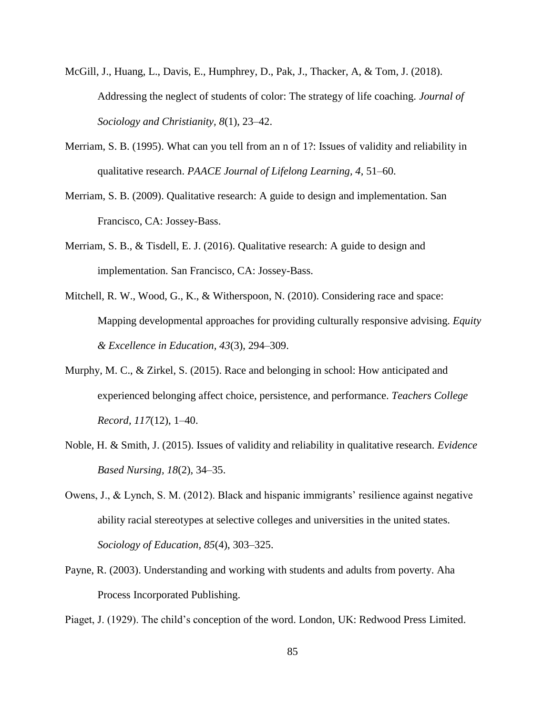- McGill, J., Huang, L., Davis, E., Humphrey, D., Pak, J., Thacker, A, & Tom, J. (2018). Addressing the neglect of students of color: The strategy of life coaching. *Journal of Sociology and Christianity, 8*(1), 23–42.
- Merriam, S. B. (1995). What can you tell from an n of 1?: Issues of validity and reliability in qualitative research. *PAACE Journal of Lifelong Learning, 4*, 51–60.
- Merriam, S. B. (2009). Qualitative research: A guide to design and implementation. San Francisco, CA: Jossey-Bass.
- Merriam, S. B., & Tisdell, E. J. (2016). Qualitative research: A guide to design and implementation. San Francisco, CA: Jossey-Bass.
- Mitchell, R. W., Wood, G., K., & Witherspoon, N. (2010). Considering race and space: Mapping developmental approaches for providing culturally responsive advising. *Equity & Excellence in Education, 43*(3), 294–309.
- Murphy, M. C., & Zirkel, S. (2015). Race and belonging in school: How anticipated and experienced belonging affect choice, persistence, and performance. *Teachers College Record, 117*(12), 1–40.
- Noble, H. & Smith, J. (2015). Issues of validity and reliability in qualitative research. *Evidence Based Nursing, 18*(2), 34–35.
- Owens, J., & Lynch, S. M. (2012). Black and hispanic immigrants' resilience against negative ability racial stereotypes at selective colleges and universities in the united states. *Sociology of Education, 85*(4), 303–325.
- Payne, R. (2003). Understanding and working with students and adults from poverty. Aha Process Incorporated Publishing.

Piaget, J. (1929). The child's conception of the word. London, UK: Redwood Press Limited.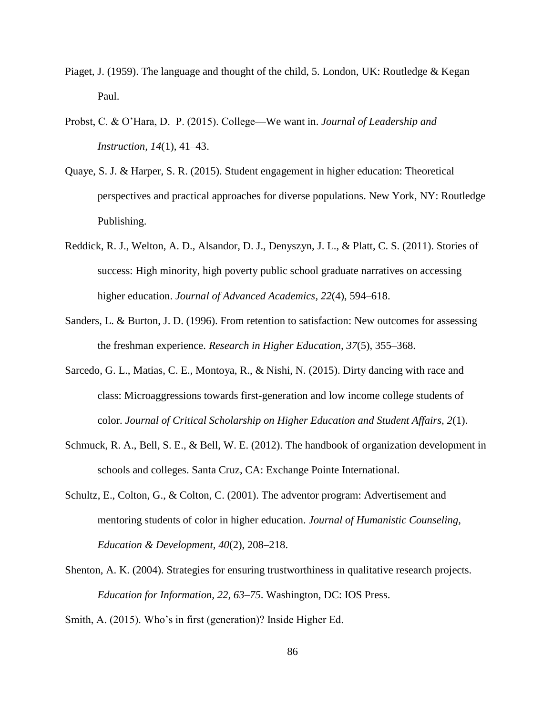- Piaget, J. (1959). The language and thought of the child, 5. London, UK: Routledge & Kegan Paul.
- Probst, C. & O'Hara, D. P. (2015). College—We want in. *Journal of Leadership and Instruction, 14*(1), 41–43.
- Quaye, S. J. & Harper, S. R. (2015). Student engagement in higher education: Theoretical perspectives and practical approaches for diverse populations. New York, NY: Routledge Publishing.
- Reddick, R. J., Welton, A. D., Alsandor, D. J., Denyszyn, J. L., & Platt, C. S. (2011). Stories of success: High minority, high poverty public school graduate narratives on accessing higher education. *Journal of Advanced Academics, 22*(4), 594–618.
- Sanders, L. & Burton, J. D. (1996). From retention to satisfaction: New outcomes for assessing the freshman experience. *Research in Higher Education, 37*(5), 355–368.
- Sarcedo, G. L., Matias, C. E., Montoya, R., & Nishi, N. (2015). Dirty dancing with race and class: Microaggressions towards first-generation and low income college students of color. *Journal of Critical Scholarship on Higher Education and Student Affairs, 2*(1).
- Schmuck, R. A., Bell, S. E., & Bell, W. E. (2012). The handbook of organization development in schools and colleges. Santa Cruz, CA: Exchange Pointe International.
- Schultz, E., Colton, G., & Colton, C. (2001). The adventor program: Advertisement and mentoring students of color in higher education. *Journal of Humanistic Counseling, Education & Development, 40*(2), 208–218.
- Shenton, A. K. (2004). Strategies for ensuring trustworthiness in qualitative research projects. *Education for Information, 22, 63–75*. Washington, DC: IOS Press.

Smith, A. (2015). Who's in first (generation)? Inside Higher Ed.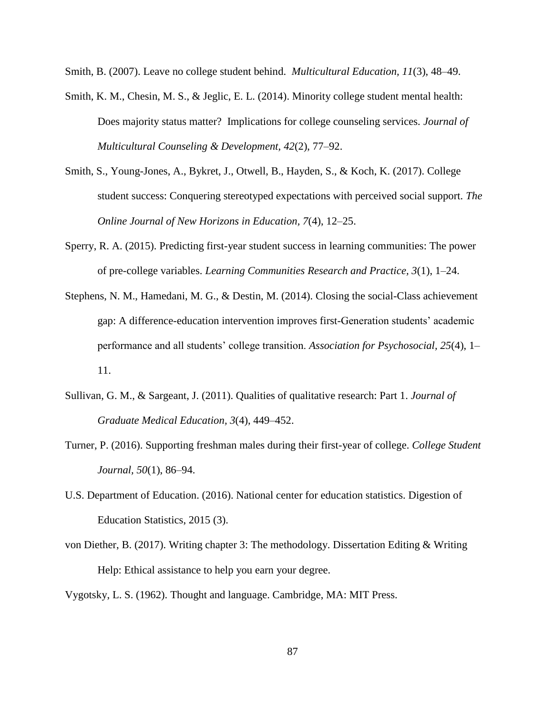Smith, B. (2007). Leave no college student behind. *Multicultural Education, 11*(3), 48–49.

- Smith, K. M., Chesin, M. S., & Jeglic, E. L. (2014). Minority college student mental health: Does majority status matter? Implications for college counseling services. *Journal of Multicultural Counseling & Development, 42*(2), 77–92.
- Smith, S., Young-Jones, A., Bykret, J., Otwell, B., Hayden, S., & Koch, K. (2017). College student success: Conquering stereotyped expectations with perceived social support. *The Online Journal of New Horizons in Education, 7*(4), 12–25.
- Sperry, R. A. (2015). Predicting first-year student success in learning communities: The power of pre-college variables. *Learning Communities Research and Practice, 3*(1), 1–24.
- Stephens, N. M., Hamedani, M. G., & Destin, M. (2014). Closing the social-Class achievement gap: A difference-education intervention improves first-Generation students' academic performance and all students' college transition. *Association for Psychosocial, 25*(4), 1– 11.
- Sullivan, G. M., & Sargeant, J. (2011). Qualities of qualitative research: Part 1. *Journal of Graduate Medical Education, 3*(4), 449–452.
- Turner, P. (2016). Supporting freshman males during their first-year of college. *College Student Journal, 50*(1), 86–94.
- U.S. Department of Education. (2016). National center for education statistics. Digestion of Education Statistics, 2015 (3).
- von Diether, B. (2017). Writing chapter 3: The methodology. Dissertation Editing & Writing Help: Ethical assistance to help you earn your degree.

Vygotsky, L. S. (1962). Thought and language. Cambridge, MA: MIT Press.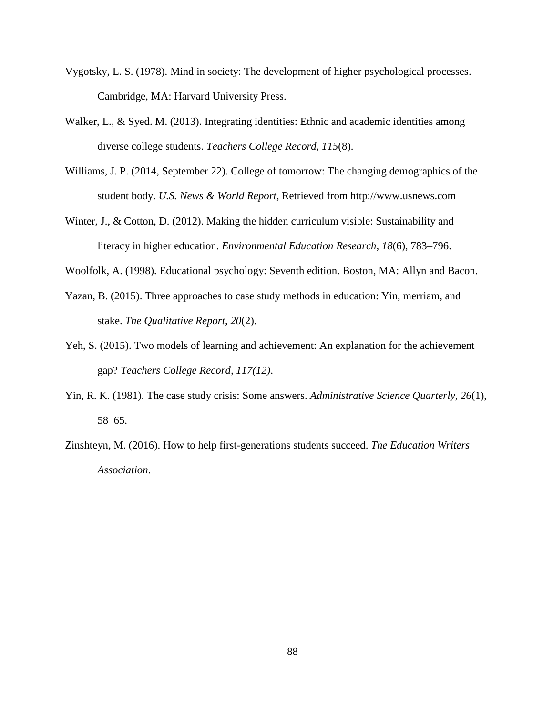- Vygotsky, L. S. (1978). Mind in society: The development of higher psychological processes. Cambridge, MA: Harvard University Press.
- Walker, L., & Syed. M. (2013). Integrating identities: Ethnic and academic identities among diverse college students. *Teachers College Record, 115*(8).
- Williams, J. P. (2014, September 22). College of tomorrow: The changing demographics of the student body. *U.S. News & World Report*, Retrieved from http://www.usnews.com
- Winter, J., & Cotton, D. (2012). Making the hidden curriculum visible: Sustainability and literacy in higher education. *Environmental Education Research, 18*(6), 783–796.
- Woolfolk, A. (1998). Educational psychology: Seventh edition. Boston, MA: Allyn and Bacon.
- Yazan, B. (2015). Three approaches to case study methods in education: Yin, merriam, and stake. *The Qualitative Report, 20*(2).
- Yeh, S. (2015). Two models of learning and achievement: An explanation for the achievement gap? *Teachers College Record, 117(12)*.
- Yin, R. K. (1981). The case study crisis: Some answers. *Administrative Science Quarterly, 26*(1), 58–65.
- Zinshteyn, M. (2016). How to help first-generations students succeed. *The Education Writers Association*.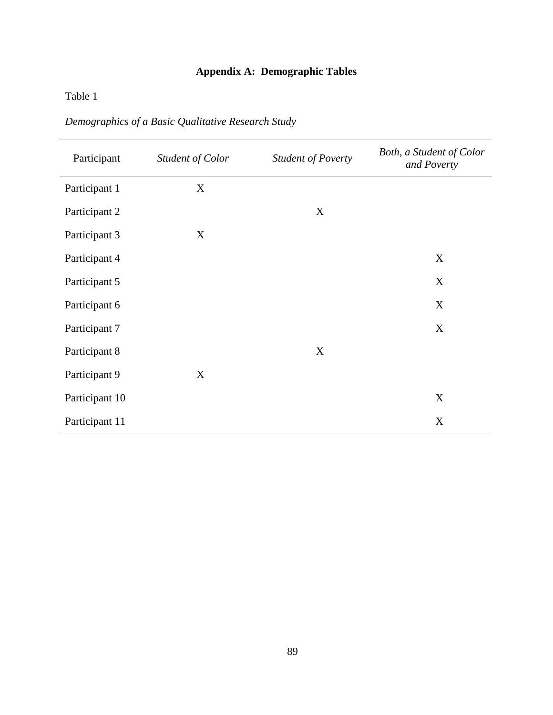## **Appendix A: Demographic Tables**

## Table 1

| Participant    | Student of Color | <b>Student of Poverty</b> | Both, a Student of Color<br>and Poverty |
|----------------|------------------|---------------------------|-----------------------------------------|
| Participant 1  | X                |                           |                                         |
| Participant 2  |                  | $\mathbf X$               |                                         |
| Participant 3  | X                |                           |                                         |
| Participant 4  |                  |                           | X                                       |
| Participant 5  |                  |                           | X                                       |
| Participant 6  |                  |                           | X                                       |
| Participant 7  |                  |                           | X                                       |
| Participant 8  |                  | $\mathbf X$               |                                         |
| Participant 9  | X                |                           |                                         |
| Participant 10 |                  |                           | X                                       |
| Participant 11 |                  |                           | X                                       |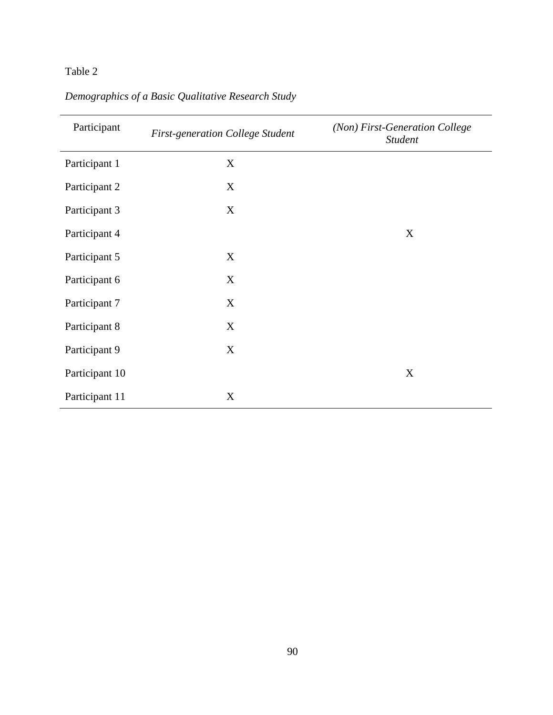## Table 2

| Participant    | <b>First-generation College Student</b> | (Non) First-Generation College<br><b>Student</b> |
|----------------|-----------------------------------------|--------------------------------------------------|
| Participant 1  | X                                       |                                                  |
| Participant 2  | X                                       |                                                  |
| Participant 3  | X                                       |                                                  |
| Participant 4  |                                         | X                                                |
| Participant 5  | X                                       |                                                  |
| Participant 6  | X                                       |                                                  |
| Participant 7  | X                                       |                                                  |
| Participant 8  | X                                       |                                                  |
| Participant 9  | X                                       |                                                  |
| Participant 10 |                                         | X                                                |
| Participant 11 | X                                       |                                                  |

# *Demographics of a Basic Qualitative Research Study*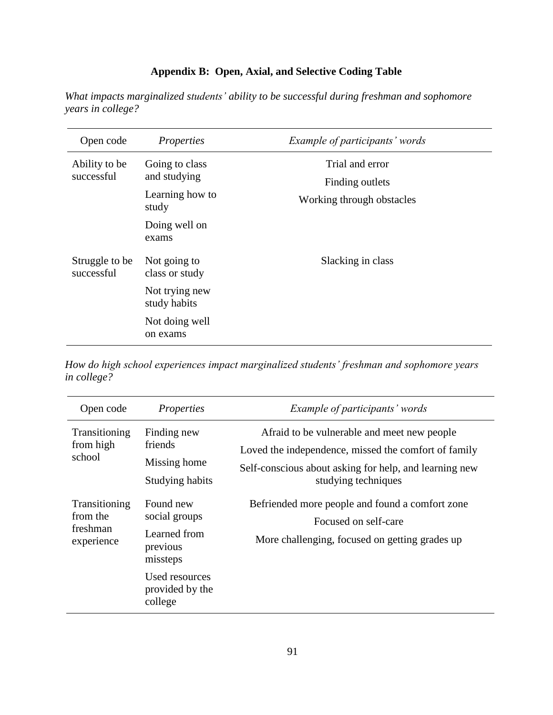## **Appendix B: Open, Axial, and Selective Coding Table**

*What impacts marginalized students' ability to be successful during freshman and sophomore years in college?*

| Open code                    | Properties                     | <i>Example of participants' words</i> |
|------------------------------|--------------------------------|---------------------------------------|
| Ability to be<br>successful  | Going to class<br>and studying | Trial and error                       |
|                              |                                | Finding outlets                       |
|                              | Learning how to<br>study       | Working through obstacles             |
|                              | Doing well on<br>exams         |                                       |
| Struggle to be<br>successful | Not going to<br>class or study | Slacking in class                     |
|                              | Not trying new<br>study habits |                                       |
|                              | Not doing well<br>on exams     |                                       |

*How do high school experiences impact marginalized students' freshman and sophomore years in college?*

| Open code                                           | Properties                                                                                                         | <i>Example of participants' words</i>                                                                                                                                                |
|-----------------------------------------------------|--------------------------------------------------------------------------------------------------------------------|--------------------------------------------------------------------------------------------------------------------------------------------------------------------------------------|
| Transitioning<br>from high<br>school                | Finding new<br>friends<br>Missing home<br>Studying habits                                                          | Afraid to be vulnerable and meet new people<br>Loved the independence, missed the comfort of family<br>Self-conscious about asking for help, and learning new<br>studying techniques |
| Transitioning<br>from the<br>freshman<br>experience | Found new<br>social groups<br>Learned from<br>previous<br>missteps<br>Used resources<br>provided by the<br>college | Befriended more people and found a comfort zone<br>Focused on self-care<br>More challenging, focused on getting grades up                                                            |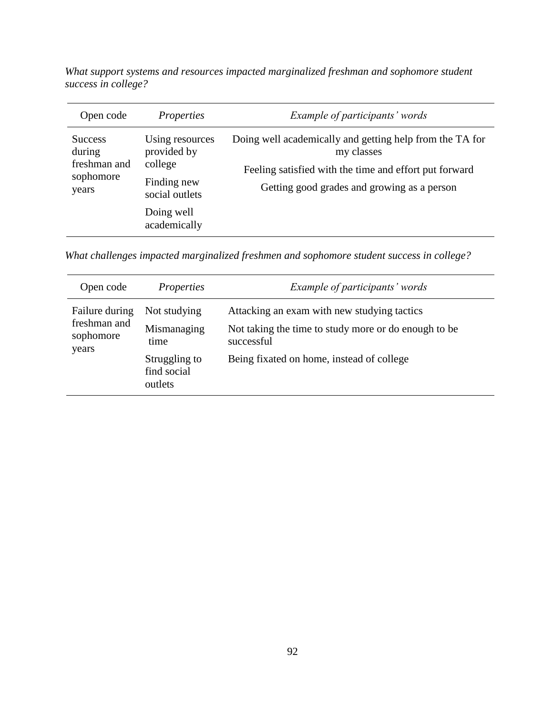*What support systems and resources impacted marginalized freshman and sophomore student success in college?*

| Open code                                                      | <i>Properties</i>                                                          | Example of participants' words                                                                                                                                                  |
|----------------------------------------------------------------|----------------------------------------------------------------------------|---------------------------------------------------------------------------------------------------------------------------------------------------------------------------------|
| <b>Success</b><br>during<br>freshman and<br>sophomore<br>years | Using resources<br>provided by<br>college<br>Finding new<br>social outlets | Doing well academically and getting help from the TA for<br>my classes<br>Feeling satisfied with the time and effort put forward<br>Getting good grades and growing as a person |
|                                                                | Doing well<br>academically                                                 |                                                                                                                                                                                 |

*What challenges impacted marginalized freshmen and sophomore student success in college?*

| Open code                                            | <i>Properties</i>                                                              | Example of participants' words                                                                                                                                  |
|------------------------------------------------------|--------------------------------------------------------------------------------|-----------------------------------------------------------------------------------------------------------------------------------------------------------------|
| Failure during<br>freshman and<br>sophomore<br>years | Not studying<br>Mismanaging<br>time<br>Struggling to<br>find social<br>outlets | Attacking an exam with new studying tactics<br>Not taking the time to study more or do enough to be.<br>successful<br>Being fixated on home, instead of college |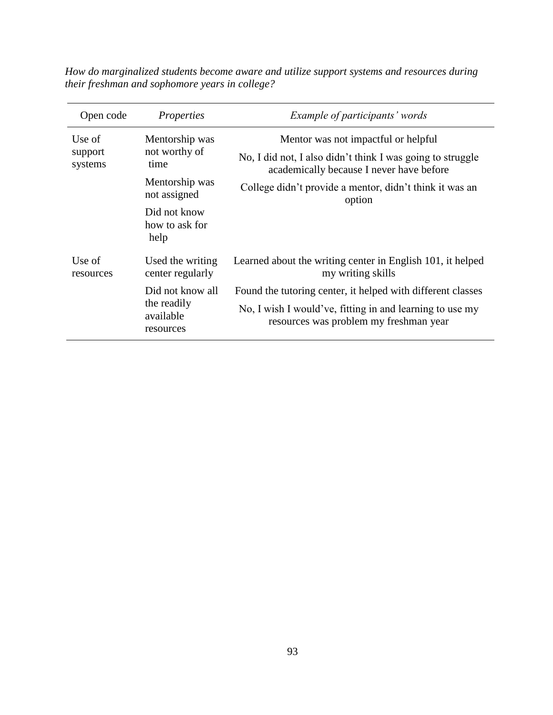| Open code                    | <i>Properties</i>                                         | <i>Example of participants' words</i>                                                                  |
|------------------------------|-----------------------------------------------------------|--------------------------------------------------------------------------------------------------------|
| Use of<br>support<br>systems | Mentorship was<br>not worthy of<br>time                   | Mentor was not impactful or helpful                                                                    |
|                              |                                                           | No, I did not, I also didn't think I was going to struggle<br>academically because I never have before |
|                              | Mentorship was<br>not assigned                            | College didn't provide a mentor, didn't think it was an<br>option                                      |
|                              | Did not know<br>how to ask for<br>help                    |                                                                                                        |
| Use of<br>resources          | Used the writing<br>center regularly                      | Learned about the writing center in English 101, it helped<br>my writing skills                        |
|                              | Did not know all<br>the readily<br>available<br>resources | Found the tutoring center, it helped with different classes                                            |
|                              |                                                           | No, I wish I would've, fitting in and learning to use my<br>resources was problem my freshman year     |

*How do marginalized students become aware and utilize support systems and resources during their freshman and sophomore years in college?*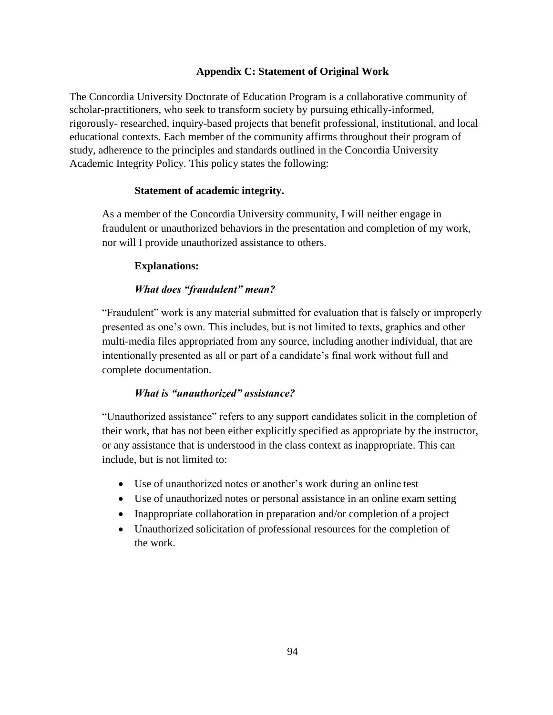## **Appendix C: Statement of Original Work**

The Concordia University Doctorate of Education Program is a collaborative community of scholar-practitioners, who seek to transform society by pursuing ethically-informed, rigorously- researched, inquiry-based projects that benefit professional, institutional, and local educational contexts. Each member of the community affirms throughout their program of study, adherence to the principles and standards outlined in the Concordia University Academic Integrity Policy. This policy states the following:

### **Statement of academic integrity.**

As a member of the Concordia University community, I will neither engage in fraudulent or unauthorized behaviors in the presentation and completion of my work, nor will I provide unauthorized assistance to others.

### **Explanations:**

### *What does "fraudulent" mean?*

"Fraudulent" work is any material submitted for evaluation that is falsely or improperly presented as one's own. This includes, but is not limited to texts, graphics and other multi-media files appropriated from any source, including another individual, that are intentionally presented as all or part of a candidate's final work without full and complete documentation.

### *What is "unauthorized" assistance?*

"Unauthorized assistance" refers to any support candidates solicit in the completion of their work, that has not been either explicitly specified as appropriate by the instructor, or any assistance that is understood in the class context as inappropriate. This can include, but is not limited to:

- Use of unauthorized notes or another's work during an online test
- Use of unauthorized notes or personal assistance in an online exam setting
- Inappropriate collaboration in preparation and/or completion of a project
- Unauthorized solicitation of professional resources for the completion of the work.